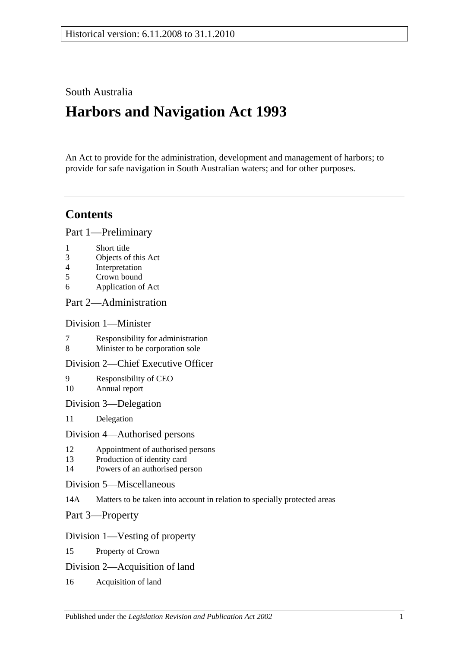# South Australia

# **Harbors and Navigation Act 1993**

An Act to provide for the administration, development and management of harbors; to provide for safe navigation in South Australian waters; and for other purposes.

# **Contents**

[Part 1—Preliminary](#page-6-0)

- 1 [Short title](#page-6-1)
- 3 [Objects of this Act](#page-6-2)
- 4 [Interpretation](#page-6-3)
- 5 [Crown bound](#page-9-0)
- 6 [Application of Act](#page-9-1)

## [Part 2—Administration](#page-10-0)

## [Division 1—Minister](#page-10-1)

- 7 [Responsibility for administration](#page-10-2)<br>8 Minister to be corporation sole
- [Minister to be corporation sole](#page-10-3)

## [Division 2—Chief Executive Officer](#page-10-4)

- 9 [Responsibility of CEO](#page-10-5) 10 [Annual report](#page-10-6)
- [Division 3—Delegation](#page-10-7)
- 11 [Delegation](#page-10-8)

#### [Division 4—Authorised persons](#page-10-9)

- 12 [Appointment of authorised persons](#page-10-10)
- 13 [Production of identity card](#page-11-0)
- 14 [Powers of an authorised person](#page-11-1)
- [Division 5—Miscellaneous](#page-13-0)
- 14A [Matters to be taken into account in relation to specially protected areas](#page-13-1)

[Part 3—Property](#page-14-0)

## [Division 1—Vesting of property](#page-14-1)

- 15 [Property of Crown](#page-14-2)
- [Division 2—Acquisition of land](#page-14-3)
- 16 [Acquisition of land](#page-14-4)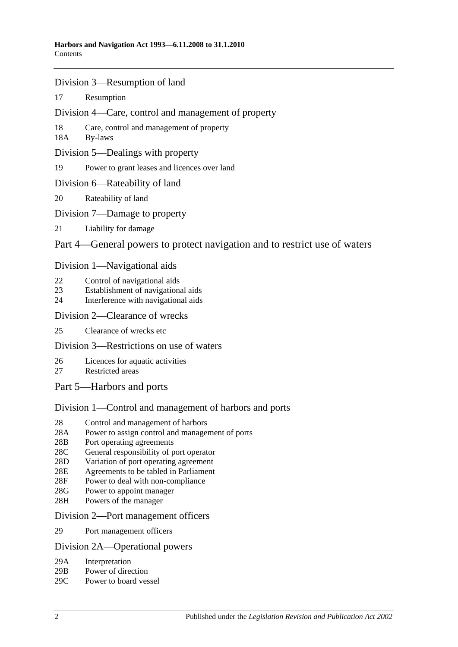- [Division 3—Resumption of land](#page-14-5)
- 17 [Resumption](#page-14-6)
- [Division 4—Care, control and management of property](#page-15-0)
- 18 [Care, control and management of property](#page-15-1)
- 18A [By-laws](#page-15-2)
- [Division 5—Dealings with property](#page-16-0)
- 19 [Power to grant leases and licences over land](#page-16-1)
- [Division 6—Rateability of land](#page-16-2)
- 20 [Rateability of land](#page-16-3)
- [Division 7—Damage to property](#page-16-4)
- 21 [Liability for damage](#page-16-5)

## [Part 4—General powers to protect navigation and to restrict use of waters](#page-18-0)

## [Division 1—Navigational aids](#page-18-1)

- 22 [Control of navigational aids](#page-18-2)
- 23 [Establishment of navigational aids](#page-18-3)
- 24 [Interference with navigational aids](#page-18-4)

## [Division 2—Clearance of wrecks](#page-19-0)

25 [Clearance of wrecks etc](#page-19-1)

## [Division 3—Restrictions on use of waters](#page-19-2)

- 26 [Licences for aquatic activities](#page-19-3)
- 27 [Restricted areas](#page-20-0)
- [Part 5—Harbors and ports](#page-22-0)

## [Division 1—Control and management of harbors and ports](#page-22-1)

- 28 [Control and management of harbors](#page-22-2)
- 28A [Power to assign control and management of ports](#page-22-3)
- 28B [Port operating agreements](#page-22-4)
- 28C [General responsibility of port operator](#page-23-0)
- 28D [Variation of port operating agreement](#page-23-1)
- 28E [Agreements to be tabled in Parliament](#page-23-2)
- 28F [Power to deal with non-compliance](#page-23-3)
- 28G [Power to appoint manager](#page-24-0)
- 28H [Powers of the manager](#page-24-1)

#### [Division 2—Port management officers](#page-25-0)

29 [Port management officers](#page-25-1)

#### [Division 2A—Operational powers](#page-25-2)

- 29A [Interpretation](#page-25-3)
- 29B [Power of direction](#page-25-4)
- 29C [Power to board vessel](#page-26-0)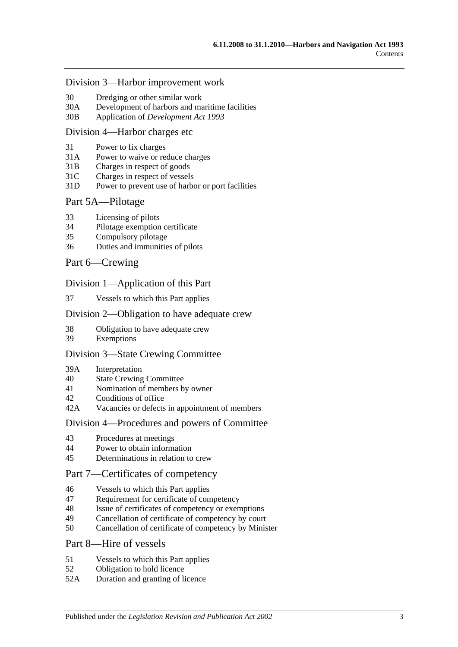#### [Division 3—Harbor improvement work](#page-26-1)

- 30 [Dredging or other similar work](#page-26-2)
- 30A [Development of harbors and maritime facilities](#page-26-3)
- 30B Application of *[Development Act](#page-27-0) 1993*

#### [Division 4—Harbor charges etc](#page-27-1)

- 31 [Power to fix charges](#page-27-2)
- 31A Power to waive [or reduce charges](#page-27-3)
- 31B [Charges in respect of goods](#page-27-4)
- 31C [Charges in respect of vessels](#page-28-0)
- 31D [Power to prevent use of harbor or port facilities](#page-28-1)

#### [Part 5A—Pilotage](#page-30-0)

- 33 [Licensing of pilots](#page-30-1)
- 34 [Pilotage exemption certificate](#page-30-2)
- 35 [Compulsory pilotage](#page-31-0)
- 36 [Duties and immunities of pilots](#page-31-1)

#### [Part 6—Crewing](#page-32-0)

#### [Division 1—Application of this Part](#page-32-1)

37 [Vessels to which this Part applies](#page-32-2)

#### [Division 2—Obligation to have adequate crew](#page-32-3)

- 38 [Obligation to have adequate crew](#page-32-4)
- 39 [Exemptions](#page-32-5)

#### [Division 3—State Crewing Committee](#page-32-6)

- 39A [Interpretation](#page-32-7)
- 40 [State Crewing Committee](#page-33-0)
- 41 [Nomination of members by owner](#page-33-1)
- 42 [Conditions of office](#page-34-0)
- 42A [Vacancies or defects in appointment of members](#page-34-1)

#### [Division 4—Procedures and powers of Committee](#page-34-2)

- 43 [Procedures at meetings](#page-34-3)
- 44 [Power to obtain information](#page-35-0)
- 45 [Determinations in relation to crew](#page-35-1)

## [Part 7—Certificates of competency](#page-36-0)

- 46 [Vessels to which this Part applies](#page-36-1)
- 47 [Requirement for certificate of competency](#page-36-2)
- 48 [Issue of certificates of competency or exemptions](#page-37-0)
- 49 [Cancellation of certificate of competency by court](#page-38-0)
- 50 [Cancellation of certificate of competency by Minister](#page-38-1)

## [Part 8—Hire of vessels](#page-40-0)

- 51 [Vessels to which this Part applies](#page-40-1)
- 52 [Obligation to hold licence](#page-40-2)
- 52A [Duration and granting of licence](#page-40-3)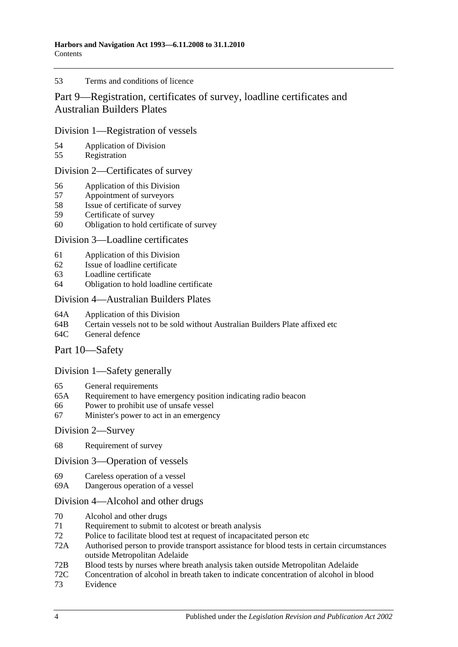#### 53 [Terms and conditions of licence](#page-40-4)

# [Part 9—Registration, certificates of survey, loadline certificates and](#page-42-0)  [Australian Builders Plates](#page-42-0)

## [Division 1—Registration of vessels](#page-42-1)

- 54 [Application of Division](#page-42-2)<br>55 Registration
- [Registration](#page-42-3)

## [Division 2—Certificates of survey](#page-42-4)

- 56 [Application of this Division](#page-42-5)
- 57 [Appointment of surveyors](#page-42-6)
- 58 [Issue of certificate of survey](#page-43-0)
- 59 [Certificate of survey](#page-43-1)
- 60 [Obligation to hold certificate of survey](#page-43-2)

## [Division 3—Loadline certificates](#page-44-0)

- 61 [Application of this Division](#page-44-1)<br>62 Issue of loadline certificate
- [Issue of loadline certificate](#page-44-2)
- 63 [Loadline certificate](#page-44-3)
- 64 [Obligation to hold loadline certificate](#page-44-4)

## [Division 4—Australian Builders Plates](#page-45-0)

- 64A [Application of this Division](#page-45-1)
- 64B [Certain vessels not to be sold without Australian Builders Plate affixed etc](#page-45-2)
- 64C [General defence](#page-46-0)

## [Part 10—Safety](#page-48-0)

## [Division 1—Safety generally](#page-48-1)

- 65 [General requirements](#page-48-2)
- 65A [Requirement to have emergency position indicating radio beacon](#page-48-3)
- 66 [Power to prohibit use of unsafe vessel](#page-48-4)
- 67 [Minister's power to act in an emergency](#page-49-0)

#### [Division 2—Survey](#page-49-1)

68 [Requirement of survey](#page-49-2)

#### [Division 3—Operation of vessels](#page-50-0)

- 69 [Careless operation of a vessel](#page-50-1)
- 69A [Dangerous operation of a vessel](#page-50-2)

## [Division 4—Alcohol and other drugs](#page-50-3)

- 70 [Alcohol and other drugs](#page-50-4)
- 71 [Requirement to submit to alcotest or breath analysis](#page-52-0)
- 72 [Police to facilitate blood test at request of incapacitated person etc](#page-53-0)
- 72A [Authorised person to provide transport assistance for blood tests in certain circumstances](#page-54-0)  [outside Metropolitan Adelaide](#page-54-0)
- 72B [Blood tests by nurses where breath analysis taken outside Metropolitan Adelaide](#page-54-1)
- 72C [Concentration of alcohol in breath taken to indicate concentration of alcohol in blood](#page-55-0)
- 73 [Evidence](#page-55-1)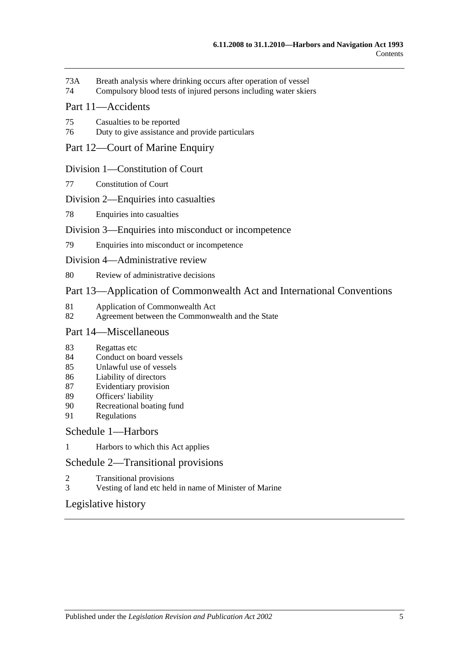- 73A [Breath analysis where drinking occurs after operation of vessel](#page-57-0)
- 74 [Compulsory blood tests of injured persons including water skiers](#page-58-0)

## [Part 11—Accidents](#page-62-0)

- 75 [Casualties to be reported](#page-62-1)
- 76 [Duty to give assistance and provide particulars](#page-62-2)

## [Part 12—Court of Marine Enquiry](#page-64-0)

#### [Division 1—Constitution of Court](#page-64-1)

77 [Constitution of Court](#page-64-2)

#### [Division 2—Enquiries into casualties](#page-64-3)

78 [Enquiries into casualties](#page-64-4)

#### [Division 3—Enquiries into misconduct or incompetence](#page-64-5)

79 [Enquiries into misconduct or incompetence](#page-64-6)

#### [Division 4—Administrative review](#page-65-0)

80 [Review of administrative decisions](#page-65-1)

## [Part 13—Application of Commonwealth Act and International Conventions](#page-66-0)

- 81 [Application of Commonwealth Act](#page-66-1)<br>82 Agreement between the Commonwe
- [Agreement between the Commonwealth and the State](#page-66-2)

## [Part 14—Miscellaneous](#page-68-0)

- 83 [Regattas etc](#page-68-1)
- 84 [Conduct on board vessels](#page-68-2)
- 85 [Unlawful use of vessels](#page-68-3)
- 86 [Liability of directors](#page-68-4)
- 87 [Evidentiary provision](#page-69-0)
- 89 [Officers' liability](#page-69-1)
- 90 [Recreational boating fund](#page-70-0)
- 91 [Regulations](#page-70-1)

#### [Schedule 1—Harbors](#page-74-0)

1 [Harbors to which this Act applies](#page-74-1)

## [Schedule 2—Transitional provisions](#page-75-0)

- 2 [Transitional provisions](#page-75-1)
- 3 [Vesting of land etc held in name of Minister of Marine](#page-75-2)

## [Legislative history](#page-78-0)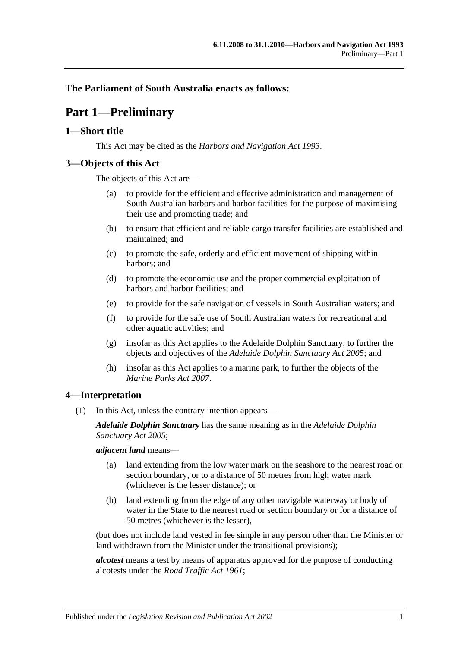## <span id="page-6-0"></span>**The Parliament of South Australia enacts as follows:**

# **Part 1—Preliminary**

## <span id="page-6-1"></span>**1—Short title**

This Act may be cited as the *Harbors and Navigation Act 1993*.

## <span id="page-6-2"></span>**3—Objects of this Act**

The objects of this Act are—

- (a) to provide for the efficient and effective administration and management of South Australian harbors and harbor facilities for the purpose of maximising their use and promoting trade; and
- (b) to ensure that efficient and reliable cargo transfer facilities are established and maintained; and
- (c) to promote the safe, orderly and efficient movement of shipping within harbors; and
- (d) to promote the economic use and the proper commercial exploitation of harbors and harbor facilities; and
- (e) to provide for the safe navigation of vessels in South Australian waters; and
- (f) to provide for the safe use of South Australian waters for recreational and other aquatic activities; and
- (g) insofar as this Act applies to the Adelaide Dolphin Sanctuary, to further the objects and objectives of the *[Adelaide Dolphin Sanctuary Act](http://www.legislation.sa.gov.au/index.aspx?action=legref&type=act&legtitle=Adelaide%20Dolphin%20Sanctuary%20Act%202005) 2005*; and
- (h) insofar as this Act applies to a marine park, to further the objects of the *[Marine Parks Act](http://www.legislation.sa.gov.au/index.aspx?action=legref&type=act&legtitle=Marine%20Parks%20Act%202007) 2007*.

## <span id="page-6-3"></span>**4—Interpretation**

(1) In this Act, unless the contrary intention appears—

*Adelaide Dolphin Sanctuary* has the same meaning as in the *[Adelaide Dolphin](http://www.legislation.sa.gov.au/index.aspx?action=legref&type=act&legtitle=Adelaide%20Dolphin%20Sanctuary%20Act%202005)  [Sanctuary Act](http://www.legislation.sa.gov.au/index.aspx?action=legref&type=act&legtitle=Adelaide%20Dolphin%20Sanctuary%20Act%202005) 2005*;

*adjacent land* means—

- (a) land extending from the low water mark on the seashore to the nearest road or section boundary, or to a distance of 50 metres from high water mark (whichever is the lesser distance); or
- (b) land extending from the edge of any other navigable waterway or body of water in the State to the nearest road or section boundary or for a distance of 50 metres (whichever is the lesser),

(but does not include land vested in fee simple in any person other than the Minister or land withdrawn from the Minister under the transitional provisions);

*alcotest* means a test by means of apparatus approved for the purpose of conducting alcotests under the *[Road Traffic Act](http://www.legislation.sa.gov.au/index.aspx?action=legref&type=act&legtitle=Road%20Traffic%20Act%201961) 1961*;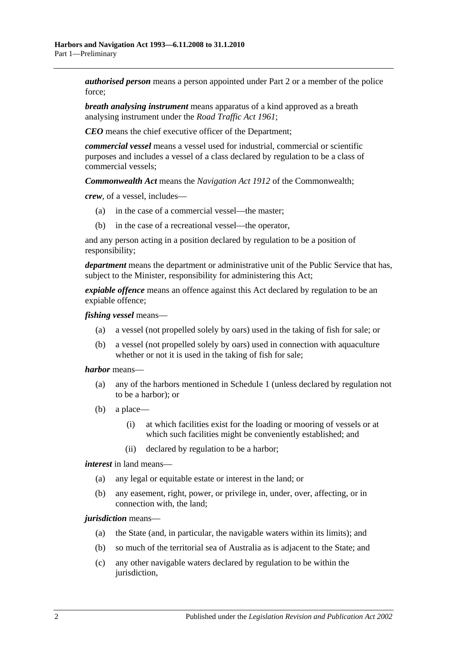*authorised person* means a person appointed under [Part 2](#page-10-0) or a member of the police force;

*breath analysing instrument* means apparatus of a kind approved as a breath analysing instrument under the *[Road Traffic Act](http://www.legislation.sa.gov.au/index.aspx?action=legref&type=act&legtitle=Road%20Traffic%20Act%201961) 1961*;

*CEO* means the chief executive officer of the Department;

*commercial vessel* means a vessel used for industrial, commercial or scientific purposes and includes a vessel of a class declared by regulation to be a class of commercial vessels;

*Commonwealth Act* means the *Navigation Act 1912* of the Commonwealth;

*crew*, of a vessel, includes—

- (a) in the case of a commercial vessel—the master;
- (b) in the case of a recreational vessel—the operator,

and any person acting in a position declared by regulation to be a position of responsibility;

*department* means the department or administrative unit of the Public Service that has, subject to the Minister, responsibility for administering this Act;

*expiable offence* means an offence against this Act declared by regulation to be an expiable offence;

*fishing vessel* means—

- (a) a vessel (not propelled solely by oars) used in the taking of fish for sale; or
- (b) a vessel (not propelled solely by oars) used in connection with aquaculture whether or not it is used in the taking of fish for sale;

*harbor* means—

- (a) any of the harbors mentioned in [Schedule 1](#page-74-0) (unless declared by regulation not to be a harbor); or
- (b) a place—
	- (i) at which facilities exist for the loading or mooring of vessels or at which such facilities might be conveniently established; and
	- (ii) declared by regulation to be a harbor;

*interest* in land means—

- (a) any legal or equitable estate or interest in the land; or
- (b) any easement, right, power, or privilege in, under, over, affecting, or in connection with, the land;

*jurisdiction* means—

- (a) the State (and, in particular, the navigable waters within its limits); and
- (b) so much of the territorial sea of Australia as is adjacent to the State; and
- (c) any other navigable waters declared by regulation to be within the jurisdiction,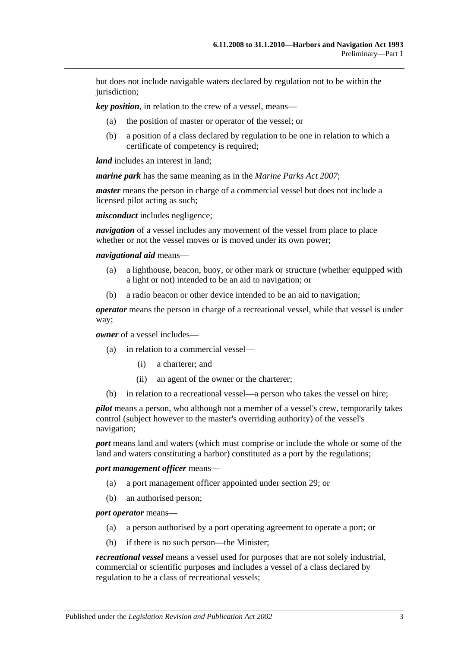but does not include navigable waters declared by regulation not to be within the jurisdiction;

*key position*, in relation to the crew of a vessel, means—

- (a) the position of master or operator of the vessel; or
- (b) a position of a class declared by regulation to be one in relation to which a certificate of competency is required;

*land* includes an interest in land;

*marine park* has the same meaning as in the *[Marine Parks Act](http://www.legislation.sa.gov.au/index.aspx?action=legref&type=act&legtitle=Marine%20Parks%20Act%202007) 2007*;

*master* means the person in charge of a commercial vessel but does not include a licensed pilot acting as such;

*misconduct* includes negligence;

*navigation* of a vessel includes any movement of the vessel from place to place whether or not the vessel moves or is moved under its own power;

*navigational aid* means—

- (a) a lighthouse, beacon, buoy, or other mark or structure (whether equipped with a light or not) intended to be an aid to navigation; or
- (b) a radio beacon or other device intended to be an aid to navigation;

*operator* means the person in charge of a recreational vessel, while that vessel is under way;

*owner* of a vessel includes—

- (a) in relation to a commercial vessel—
	- (i) a charterer; and
	- (ii) an agent of the owner or the charterer;
- (b) in relation to a recreational vessel—a person who takes the vessel on hire;

*pilot* means a person, who although not a member of a vessel's crew, temporarily takes control (subject however to the master's overriding authority) of the vessel's navigation;

*port* means land and waters (which must comprise or include the whole or some of the land and waters constituting a harbor) constituted as a port by the regulations;

*port management officer* means—

- (a) a port management officer appointed under [section](#page-25-1) 29; or
- (b) an authorised person;

#### *port operator* means—

- (a) a person authorised by a port operating agreement to operate a port; or
- (b) if there is no such person—the Minister;

*recreational vessel* means a vessel used for purposes that are not solely industrial, commercial or scientific purposes and includes a vessel of a class declared by regulation to be a class of recreational vessels;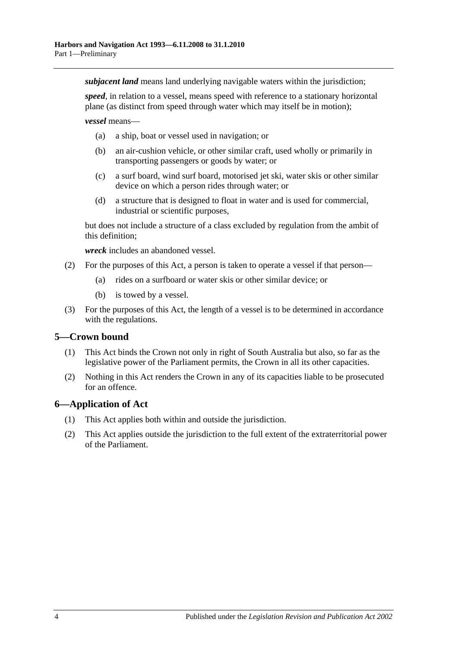*subjacent land* means land underlying navigable waters within the jurisdiction;

*speed*, in relation to a vessel, means speed with reference to a stationary horizontal plane (as distinct from speed through water which may itself be in motion);

*vessel* means—

- (a) a ship, boat or vessel used in navigation; or
- (b) an air-cushion vehicle, or other similar craft, used wholly or primarily in transporting passengers or goods by water; or
- (c) a surf board, wind surf board, motorised jet ski, water skis or other similar device on which a person rides through water; or
- (d) a structure that is designed to float in water and is used for commercial, industrial or scientific purposes,

but does not include a structure of a class excluded by regulation from the ambit of this definition;

*wreck* includes an abandoned vessel.

- (2) For the purposes of this Act, a person is taken to operate a vessel if that person—
	- (a) rides on a surfboard or water skis or other similar device; or
	- (b) is towed by a vessel.
- (3) For the purposes of this Act, the length of a vessel is to be determined in accordance with the regulations.

## <span id="page-9-0"></span>**5—Crown bound**

- (1) This Act binds the Crown not only in right of South Australia but also, so far as the legislative power of the Parliament permits, the Crown in all its other capacities.
- (2) Nothing in this Act renders the Crown in any of its capacities liable to be prosecuted for an offence.

## <span id="page-9-1"></span>**6—Application of Act**

- (1) This Act applies both within and outside the jurisdiction.
- (2) This Act applies outside the jurisdiction to the full extent of the extraterritorial power of the Parliament.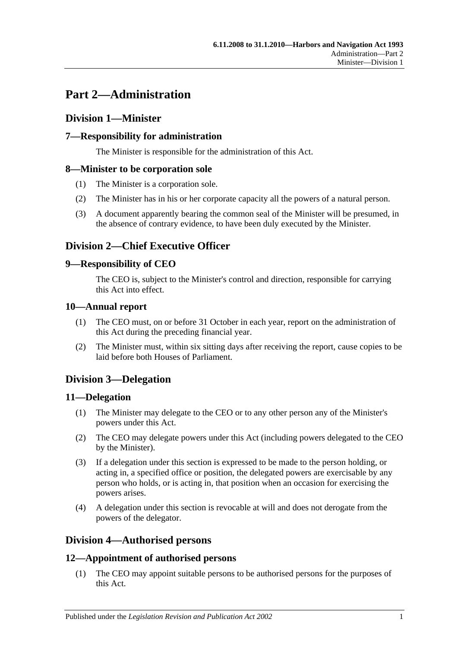# <span id="page-10-0"></span>**Part 2—Administration**

# <span id="page-10-1"></span>**Division 1—Minister**

# <span id="page-10-2"></span>**7—Responsibility for administration**

The Minister is responsible for the administration of this Act.

## <span id="page-10-3"></span>**8—Minister to be corporation sole**

- (1) The Minister is a corporation sole.
- (2) The Minister has in his or her corporate capacity all the powers of a natural person.
- (3) A document apparently bearing the common seal of the Minister will be presumed, in the absence of contrary evidence, to have been duly executed by the Minister.

# <span id="page-10-4"></span>**Division 2—Chief Executive Officer**

## <span id="page-10-5"></span>**9—Responsibility of CEO**

The CEO is, subject to the Minister's control and direction, responsible for carrying this Act into effect.

## <span id="page-10-6"></span>**10—Annual report**

- (1) The CEO must, on or before 31 October in each year, report on the administration of this Act during the preceding financial year.
- (2) The Minister must, within six sitting days after receiving the report, cause copies to be laid before both Houses of Parliament.

# <span id="page-10-7"></span>**Division 3—Delegation**

## <span id="page-10-8"></span>**11—Delegation**

- (1) The Minister may delegate to the CEO or to any other person any of the Minister's powers under this Act.
- (2) The CEO may delegate powers under this Act (including powers delegated to the CEO by the Minister).
- (3) If a delegation under this section is expressed to be made to the person holding, or acting in, a specified office or position, the delegated powers are exercisable by any person who holds, or is acting in, that position when an occasion for exercising the powers arises.
- (4) A delegation under this section is revocable at will and does not derogate from the powers of the delegator.

# <span id="page-10-9"></span>**Division 4—Authorised persons**

# <span id="page-10-10"></span>**12—Appointment of authorised persons**

(1) The CEO may appoint suitable persons to be authorised persons for the purposes of this Act.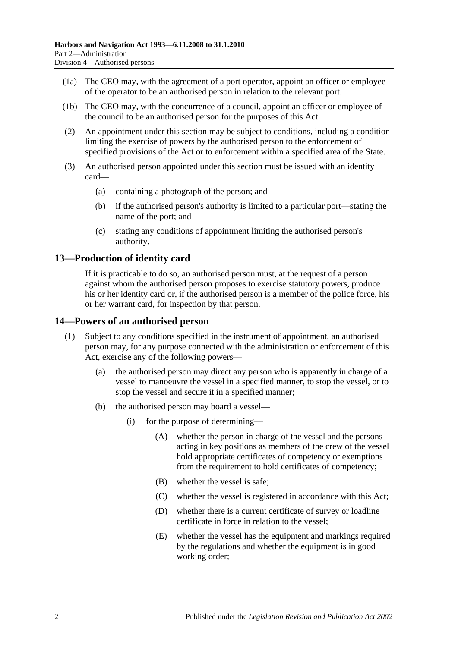- (1a) The CEO may, with the agreement of a port operator, appoint an officer or employee of the operator to be an authorised person in relation to the relevant port.
- (1b) The CEO may, with the concurrence of a council, appoint an officer or employee of the council to be an authorised person for the purposes of this Act.
- (2) An appointment under this section may be subject to conditions, including a condition limiting the exercise of powers by the authorised person to the enforcement of specified provisions of the Act or to enforcement within a specified area of the State.
- (3) An authorised person appointed under this section must be issued with an identity card—
	- (a) containing a photograph of the person; and
	- (b) if the authorised person's authority is limited to a particular port—stating the name of the port; and
	- (c) stating any conditions of appointment limiting the authorised person's authority.

## <span id="page-11-0"></span>**13—Production of identity card**

If it is practicable to do so, an authorised person must, at the request of a person against whom the authorised person proposes to exercise statutory powers, produce his or her identity card or, if the authorised person is a member of the police force, his or her warrant card, for inspection by that person.

## <span id="page-11-1"></span>**14—Powers of an authorised person**

- (1) Subject to any conditions specified in the instrument of appointment, an authorised person may, for any purpose connected with the administration or enforcement of this Act, exercise any of the following powers—
	- (a) the authorised person may direct any person who is apparently in charge of a vessel to manoeuvre the vessel in a specified manner, to stop the vessel, or to stop the vessel and secure it in a specified manner;
	- (b) the authorised person may board a vessel—
		- (i) for the purpose of determining—
			- (A) whether the person in charge of the vessel and the persons acting in key positions as members of the crew of the vessel hold appropriate certificates of competency or exemptions from the requirement to hold certificates of competency;
			- (B) whether the vessel is safe;
			- (C) whether the vessel is registered in accordance with this Act;
			- (D) whether there is a current certificate of survey or loadline certificate in force in relation to the vessel;
			- (E) whether the vessel has the equipment and markings required by the regulations and whether the equipment is in good working order;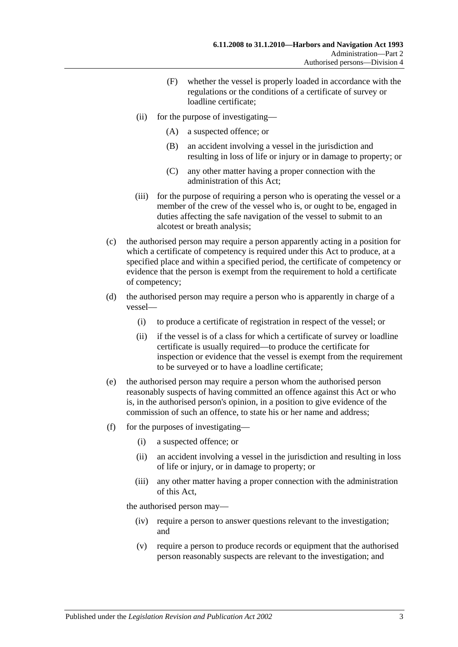- (F) whether the vessel is properly loaded in accordance with the regulations or the conditions of a certificate of survey or loadline certificate;
- (ii) for the purpose of investigating—
	- (A) a suspected offence; or
	- (B) an accident involving a vessel in the jurisdiction and resulting in loss of life or injury or in damage to property; or
	- (C) any other matter having a proper connection with the administration of this Act;
- (iii) for the purpose of requiring a person who is operating the vessel or a member of the crew of the vessel who is, or ought to be, engaged in duties affecting the safe navigation of the vessel to submit to an alcotest or breath analysis;
- (c) the authorised person may require a person apparently acting in a position for which a certificate of competency is required under this Act to produce, at a specified place and within a specified period, the certificate of competency or evidence that the person is exempt from the requirement to hold a certificate of competency;
- (d) the authorised person may require a person who is apparently in charge of a vessel—
	- (i) to produce a certificate of registration in respect of the vessel; or
	- (ii) if the vessel is of a class for which a certificate of survey or loadline certificate is usually required—to produce the certificate for inspection or evidence that the vessel is exempt from the requirement to be surveyed or to have a loadline certificate;
- (e) the authorised person may require a person whom the authorised person reasonably suspects of having committed an offence against this Act or who is, in the authorised person's opinion, in a position to give evidence of the commission of such an offence, to state his or her name and address;
- (f) for the purposes of investigating—
	- (i) a suspected offence; or
	- (ii) an accident involving a vessel in the jurisdiction and resulting in loss of life or injury, or in damage to property; or
	- (iii) any other matter having a proper connection with the administration of this Act,

the authorised person may—

- (iv) require a person to answer questions relevant to the investigation; and
- (v) require a person to produce records or equipment that the authorised person reasonably suspects are relevant to the investigation; and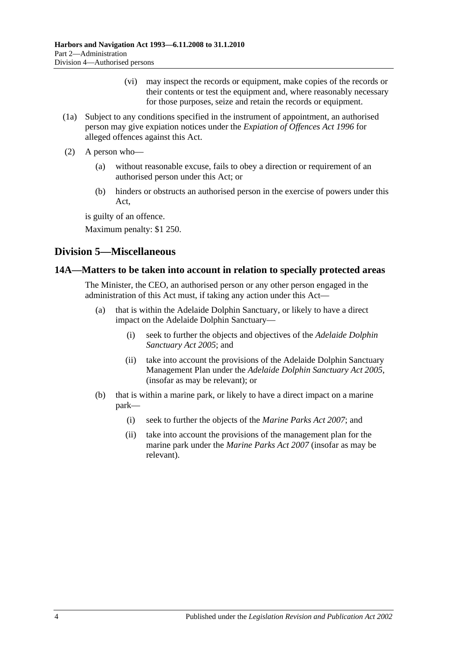- (vi) may inspect the records or equipment, make copies of the records or their contents or test the equipment and, where reasonably necessary for those purposes, seize and retain the records or equipment.
- (1a) Subject to any conditions specified in the instrument of appointment, an authorised person may give expiation notices under the *[Expiation of Offences Act](http://www.legislation.sa.gov.au/index.aspx?action=legref&type=act&legtitle=Expiation%20of%20Offences%20Act%201996) 1996* for alleged offences against this Act.
- (2) A person who—
	- (a) without reasonable excuse, fails to obey a direction or requirement of an authorised person under this Act; or
	- (b) hinders or obstructs an authorised person in the exercise of powers under this Act,

is guilty of an offence.

Maximum penalty: \$1 250.

# <span id="page-13-0"></span>**Division 5—Miscellaneous**

## <span id="page-13-1"></span>**14A—Matters to be taken into account in relation to specially protected areas**

The Minister, the CEO, an authorised person or any other person engaged in the administration of this Act must, if taking any action under this Act—

- (a) that is within the Adelaide Dolphin Sanctuary, or likely to have a direct impact on the Adelaide Dolphin Sanctuary—
	- (i) seek to further the objects and objectives of the *[Adelaide Dolphin](http://www.legislation.sa.gov.au/index.aspx?action=legref&type=act&legtitle=Adelaide%20Dolphin%20Sanctuary%20Act%202005)  [Sanctuary Act](http://www.legislation.sa.gov.au/index.aspx?action=legref&type=act&legtitle=Adelaide%20Dolphin%20Sanctuary%20Act%202005) 2005*; and
	- (ii) take into account the provisions of the Adelaide Dolphin Sanctuary Management Plan under the *[Adelaide Dolphin Sanctuary Act](http://www.legislation.sa.gov.au/index.aspx?action=legref&type=act&legtitle=Adelaide%20Dolphin%20Sanctuary%20Act%202005) 2005*, (insofar as may be relevant); or
- (b) that is within a marine park, or likely to have a direct impact on a marine park—
	- (i) seek to further the objects of the *[Marine Parks Act](http://www.legislation.sa.gov.au/index.aspx?action=legref&type=act&legtitle=Marine%20Parks%20Act%202007) 2007*; and
	- (ii) take into account the provisions of the management plan for the marine park under the *[Marine Parks Act](http://www.legislation.sa.gov.au/index.aspx?action=legref&type=act&legtitle=Marine%20Parks%20Act%202007) 2007* (insofar as may be relevant).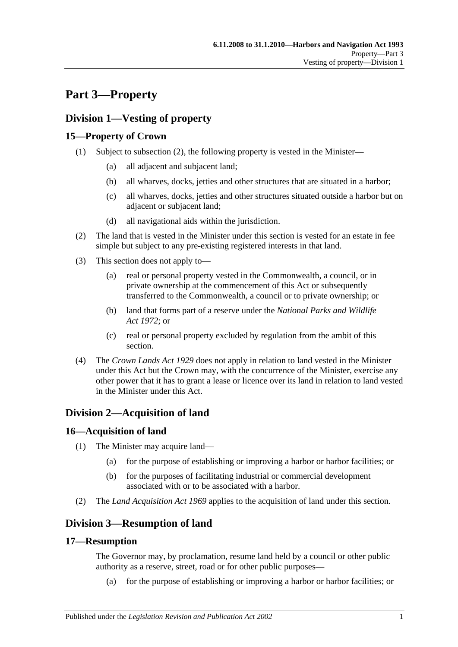# <span id="page-14-0"></span>**Part 3—Property**

# <span id="page-14-1"></span>**Division 1—Vesting of property**

# <span id="page-14-2"></span>**15—Property of Crown**

- (1) Subject to [subsection](#page-14-7) (2), the following property is vested in the Minister—
	- (a) all adjacent and subjacent land;
	- (b) all wharves, docks, jetties and other structures that are situated in a harbor;
	- (c) all wharves, docks, jetties and other structures situated outside a harbor but on adjacent or subjacent land;
	- (d) all navigational aids within the jurisdiction.
- <span id="page-14-7"></span>(2) The land that is vested in the Minister under this section is vested for an estate in fee simple but subject to any pre-existing registered interests in that land.
- (3) This section does not apply to—
	- (a) real or personal property vested in the Commonwealth, a council, or in private ownership at the commencement of this Act or subsequently transferred to the Commonwealth, a council or to private ownership; or
	- (b) land that forms part of a reserve under the *[National Parks and Wildlife](http://www.legislation.sa.gov.au/index.aspx?action=legref&type=act&legtitle=National%20Parks%20and%20Wildlife%20Act%201972)  Act [1972](http://www.legislation.sa.gov.au/index.aspx?action=legref&type=act&legtitle=National%20Parks%20and%20Wildlife%20Act%201972)*; or
	- (c) real or personal property excluded by regulation from the ambit of this section.
- (4) The *[Crown Lands Act](http://www.legislation.sa.gov.au/index.aspx?action=legref&type=act&legtitle=Crown%20Lands%20Act%201929) 1929* does not apply in relation to land vested in the Minister under this Act but the Crown may, with the concurrence of the Minister, exercise any other power that it has to grant a lease or licence over its land in relation to land vested in the Minister under this Act.

# <span id="page-14-3"></span>**Division 2—Acquisition of land**

# <span id="page-14-4"></span>**16—Acquisition of land**

- (1) The Minister may acquire land—
	- (a) for the purpose of establishing or improving a harbor or harbor facilities; or
	- (b) for the purposes of facilitating industrial or commercial development associated with or to be associated with a harbor.
- (2) The *[Land Acquisition Act](http://www.legislation.sa.gov.au/index.aspx?action=legref&type=act&legtitle=Land%20Acquisition%20Act%201969) 1969* applies to the acquisition of land under this section.

# <span id="page-14-5"></span>**Division 3—Resumption of land**

# <span id="page-14-6"></span>**17—Resumption**

The Governor may, by proclamation, resume land held by a council or other public authority as a reserve, street, road or for other public purposes—

(a) for the purpose of establishing or improving a harbor or harbor facilities; or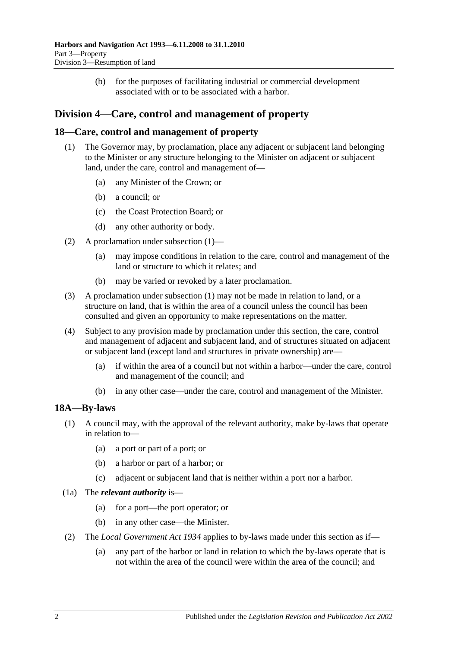(b) for the purposes of facilitating industrial or commercial development associated with or to be associated with a harbor.

# <span id="page-15-0"></span>**Division 4—Care, control and management of property**

## <span id="page-15-3"></span><span id="page-15-1"></span>**18—Care, control and management of property**

- (1) The Governor may, by proclamation, place any adjacent or subjacent land belonging to the Minister or any structure belonging to the Minister on adjacent or subjacent land, under the care, control and management of—
	- (a) any Minister of the Crown; or
	- (b) a council; or
	- (c) the Coast Protection Board; or
	- (d) any other authority or body.
- (2) A proclamation under [subsection](#page-15-3) (1)—
	- (a) may impose conditions in relation to the care, control and management of the land or structure to which it relates; and
	- (b) may be varied or revoked by a later proclamation.
- (3) A proclamation under [subsection](#page-15-3) (1) may not be made in relation to land, or a structure on land, that is within the area of a council unless the council has been consulted and given an opportunity to make representations on the matter.
- (4) Subject to any provision made by proclamation under this section, the care, control and management of adjacent and subjacent land, and of structures situated on adjacent or subjacent land (except land and structures in private ownership) are—
	- (a) if within the area of a council but not within a harbor—under the care, control and management of the council; and
	- (b) in any other case—under the care, control and management of the Minister.

# <span id="page-15-2"></span>**18A—By-laws**

- (1) A council may, with the approval of the relevant authority, make by-laws that operate in relation to—
	- (a) a port or part of a port; or
	- (b) a harbor or part of a harbor; or
	- (c) adjacent or subjacent land that is neither within a port nor a harbor.
- (1a) The *relevant authority* is—
	- (a) for a port—the port operator; or
	- (b) in any other case—the Minister.
- (2) The *[Local Government Act](http://www.legislation.sa.gov.au/index.aspx?action=legref&type=act&legtitle=Local%20Government%20Act%201934) 1934* applies to by-laws made under this section as if—
	- (a) any part of the harbor or land in relation to which the by-laws operate that is not within the area of the council were within the area of the council; and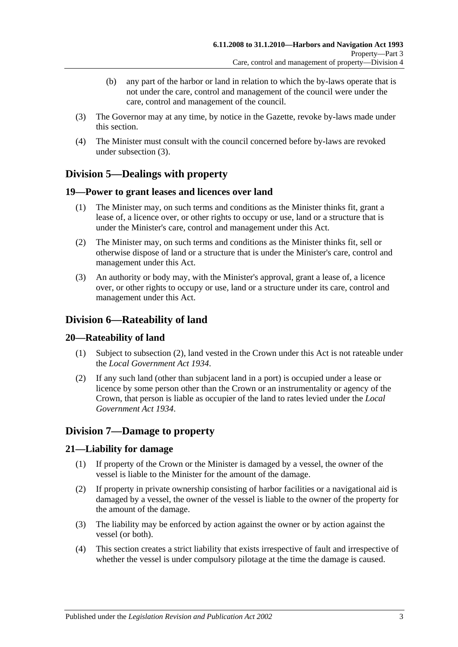- (b) any part of the harbor or land in relation to which the by-laws operate that is not under the care, control and management of the council were under the care, control and management of the council.
- <span id="page-16-6"></span>(3) The Governor may at any time, by notice in the Gazette, revoke by-laws made under this section.
- (4) The Minister must consult with the council concerned before by-laws are revoked under [subsection](#page-16-6) (3).

# <span id="page-16-0"></span>**Division 5—Dealings with property**

## <span id="page-16-1"></span>**19—Power to grant leases and licences over land**

- (1) The Minister may, on such terms and conditions as the Minister thinks fit, grant a lease of, a licence over, or other rights to occupy or use, land or a structure that is under the Minister's care, control and management under this Act.
- (2) The Minister may, on such terms and conditions as the Minister thinks fit, sell or otherwise dispose of land or a structure that is under the Minister's care, control and management under this Act.
- (3) An authority or body may, with the Minister's approval, grant a lease of, a licence over, or other rights to occupy or use, land or a structure under its care, control and management under this Act.

# <span id="page-16-2"></span>**Division 6—Rateability of land**

## <span id="page-16-3"></span>**20—Rateability of land**

- (1) Subject to [subsection](#page-16-7) (2), land vested in the Crown under this Act is not rateable under the *[Local Government Act](http://www.legislation.sa.gov.au/index.aspx?action=legref&type=act&legtitle=Local%20Government%20Act%201934) 1934*.
- <span id="page-16-7"></span>(2) If any such land (other than subjacent land in a port) is occupied under a lease or licence by some person other than the Crown or an instrumentality or agency of the Crown, that person is liable as occupier of the land to rates levied under the *[Local](http://www.legislation.sa.gov.au/index.aspx?action=legref&type=act&legtitle=Local%20Government%20Act%201934)  [Government Act](http://www.legislation.sa.gov.au/index.aspx?action=legref&type=act&legtitle=Local%20Government%20Act%201934) 1934*.

# <span id="page-16-4"></span>**Division 7—Damage to property**

## <span id="page-16-5"></span>**21—Liability for damage**

- (1) If property of the Crown or the Minister is damaged by a vessel, the owner of the vessel is liable to the Minister for the amount of the damage.
- (2) If property in private ownership consisting of harbor facilities or a navigational aid is damaged by a vessel, the owner of the vessel is liable to the owner of the property for the amount of the damage.
- (3) The liability may be enforced by action against the owner or by action against the vessel (or both).
- (4) This section creates a strict liability that exists irrespective of fault and irrespective of whether the vessel is under compulsory pilotage at the time the damage is caused.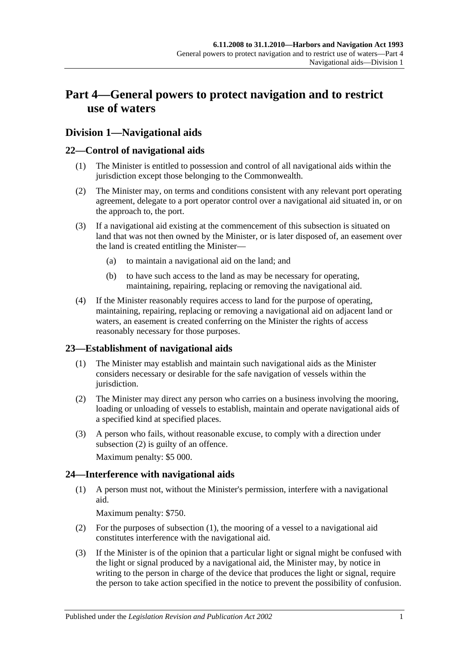# <span id="page-18-0"></span>**Part 4—General powers to protect navigation and to restrict use of waters**

# <span id="page-18-1"></span>**Division 1—Navigational aids**

## <span id="page-18-2"></span>**22—Control of navigational aids**

- (1) The Minister is entitled to possession and control of all navigational aids within the jurisdiction except those belonging to the Commonwealth.
- (2) The Minister may, on terms and conditions consistent with any relevant port operating agreement, delegate to a port operator control over a navigational aid situated in, or on the approach to, the port.
- (3) If a navigational aid existing at the commencement of this subsection is situated on land that was not then owned by the Minister, or is later disposed of, an easement over the land is created entitling the Minister—
	- (a) to maintain a navigational aid on the land; and
	- (b) to have such access to the land as may be necessary for operating, maintaining, repairing, replacing or removing the navigational aid.
- (4) If the Minister reasonably requires access to land for the purpose of operating, maintaining, repairing, replacing or removing a navigational aid on adjacent land or waters, an easement is created conferring on the Minister the rights of access reasonably necessary for those purposes.

## <span id="page-18-3"></span>**23—Establishment of navigational aids**

- (1) The Minister may establish and maintain such navigational aids as the Minister considers necessary or desirable for the safe navigation of vessels within the jurisdiction.
- <span id="page-18-5"></span>(2) The Minister may direct any person who carries on a business involving the mooring, loading or unloading of vessels to establish, maintain and operate navigational aids of a specified kind at specified places.
- (3) A person who fails, without reasonable excuse, to comply with a direction under [subsection](#page-18-5) (2) is guilty of an offence.

Maximum penalty: \$5 000.

# <span id="page-18-6"></span><span id="page-18-4"></span>**24—Interference with navigational aids**

(1) A person must not, without the Minister's permission, interfere with a navigational aid.

Maximum penalty: \$750.

- (2) For the purposes of [subsection](#page-18-6) (1), the mooring of a vessel to a navigational aid constitutes interference with the navigational aid.
- <span id="page-18-7"></span>(3) If the Minister is of the opinion that a particular light or signal might be confused with the light or signal produced by a navigational aid, the Minister may, by notice in writing to the person in charge of the device that produces the light or signal, require the person to take action specified in the notice to prevent the possibility of confusion.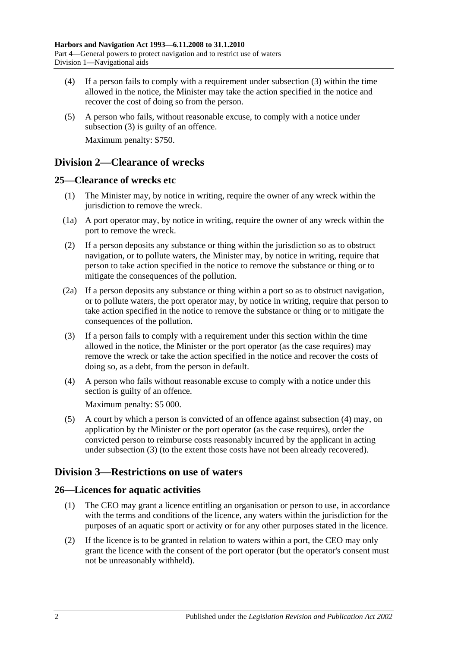- (4) If a person fails to comply with a requirement under [subsection](#page-18-7) (3) within the time allowed in the notice, the Minister may take the action specified in the notice and recover the cost of doing so from the person.
- (5) A person who fails, without reasonable excuse, to comply with a notice under [subsection](#page-18-7) (3) is guilty of an offence. Maximum penalty: \$750.

# <span id="page-19-0"></span>**Division 2—Clearance of wrecks**

## <span id="page-19-1"></span>**25—Clearance of wrecks etc**

- (1) The Minister may, by notice in writing, require the owner of any wreck within the jurisdiction to remove the wreck.
- (1a) A port operator may, by notice in writing, require the owner of any wreck within the port to remove the wreck.
- (2) If a person deposits any substance or thing within the jurisdiction so as to obstruct navigation, or to pollute waters, the Minister may, by notice in writing, require that person to take action specified in the notice to remove the substance or thing or to mitigate the consequences of the pollution.
- (2a) If a person deposits any substance or thing within a port so as to obstruct navigation, or to pollute waters, the port operator may, by notice in writing, require that person to take action specified in the notice to remove the substance or thing or to mitigate the consequences of the pollution.
- <span id="page-19-5"></span>(3) If a person fails to comply with a requirement under this section within the time allowed in the notice, the Minister or the port operator (as the case requires) may remove the wreck or take the action specified in the notice and recover the costs of doing so, as a debt, from the person in default.
- <span id="page-19-4"></span>(4) A person who fails without reasonable excuse to comply with a notice under this section is guilty of an offence.

Maximum penalty: \$5 000.

(5) A court by which a person is convicted of an offence against [subsection](#page-19-4) (4) may, on application by the Minister or the port operator (as the case requires), order the convicted person to reimburse costs reasonably incurred by the applicant in acting under [subsection](#page-19-5) (3) (to the extent those costs have not been already recovered).

# <span id="page-19-2"></span>**Division 3—Restrictions on use of waters**

# <span id="page-19-3"></span>**26—Licences for aquatic activities**

- (1) The CEO may grant a licence entitling an organisation or person to use, in accordance with the terms and conditions of the licence, any waters within the jurisdiction for the purposes of an aquatic sport or activity or for any other purposes stated in the licence.
- (2) If the licence is to be granted in relation to waters within a port, the CEO may only grant the licence with the consent of the port operator (but the operator's consent must not be unreasonably withheld).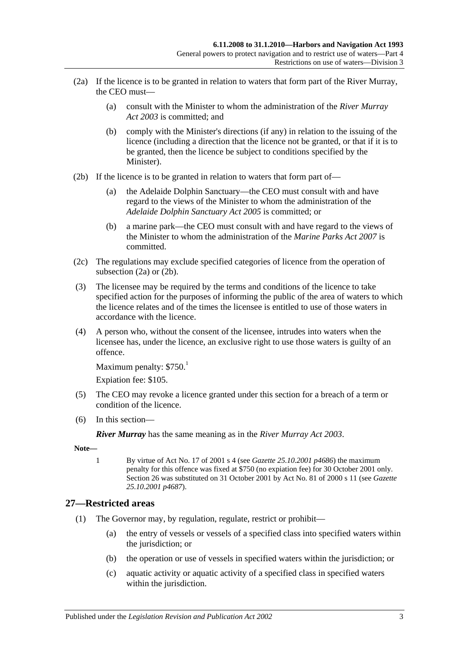- <span id="page-20-1"></span>(2a) If the licence is to be granted in relation to waters that form part of the River Murray, the CEO must—
	- (a) consult with the Minister to whom the administration of the *[River Murray](http://www.legislation.sa.gov.au/index.aspx?action=legref&type=act&legtitle=River%20Murray%20Act%202003)  Act [2003](http://www.legislation.sa.gov.au/index.aspx?action=legref&type=act&legtitle=River%20Murray%20Act%202003)* is committed; and
	- (b) comply with the Minister's directions (if any) in relation to the issuing of the licence (including a direction that the licence not be granted, or that if it is to be granted, then the licence be subject to conditions specified by the Minister).
- <span id="page-20-2"></span>(2b) If the licence is to be granted in relation to waters that form part of—
	- (a) the Adelaide Dolphin Sanctuary—the CEO must consult with and have regard to the views of the Minister to whom the administration of the *[Adelaide Dolphin Sanctuary Act](http://www.legislation.sa.gov.au/index.aspx?action=legref&type=act&legtitle=Adelaide%20Dolphin%20Sanctuary%20Act%202005) 2005* is committed; or
	- (b) a marine park—the CEO must consult with and have regard to the views of the Minister to whom the administration of the *[Marine Parks Act](http://www.legislation.sa.gov.au/index.aspx?action=legref&type=act&legtitle=Marine%20Parks%20Act%202007) 2007* is committed.
- (2c) The regulations may exclude specified categories of licence from the operation of [subsection](#page-20-1) (2a) or [\(2b\).](#page-20-2)
- (3) The licensee may be required by the terms and conditions of the licence to take specified action for the purposes of informing the public of the area of waters to which the licence relates and of the times the licensee is entitled to use of those waters in accordance with the licence.
- (4) A person who, without the consent of the licensee, intrudes into waters when the licensee has, under the licence, an exclusive right to use those waters is guilty of an offence.

```
Maximum penalty: $750<sup>1</sup>
```
Expiation fee: \$105.

- (5) The CEO may revoke a licence granted under this section for a breach of a term or condition of the licence.
- (6) In this section—

*River Murray* has the same meaning as in the *[River Murray Act](http://www.legislation.sa.gov.au/index.aspx?action=legref&type=act&legtitle=River%20Murray%20Act%202003) 2003*.

**Note—**

1 By virtue of Act No. 17 of 2001 s 4 (see *Gazette 25.10.2001 p4686*) the maximum penalty for this offence was fixed at \$750 (no expiation fee) for 30 October 2001 only. Section 26 was substituted on 31 October 2001 by Act No. 81 of 2000 s 11 (see *Gazette 25.10.2001 p4687*).

## <span id="page-20-3"></span><span id="page-20-0"></span>**27—Restricted areas**

- (1) The Governor may, by regulation, regulate, restrict or prohibit—
	- (a) the entry of vessels or vessels of a specified class into specified waters within the jurisdiction; or
	- (b) the operation or use of vessels in specified waters within the jurisdiction; or
	- (c) aquatic activity or aquatic activity of a specified class in specified waters within the jurisdiction.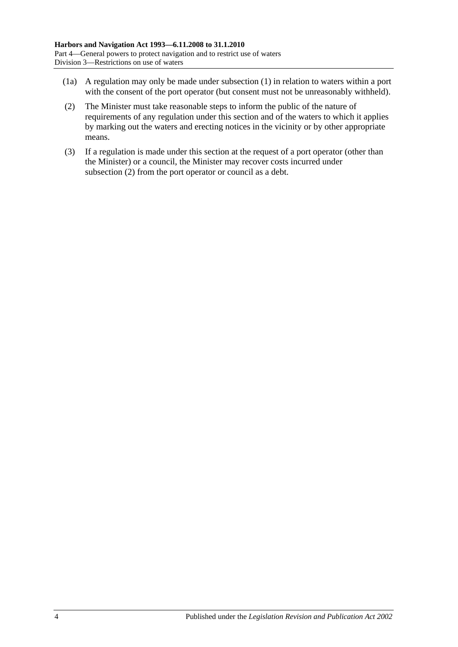- (1a) A regulation may only be made under [subsection](#page-20-3) (1) in relation to waters within a port with the consent of the port operator (but consent must not be unreasonably withheld).
- <span id="page-21-0"></span>(2) The Minister must take reasonable steps to inform the public of the nature of requirements of any regulation under this section and of the waters to which it applies by marking out the waters and erecting notices in the vicinity or by other appropriate means.
- (3) If a regulation is made under this section at the request of a port operator (other than the Minister) or a council, the Minister may recover costs incurred under [subsection](#page-21-0) (2) from the port operator or council as a debt.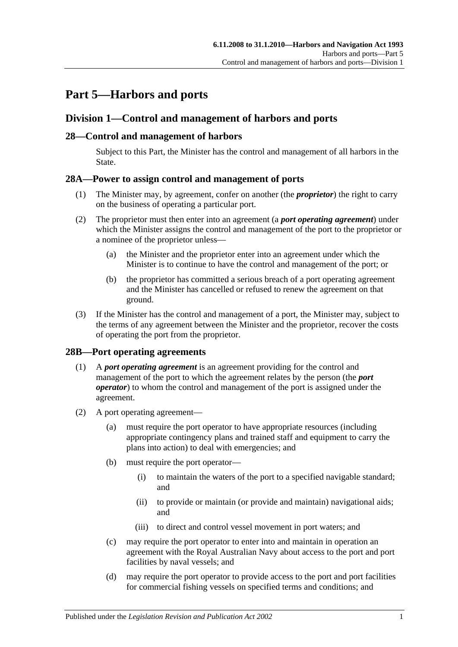# <span id="page-22-0"></span>**Part 5—Harbors and ports**

# <span id="page-22-1"></span>**Division 1—Control and management of harbors and ports**

## <span id="page-22-2"></span>**28—Control and management of harbors**

Subject to this Part, the Minister has the control and management of all harbors in the State.

## <span id="page-22-3"></span>**28A—Power to assign control and management of ports**

- (1) The Minister may, by agreement, confer on another (the *proprietor*) the right to carry on the business of operating a particular port.
- (2) The proprietor must then enter into an agreement (a *port operating agreement*) under which the Minister assigns the control and management of the port to the proprietor or a nominee of the proprietor unless—
	- (a) the Minister and the proprietor enter into an agreement under which the Minister is to continue to have the control and management of the port; or
	- (b) the proprietor has committed a serious breach of a port operating agreement and the Minister has cancelled or refused to renew the agreement on that ground.
- (3) If the Minister has the control and management of a port, the Minister may, subject to the terms of any agreement between the Minister and the proprietor, recover the costs of operating the port from the proprietor.

## <span id="page-22-4"></span>**28B—Port operating agreements**

- (1) A *port operating agreement* is an agreement providing for the control and management of the port to which the agreement relates by the person (the *port operator*) to whom the control and management of the port is assigned under the agreement.
- (2) A port operating agreement—
	- (a) must require the port operator to have appropriate resources (including appropriate contingency plans and trained staff and equipment to carry the plans into action) to deal with emergencies; and
	- (b) must require the port operator—
		- (i) to maintain the waters of the port to a specified navigable standard; and
		- (ii) to provide or maintain (or provide and maintain) navigational aids; and
		- (iii) to direct and control vessel movement in port waters; and
	- (c) may require the port operator to enter into and maintain in operation an agreement with the Royal Australian Navy about access to the port and port facilities by naval vessels; and
	- (d) may require the port operator to provide access to the port and port facilities for commercial fishing vessels on specified terms and conditions; and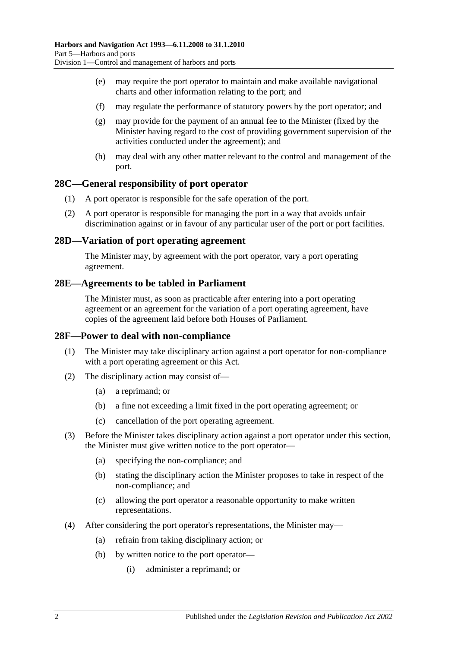- (e) may require the port operator to maintain and make available navigational charts and other information relating to the port; and
- (f) may regulate the performance of statutory powers by the port operator; and
- (g) may provide for the payment of an annual fee to the Minister (fixed by the Minister having regard to the cost of providing government supervision of the activities conducted under the agreement); and
- (h) may deal with any other matter relevant to the control and management of the port.

## <span id="page-23-0"></span>**28C—General responsibility of port operator**

- (1) A port operator is responsible for the safe operation of the port.
- (2) A port operator is responsible for managing the port in a way that avoids unfair discrimination against or in favour of any particular user of the port or port facilities.

#### <span id="page-23-1"></span>**28D—Variation of port operating agreement**

The Minister may, by agreement with the port operator, vary a port operating agreement.

#### <span id="page-23-2"></span>**28E—Agreements to be tabled in Parliament**

The Minister must, as soon as practicable after entering into a port operating agreement or an agreement for the variation of a port operating agreement, have copies of the agreement laid before both Houses of Parliament.

#### <span id="page-23-3"></span>**28F—Power to deal with non-compliance**

- (1) The Minister may take disciplinary action against a port operator for non-compliance with a port operating agreement or this Act.
- (2) The disciplinary action may consist of—
	- (a) a reprimand; or
	- (b) a fine not exceeding a limit fixed in the port operating agreement; or
	- (c) cancellation of the port operating agreement.
- (3) Before the Minister takes disciplinary action against a port operator under this section, the Minister must give written notice to the port operator—
	- (a) specifying the non-compliance; and
	- (b) stating the disciplinary action the Minister proposes to take in respect of the non-compliance; and
	- (c) allowing the port operator a reasonable opportunity to make written representations.
- (4) After considering the port operator's representations, the Minister may—
	- (a) refrain from taking disciplinary action; or
	- (b) by written notice to the port operator—
		- (i) administer a reprimand; or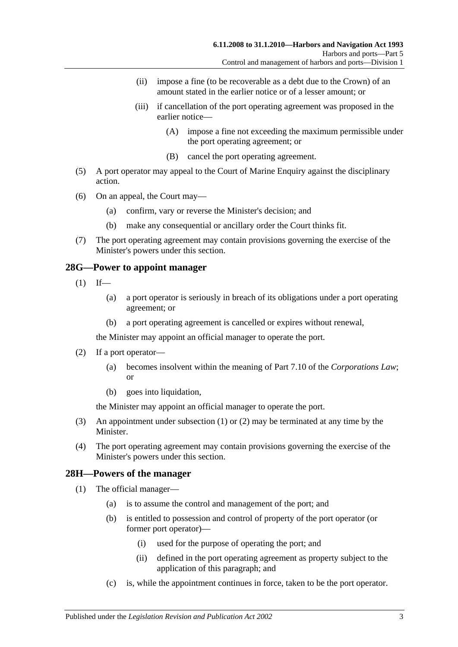- (ii) impose a fine (to be recoverable as a debt due to the Crown) of an amount stated in the earlier notice or of a lesser amount; or
- (iii) if cancellation of the port operating agreement was proposed in the earlier notice—
	- (A) impose a fine not exceeding the maximum permissible under the port operating agreement; or
	- (B) cancel the port operating agreement.
- (5) A port operator may appeal to the Court of Marine Enquiry against the disciplinary action.
- (6) On an appeal, the Court may—
	- (a) confirm, vary or reverse the Minister's decision; and
	- (b) make any consequential or ancillary order the Court thinks fit.
- (7) The port operating agreement may contain provisions governing the exercise of the Minister's powers under this section.

## <span id="page-24-2"></span><span id="page-24-0"></span>**28G—Power to appoint manager**

- $(1)$  If—
	- (a) a port operator is seriously in breach of its obligations under a port operating agreement; or
	- (b) a port operating agreement is cancelled or expires without renewal,

the Minister may appoint an official manager to operate the port.

- <span id="page-24-3"></span>(2) If a port operator—
	- (a) becomes insolvent within the meaning of Part 7.10 of the *Corporations Law*; or
	- (b) goes into liquidation,

the Minister may appoint an official manager to operate the port.

- (3) An appointment under [subsection](#page-24-2) (1) or [\(2\)](#page-24-3) may be terminated at any time by the Minister.
- (4) The port operating agreement may contain provisions governing the exercise of the Minister's powers under this section.

## <span id="page-24-4"></span><span id="page-24-1"></span>**28H—Powers of the manager**

- (1) The official manager—
	- (a) is to assume the control and management of the port; and
	- (b) is entitled to possession and control of property of the port operator (or former port operator)—
		- (i) used for the purpose of operating the port; and
		- (ii) defined in the port operating agreement as property subject to the application of this paragraph; and
	- (c) is, while the appointment continues in force, taken to be the port operator.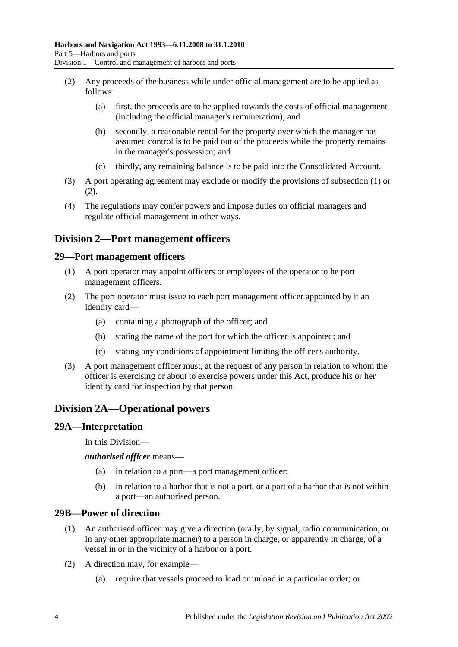- <span id="page-25-5"></span>(2) Any proceeds of the business while under official management are to be applied as follows:
	- (a) first, the proceeds are to be applied towards the costs of official management (including the official manager's remuneration); and
	- (b) secondly, a reasonable rental for the property over which the manager has assumed control is to be paid out of the proceeds while the property remains in the manager's possession; and
	- (c) thirdly, any remaining balance is to be paid into the Consolidated Account.
- (3) A port operating agreement may exclude or modify the provisions of [subsection](#page-24-4) (1) or [\(2\).](#page-25-5)
- (4) The regulations may confer powers and impose duties on official managers and regulate official management in other ways.

# <span id="page-25-0"></span>**Division 2—Port management officers**

#### <span id="page-25-1"></span>**29—Port management officers**

- (1) A port operator may appoint officers or employees of the operator to be port management officers.
- (2) The port operator must issue to each port management officer appointed by it an identity card—
	- (a) containing a photograph of the officer; and
	- (b) stating the name of the port for which the officer is appointed; and
	- (c) stating any conditions of appointment limiting the officer's authority.
- (3) A port management officer must, at the request of any person in relation to whom the officer is exercising or about to exercise powers under this Act, produce his or her identity card for inspection by that person.

# <span id="page-25-2"></span>**Division 2A—Operational powers**

#### <span id="page-25-3"></span>**29A—Interpretation**

In this Division—

*authorised officer* means—

- (a) in relation to a port—a port management officer;
- (b) in relation to a harbor that is not a port, or a part of a harbor that is not within a port—an authorised person.

#### <span id="page-25-4"></span>**29B—Power of direction**

- (1) An authorised officer may give a direction (orally, by signal, radio communication, or in any other appropriate manner) to a person in charge, or apparently in charge, of a vessel in or in the vicinity of a harbor or a port.
- (2) A direction may, for example—
	- (a) require that vessels proceed to load or unload in a particular order; or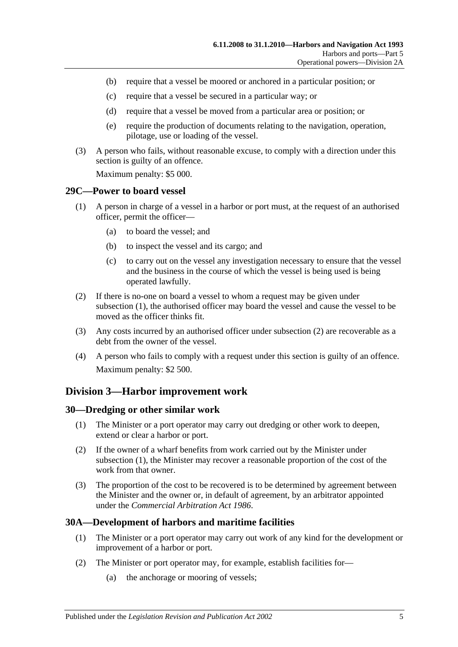- (b) require that a vessel be moored or anchored in a particular position; or
- (c) require that a vessel be secured in a particular way; or
- (d) require that a vessel be moved from a particular area or position; or
- (e) require the production of documents relating to the navigation, operation, pilotage, use or loading of the vessel.
- (3) A person who fails, without reasonable excuse, to comply with a direction under this section is guilty of an offence.

Maximum penalty: \$5 000.

#### <span id="page-26-4"></span><span id="page-26-0"></span>**29C—Power to board vessel**

- (1) A person in charge of a vessel in a harbor or port must, at the request of an authorised officer, permit the officer—
	- (a) to board the vessel; and
	- (b) to inspect the vessel and its cargo; and
	- (c) to carry out on the vessel any investigation necessary to ensure that the vessel and the business in the course of which the vessel is being used is being operated lawfully.
- <span id="page-26-5"></span>(2) If there is no-one on board a vessel to whom a request may be given under [subsection](#page-26-4) (1), the authorised officer may board the vessel and cause the vessel to be moved as the officer thinks fit.
- (3) Any costs incurred by an authorised officer under [subsection](#page-26-5) (2) are recoverable as a debt from the owner of the vessel.
- (4) A person who fails to comply with a request under this section is guilty of an offence. Maximum penalty: \$2 500.

## <span id="page-26-1"></span>**Division 3—Harbor improvement work**

#### <span id="page-26-6"></span><span id="page-26-2"></span>**30—Dredging or other similar work**

- (1) The Minister or a port operator may carry out dredging or other work to deepen, extend or clear a harbor or port.
- (2) If the owner of a wharf benefits from work carried out by the Minister under [subsection](#page-26-6) (1), the Minister may recover a reasonable proportion of the cost of the work from that owner.
- (3) The proportion of the cost to be recovered is to be determined by agreement between the Minister and the owner or, in default of agreement, by an arbitrator appointed under the *[Commercial Arbitration Act](http://www.legislation.sa.gov.au/index.aspx?action=legref&type=act&legtitle=Commercial%20Arbitration%20Act%201986) 1986*.

## <span id="page-26-3"></span>**30A—Development of harbors and maritime facilities**

- (1) The Minister or a port operator may carry out work of any kind for the development or improvement of a harbor or port.
- (2) The Minister or port operator may, for example, establish facilities for—
	- (a) the anchorage or mooring of vessels;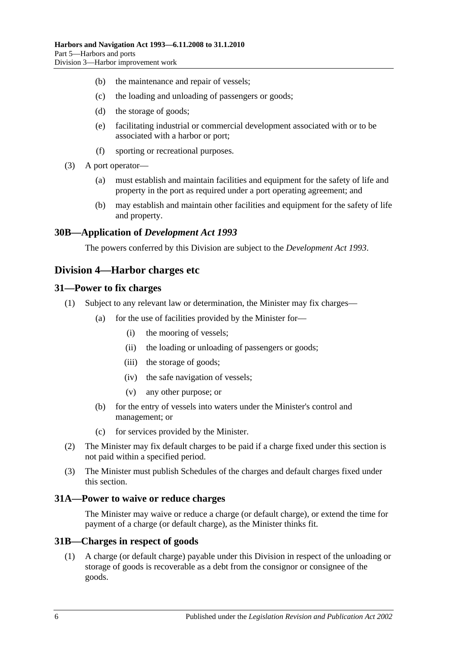- (b) the maintenance and repair of vessels;
- (c) the loading and unloading of passengers or goods;
- (d) the storage of goods;
- (e) facilitating industrial or commercial development associated with or to be associated with a harbor or port;
- (f) sporting or recreational purposes.
- (3) A port operator—
	- (a) must establish and maintain facilities and equipment for the safety of life and property in the port as required under a port operating agreement; and
	- (b) may establish and maintain other facilities and equipment for the safety of life and property.

## <span id="page-27-0"></span>**30B—Application of** *Development Act 1993*

The powers conferred by this Division are subject to the *[Development Act](http://www.legislation.sa.gov.au/index.aspx?action=legref&type=act&legtitle=Development%20Act%201993) 1993*.

## <span id="page-27-1"></span>**Division 4—Harbor charges etc**

#### <span id="page-27-2"></span>**31—Power to fix charges**

- (1) Subject to any relevant law or determination, the Minister may fix charges—
	- (a) for the use of facilities provided by the Minister for—
		- (i) the mooring of vessels;
		- (ii) the loading or unloading of passengers or goods;
		- (iii) the storage of goods;
		- (iv) the safe navigation of vessels;
		- (v) any other purpose; or
	- (b) for the entry of vessels into waters under the Minister's control and management; or
	- (c) for services provided by the Minister.
- (2) The Minister may fix default charges to be paid if a charge fixed under this section is not paid within a specified period.
- (3) The Minister must publish Schedules of the charges and default charges fixed under this section.

#### <span id="page-27-3"></span>**31A—Power to waive or reduce charges**

The Minister may waive or reduce a charge (or default charge), or extend the time for payment of a charge (or default charge), as the Minister thinks fit.

#### <span id="page-27-4"></span>**31B—Charges in respect of goods**

(1) A charge (or default charge) payable under this Division in respect of the unloading or storage of goods is recoverable as a debt from the consignor or consignee of the goods.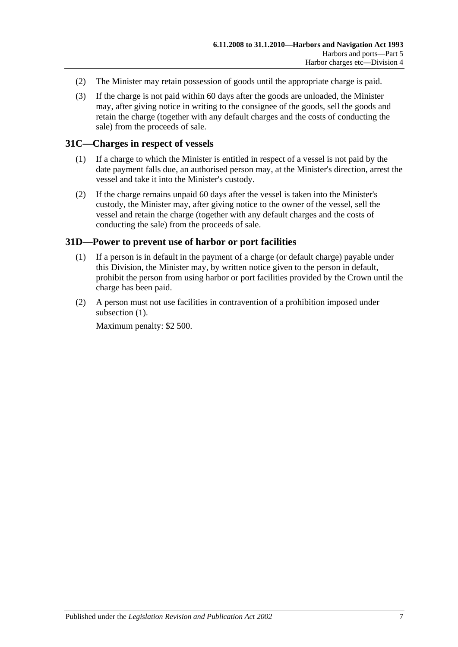- (2) The Minister may retain possession of goods until the appropriate charge is paid.
- (3) If the charge is not paid within 60 days after the goods are unloaded, the Minister may, after giving notice in writing to the consignee of the goods, sell the goods and retain the charge (together with any default charges and the costs of conducting the sale) from the proceeds of sale.

## <span id="page-28-0"></span>**31C—Charges in respect of vessels**

- (1) If a charge to which the Minister is entitled in respect of a vessel is not paid by the date payment falls due, an authorised person may, at the Minister's direction, arrest the vessel and take it into the Minister's custody.
- (2) If the charge remains unpaid 60 days after the vessel is taken into the Minister's custody, the Minister may, after giving notice to the owner of the vessel, sell the vessel and retain the charge (together with any default charges and the costs of conducting the sale) from the proceeds of sale.

## <span id="page-28-2"></span><span id="page-28-1"></span>**31D—Power to prevent use of harbor or port facilities**

- (1) If a person is in default in the payment of a charge (or default charge) payable under this Division, the Minister may, by written notice given to the person in default, prohibit the person from using harbor or port facilities provided by the Crown until the charge has been paid.
- (2) A person must not use facilities in contravention of a prohibition imposed under [subsection](#page-28-2)  $(1)$ .

Maximum penalty: \$2 500.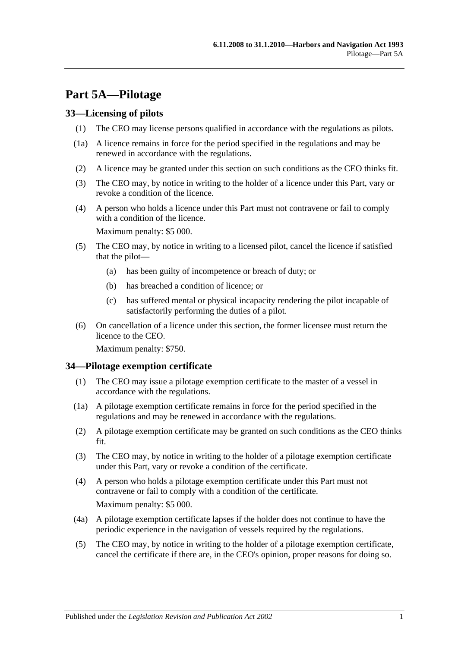# <span id="page-30-0"></span>**Part 5A—Pilotage**

## <span id="page-30-1"></span>**33—Licensing of pilots**

- (1) The CEO may license persons qualified in accordance with the regulations as pilots.
- (1a) A licence remains in force for the period specified in the regulations and may be renewed in accordance with the regulations.
- (2) A licence may be granted under this section on such conditions as the CEO thinks fit.
- (3) The CEO may, by notice in writing to the holder of a licence under this Part, vary or revoke a condition of the licence.
- (4) A person who holds a licence under this Part must not contravene or fail to comply with a condition of the licence.

Maximum penalty: \$5 000.

- (5) The CEO may, by notice in writing to a licensed pilot, cancel the licence if satisfied that the pilot—
	- (a) has been guilty of incompetence or breach of duty; or
	- (b) has breached a condition of licence; or
	- (c) has suffered mental or physical incapacity rendering the pilot incapable of satisfactorily performing the duties of a pilot.
- (6) On cancellation of a licence under this section, the former licensee must return the licence to the CEO.

Maximum penalty: \$750.

#### <span id="page-30-2"></span>**34—Pilotage exemption certificate**

- (1) The CEO may issue a pilotage exemption certificate to the master of a vessel in accordance with the regulations.
- (1a) A pilotage exemption certificate remains in force for the period specified in the regulations and may be renewed in accordance with the regulations.
- (2) A pilotage exemption certificate may be granted on such conditions as the CEO thinks fit.
- (3) The CEO may, by notice in writing to the holder of a pilotage exemption certificate under this Part, vary or revoke a condition of the certificate.
- (4) A person who holds a pilotage exemption certificate under this Part must not contravene or fail to comply with a condition of the certificate. Maximum penalty: \$5 000.
- (4a) A pilotage exemption certificate lapses if the holder does not continue to have the periodic experience in the navigation of vessels required by the regulations.
- (5) The CEO may, by notice in writing to the holder of a pilotage exemption certificate, cancel the certificate if there are, in the CEO's opinion, proper reasons for doing so.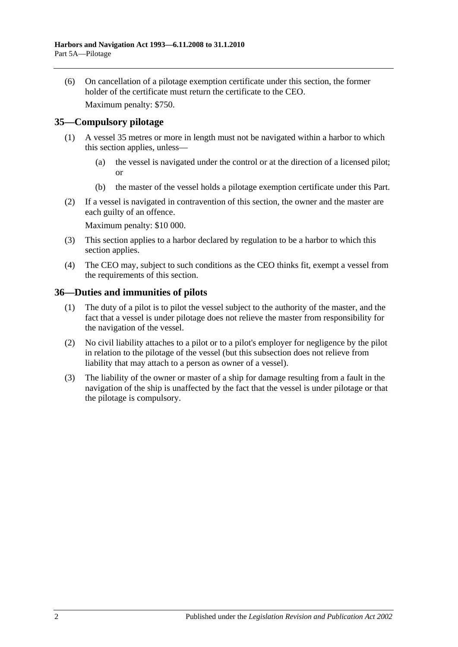(6) On cancellation of a pilotage exemption certificate under this section, the former holder of the certificate must return the certificate to the CEO.

Maximum penalty: \$750.

## <span id="page-31-0"></span>**35—Compulsory pilotage**

- (1) A vessel 35 metres or more in length must not be navigated within a harbor to which this section applies, unless—
	- (a) the vessel is navigated under the control or at the direction of a licensed pilot; or
	- (b) the master of the vessel holds a pilotage exemption certificate under this Part.
- (2) If a vessel is navigated in contravention of this section, the owner and the master are each guilty of an offence.

Maximum penalty: \$10 000.

- (3) This section applies to a harbor declared by regulation to be a harbor to which this section applies.
- (4) The CEO may, subject to such conditions as the CEO thinks fit, exempt a vessel from the requirements of this section.

## <span id="page-31-1"></span>**36—Duties and immunities of pilots**

- (1) The duty of a pilot is to pilot the vessel subject to the authority of the master, and the fact that a vessel is under pilotage does not relieve the master from responsibility for the navigation of the vessel.
- (2) No civil liability attaches to a pilot or to a pilot's employer for negligence by the pilot in relation to the pilotage of the vessel (but this subsection does not relieve from liability that may attach to a person as owner of a vessel).
- (3) The liability of the owner or master of a ship for damage resulting from a fault in the navigation of the ship is unaffected by the fact that the vessel is under pilotage or that the pilotage is compulsory.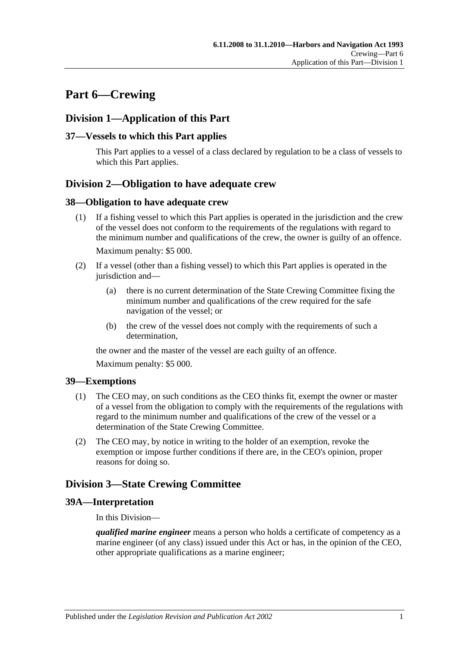# <span id="page-32-0"></span>**Part 6—Crewing**

# <span id="page-32-1"></span>**Division 1—Application of this Part**

## <span id="page-32-2"></span>**37—Vessels to which this Part applies**

This Part applies to a vessel of a class declared by regulation to be a class of vessels to which this Part applies.

# <span id="page-32-3"></span>**Division 2—Obligation to have adequate crew**

#### <span id="page-32-4"></span>**38—Obligation to have adequate crew**

- (1) If a fishing vessel to which this Part applies is operated in the jurisdiction and the crew of the vessel does not conform to the requirements of the regulations with regard to the minimum number and qualifications of the crew, the owner is guilty of an offence. Maximum penalty: \$5 000.
- (2) If a vessel (other than a fishing vessel) to which this Part applies is operated in the jurisdiction and—
	- (a) there is no current determination of the State Crewing Committee fixing the minimum number and qualifications of the crew required for the safe navigation of the vessel; or
	- (b) the crew of the vessel does not comply with the requirements of such a determination,

the owner and the master of the vessel are each guilty of an offence.

Maximum penalty: \$5 000.

## <span id="page-32-5"></span>**39—Exemptions**

- (1) The CEO may, on such conditions as the CEO thinks fit, exempt the owner or master of a vessel from the obligation to comply with the requirements of the regulations with regard to the minimum number and qualifications of the crew of the vessel or a determination of the State Crewing Committee.
- (2) The CEO may, by notice in writing to the holder of an exemption, revoke the exemption or impose further conditions if there are, in the CEO's opinion, proper reasons for doing so.

# <span id="page-32-6"></span>**Division 3—State Crewing Committee**

## <span id="page-32-7"></span>**39A—Interpretation**

In this Division—

*qualified marine engineer* means a person who holds a certificate of competency as a marine engineer (of any class) issued under this Act or has, in the opinion of the CEO, other appropriate qualifications as a marine engineer;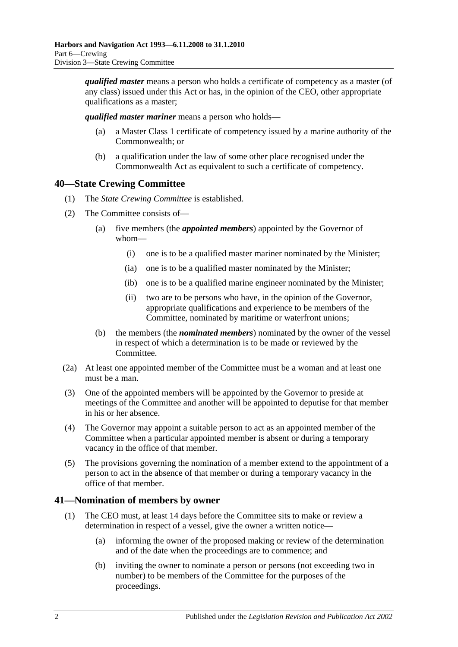*qualified master* means a person who holds a certificate of competency as a master (of any class) issued under this Act or has, in the opinion of the CEO, other appropriate qualifications as a master;

*qualified master mariner* means a person who holds—

- (a) a Master Class 1 certificate of competency issued by a marine authority of the Commonwealth; or
- (b) a qualification under the law of some other place recognised under the Commonwealth Act as equivalent to such a certificate of competency.

# <span id="page-33-0"></span>**40—State Crewing Committee**

- (1) The *State Crewing Committee* is established.
- (2) The Committee consists of—
	- (a) five members (the *appointed members*) appointed by the Governor of whom—
		- (i) one is to be a qualified master mariner nominated by the Minister;
		- (ia) one is to be a qualified master nominated by the Minister;
		- (ib) one is to be a qualified marine engineer nominated by the Minister;
		- (ii) two are to be persons who have, in the opinion of the Governor, appropriate qualifications and experience to be members of the Committee, nominated by maritime or waterfront unions;
	- (b) the members (the *nominated members*) nominated by the owner of the vessel in respect of which a determination is to be made or reviewed by the Committee.
- (2a) At least one appointed member of the Committee must be a woman and at least one must be a man.
- (3) One of the appointed members will be appointed by the Governor to preside at meetings of the Committee and another will be appointed to deputise for that member in his or her absence.
- (4) The Governor may appoint a suitable person to act as an appointed member of the Committee when a particular appointed member is absent or during a temporary vacancy in the office of that member.
- (5) The provisions governing the nomination of a member extend to the appointment of a person to act in the absence of that member or during a temporary vacancy in the office of that member.

# <span id="page-33-1"></span>**41—Nomination of members by owner**

- (1) The CEO must, at least 14 days before the Committee sits to make or review a determination in respect of a vessel, give the owner a written notice—
	- (a) informing the owner of the proposed making or review of the determination and of the date when the proceedings are to commence; and
	- (b) inviting the owner to nominate a person or persons (not exceeding two in number) to be members of the Committee for the purposes of the proceedings.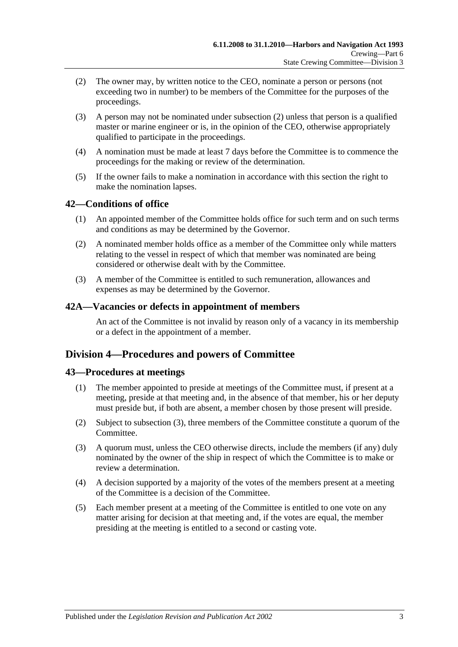- <span id="page-34-4"></span>(2) The owner may, by written notice to the CEO, nominate a person or persons (not exceeding two in number) to be members of the Committee for the purposes of the proceedings.
- (3) A person may not be nominated under [subsection](#page-34-4) (2) unless that person is a qualified master or marine engineer or is, in the opinion of the CEO, otherwise appropriately qualified to participate in the proceedings.
- (4) A nomination must be made at least 7 days before the Committee is to commence the proceedings for the making or review of the determination.
- (5) If the owner fails to make a nomination in accordance with this section the right to make the nomination lapses.

## <span id="page-34-0"></span>**42—Conditions of office**

- (1) An appointed member of the Committee holds office for such term and on such terms and conditions as may be determined by the Governor.
- (2) A nominated member holds office as a member of the Committee only while matters relating to the vessel in respect of which that member was nominated are being considered or otherwise dealt with by the Committee.
- (3) A member of the Committee is entitled to such remuneration, allowances and expenses as may be determined by the Governor.

## <span id="page-34-1"></span>**42A—Vacancies or defects in appointment of members**

An act of the Committee is not invalid by reason only of a vacancy in its membership or a defect in the appointment of a member.

# <span id="page-34-2"></span>**Division 4—Procedures and powers of Committee**

## <span id="page-34-3"></span>**43—Procedures at meetings**

- (1) The member appointed to preside at meetings of the Committee must, if present at a meeting, preside at that meeting and, in the absence of that member, his or her deputy must preside but, if both are absent, a member chosen by those present will preside.
- (2) Subject to [subsection](#page-34-5) (3), three members of the Committee constitute a quorum of the Committee.
- <span id="page-34-5"></span>(3) A quorum must, unless the CEO otherwise directs, include the members (if any) duly nominated by the owner of the ship in respect of which the Committee is to make or review a determination.
- (4) A decision supported by a majority of the votes of the members present at a meeting of the Committee is a decision of the Committee.
- (5) Each member present at a meeting of the Committee is entitled to one vote on any matter arising for decision at that meeting and, if the votes are equal, the member presiding at the meeting is entitled to a second or casting vote.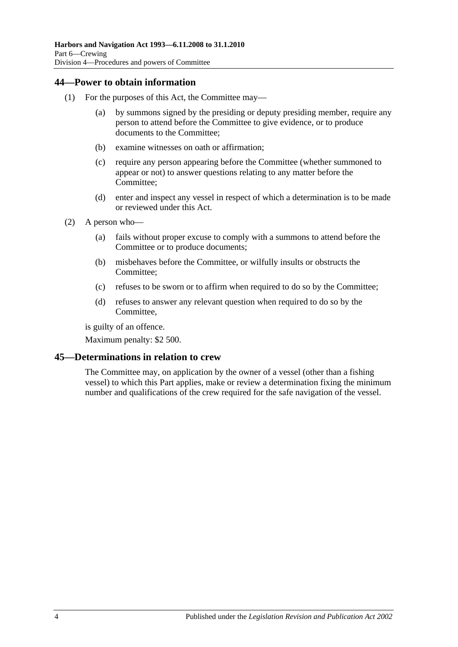## <span id="page-35-0"></span>**44—Power to obtain information**

- (1) For the purposes of this Act, the Committee may—
	- (a) by summons signed by the presiding or deputy presiding member, require any person to attend before the Committee to give evidence, or to produce documents to the Committee;
	- (b) examine witnesses on oath or affirmation;
	- (c) require any person appearing before the Committee (whether summoned to appear or not) to answer questions relating to any matter before the Committee;
	- (d) enter and inspect any vessel in respect of which a determination is to be made or reviewed under this Act.
- (2) A person who—
	- (a) fails without proper excuse to comply with a summons to attend before the Committee or to produce documents;
	- (b) misbehaves before the Committee, or wilfully insults or obstructs the Committee;
	- (c) refuses to be sworn or to affirm when required to do so by the Committee;
	- (d) refuses to answer any relevant question when required to do so by the Committee,

is guilty of an offence.

Maximum penalty: \$2 500.

## <span id="page-35-1"></span>**45—Determinations in relation to crew**

The Committee may, on application by the owner of a vessel (other than a fishing vessel) to which this Part applies, make or review a determination fixing the minimum number and qualifications of the crew required for the safe navigation of the vessel.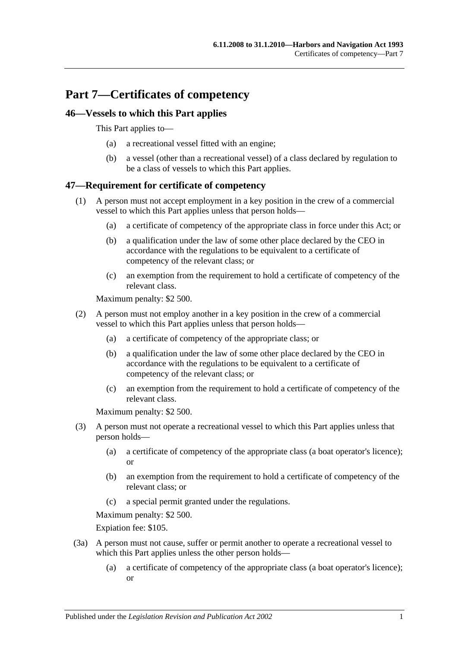# **Part 7—Certificates of competency**

# **46—Vessels to which this Part applies**

This Part applies to—

- (a) a recreational vessel fitted with an engine;
- (b) a vessel (other than a recreational vessel) of a class declared by regulation to be a class of vessels to which this Part applies.

# **47—Requirement for certificate of competency**

- (1) A person must not accept employment in a key position in the crew of a commercial vessel to which this Part applies unless that person holds—
	- (a) a certificate of competency of the appropriate class in force under this Act; or
	- (b) a qualification under the law of some other place declared by the CEO in accordance with the regulations to be equivalent to a certificate of competency of the relevant class; or
	- (c) an exemption from the requirement to hold a certificate of competency of the relevant class.

Maximum penalty: \$2 500.

- (2) A person must not employ another in a key position in the crew of a commercial vessel to which this Part applies unless that person holds—
	- (a) a certificate of competency of the appropriate class; or
	- (b) a qualification under the law of some other place declared by the CEO in accordance with the regulations to be equivalent to a certificate of competency of the relevant class; or
	- (c) an exemption from the requirement to hold a certificate of competency of the relevant class.

Maximum penalty: \$2 500.

- (3) A person must not operate a recreational vessel to which this Part applies unless that person holds—
	- (a) a certificate of competency of the appropriate class (a boat operator's licence); or
	- (b) an exemption from the requirement to hold a certificate of competency of the relevant class; or
	- (c) a special permit granted under the regulations.

Maximum penalty: \$2 500.

Expiation fee: \$105.

- (3a) A person must not cause, suffer or permit another to operate a recreational vessel to which this Part applies unless the other person holds—
	- (a) a certificate of competency of the appropriate class (a boat operator's licence); or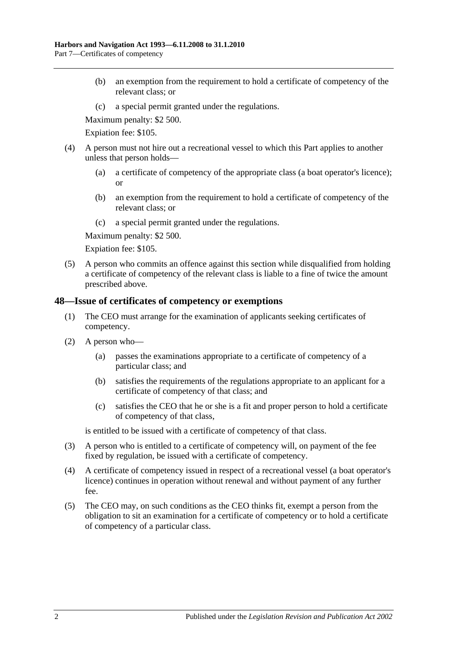- (b) an exemption from the requirement to hold a certificate of competency of the relevant class; or
- (c) a special permit granted under the regulations.

Maximum penalty: \$2 500.

Expiation fee: \$105.

- (4) A person must not hire out a recreational vessel to which this Part applies to another unless that person holds—
	- (a) a certificate of competency of the appropriate class (a boat operator's licence); or
	- (b) an exemption from the requirement to hold a certificate of competency of the relevant class; or
	- (c) a special permit granted under the regulations.

Maximum penalty: \$2 500.

Expiation fee: \$105.

(5) A person who commits an offence against this section while disqualified from holding a certificate of competency of the relevant class is liable to a fine of twice the amount prescribed above.

## **48—Issue of certificates of competency or exemptions**

- (1) The CEO must arrange for the examination of applicants seeking certificates of competency.
- (2) A person who—
	- (a) passes the examinations appropriate to a certificate of competency of a particular class; and
	- (b) satisfies the requirements of the regulations appropriate to an applicant for a certificate of competency of that class; and
	- (c) satisfies the CEO that he or she is a fit and proper person to hold a certificate of competency of that class,

is entitled to be issued with a certificate of competency of that class.

- (3) A person who is entitled to a certificate of competency will, on payment of the fee fixed by regulation, be issued with a certificate of competency.
- (4) A certificate of competency issued in respect of a recreational vessel (a boat operator's licence) continues in operation without renewal and without payment of any further fee.
- (5) The CEO may, on such conditions as the CEO thinks fit, exempt a person from the obligation to sit an examination for a certificate of competency or to hold a certificate of competency of a particular class.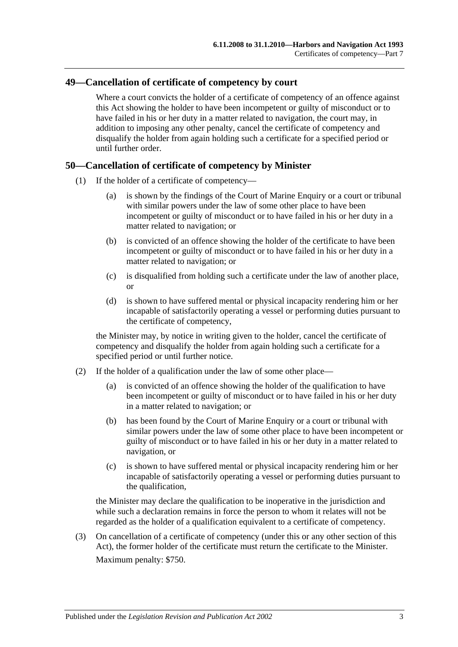## **49—Cancellation of certificate of competency by court**

Where a court convicts the holder of a certificate of competency of an offence against this Act showing the holder to have been incompetent or guilty of misconduct or to have failed in his or her duty in a matter related to navigation, the court may, in addition to imposing any other penalty, cancel the certificate of competency and disqualify the holder from again holding such a certificate for a specified period or until further order.

#### **50—Cancellation of certificate of competency by Minister**

- (1) If the holder of a certificate of competency—
	- (a) is shown by the findings of the Court of Marine Enquiry or a court or tribunal with similar powers under the law of some other place to have been incompetent or guilty of misconduct or to have failed in his or her duty in a matter related to navigation; or
	- (b) is convicted of an offence showing the holder of the certificate to have been incompetent or guilty of misconduct or to have failed in his or her duty in a matter related to navigation; or
	- (c) is disqualified from holding such a certificate under the law of another place, or
	- (d) is shown to have suffered mental or physical incapacity rendering him or her incapable of satisfactorily operating a vessel or performing duties pursuant to the certificate of competency,

the Minister may, by notice in writing given to the holder, cancel the certificate of competency and disqualify the holder from again holding such a certificate for a specified period or until further notice.

- (2) If the holder of a qualification under the law of some other place—
	- (a) is convicted of an offence showing the holder of the qualification to have been incompetent or guilty of misconduct or to have failed in his or her duty in a matter related to navigation; or
	- (b) has been found by the Court of Marine Enquiry or a court or tribunal with similar powers under the law of some other place to have been incompetent or guilty of misconduct or to have failed in his or her duty in a matter related to navigation, or
	- (c) is shown to have suffered mental or physical incapacity rendering him or her incapable of satisfactorily operating a vessel or performing duties pursuant to the qualification,

the Minister may declare the qualification to be inoperative in the jurisdiction and while such a declaration remains in force the person to whom it relates will not be regarded as the holder of a qualification equivalent to a certificate of competency.

(3) On cancellation of a certificate of competency (under this or any other section of this Act), the former holder of the certificate must return the certificate to the Minister. Maximum penalty: \$750.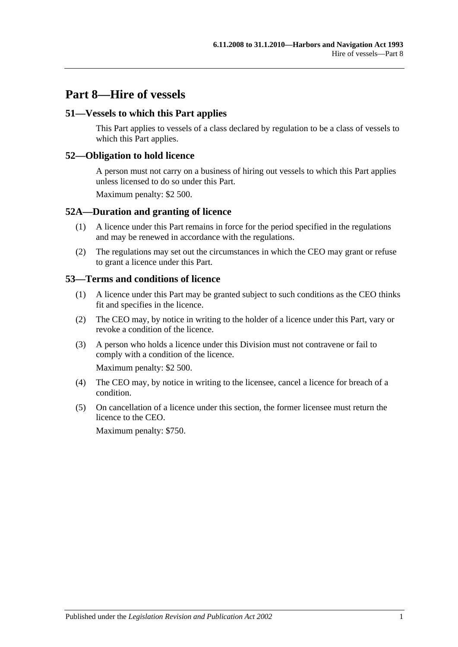# **Part 8—Hire of vessels**

### **51—Vessels to which this Part applies**

This Part applies to vessels of a class declared by regulation to be a class of vessels to which this Part applies.

### **52—Obligation to hold licence**

A person must not carry on a business of hiring out vessels to which this Part applies unless licensed to do so under this Part.

Maximum penalty: \$2 500.

#### **52A—Duration and granting of licence**

- (1) A licence under this Part remains in force for the period specified in the regulations and may be renewed in accordance with the regulations.
- (2) The regulations may set out the circumstances in which the CEO may grant or refuse to grant a licence under this Part.

#### **53—Terms and conditions of licence**

- (1) A licence under this Part may be granted subject to such conditions as the CEO thinks fit and specifies in the licence.
- (2) The CEO may, by notice in writing to the holder of a licence under this Part, vary or revoke a condition of the licence.
- (3) A person who holds a licence under this Division must not contravene or fail to comply with a condition of the licence.

Maximum penalty: \$2 500.

- (4) The CEO may, by notice in writing to the licensee, cancel a licence for breach of a condition.
- (5) On cancellation of a licence under this section, the former licensee must return the licence to the CEO.

Maximum penalty: \$750.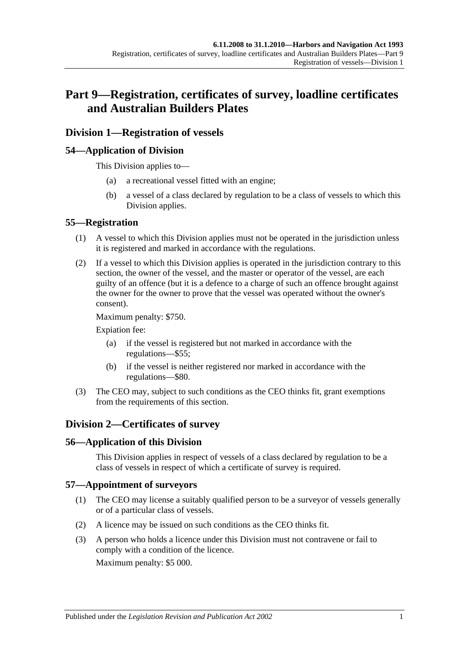# **Part 9—Registration, certificates of survey, loadline certificates and Australian Builders Plates**

# **Division 1—Registration of vessels**

## **54—Application of Division**

This Division applies to—

- (a) a recreational vessel fitted with an engine;
- (b) a vessel of a class declared by regulation to be a class of vessels to which this Division applies.

#### **55—Registration**

- (1) A vessel to which this Division applies must not be operated in the jurisdiction unless it is registered and marked in accordance with the regulations.
- (2) If a vessel to which this Division applies is operated in the jurisdiction contrary to this section, the owner of the vessel, and the master or operator of the vessel, are each guilty of an offence (but it is a defence to a charge of such an offence brought against the owner for the owner to prove that the vessel was operated without the owner's consent).

Maximum penalty: \$750.

Expiation fee:

- (a) if the vessel is registered but not marked in accordance with the regulations—\$55;
- (b) if the vessel is neither registered nor marked in accordance with the regulations—\$80.
- (3) The CEO may, subject to such conditions as the CEO thinks fit, grant exemptions from the requirements of this section.

# **Division 2—Certificates of survey**

## **56—Application of this Division**

This Division applies in respect of vessels of a class declared by regulation to be a class of vessels in respect of which a certificate of survey is required.

#### **57—Appointment of surveyors**

- (1) The CEO may license a suitably qualified person to be a surveyor of vessels generally or of a particular class of vessels.
- (2) A licence may be issued on such conditions as the CEO thinks fit.
- (3) A person who holds a licence under this Division must not contravene or fail to comply with a condition of the licence.

Maximum penalty: \$5 000.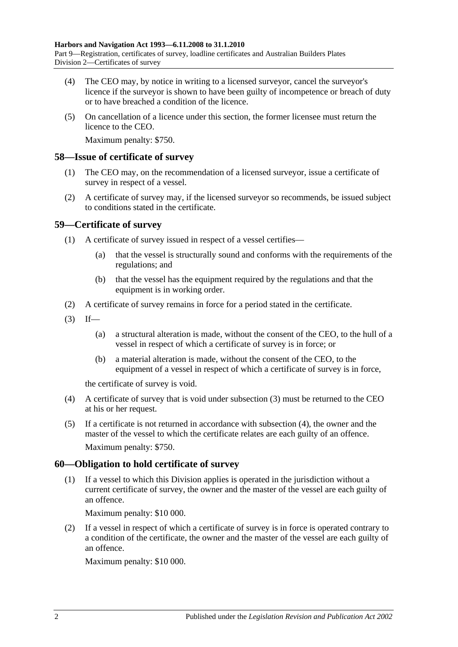- (4) The CEO may, by notice in writing to a licensed surveyor, cancel the surveyor's licence if the surveyor is shown to have been guilty of incompetence or breach of duty or to have breached a condition of the licence.
- (5) On cancellation of a licence under this section, the former licensee must return the licence to the CEO.

Maximum penalty: \$750.

#### **58—Issue of certificate of survey**

- (1) The CEO may, on the recommendation of a licensed surveyor, issue a certificate of survey in respect of a vessel.
- (2) A certificate of survey may, if the licensed surveyor so recommends, be issued subject to conditions stated in the certificate.

## **59—Certificate of survey**

- (1) A certificate of survey issued in respect of a vessel certifies—
	- (a) that the vessel is structurally sound and conforms with the requirements of the regulations; and
	- (b) that the vessel has the equipment required by the regulations and that the equipment is in working order.
- (2) A certificate of survey remains in force for a period stated in the certificate.
- <span id="page-43-0"></span> $(3)$  If—
	- (a) a structural alteration is made, without the consent of the CEO, to the hull of a vessel in respect of which a certificate of survey is in force; or
	- (b) a material alteration is made, without the consent of the CEO, to the equipment of a vessel in respect of which a certificate of survey is in force,

the certificate of survey is void.

- <span id="page-43-1"></span>(4) A certificate of survey that is void under [subsection](#page-43-0) (3) must be returned to the CEO at his or her request.
- (5) If a certificate is not returned in accordance with [subsection](#page-43-1) (4), the owner and the master of the vessel to which the certificate relates are each guilty of an offence. Maximum penalty: \$750.

## **60—Obligation to hold certificate of survey**

(1) If a vessel to which this Division applies is operated in the jurisdiction without a current certificate of survey, the owner and the master of the vessel are each guilty of an offence.

Maximum penalty: \$10 000.

(2) If a vessel in respect of which a certificate of survey is in force is operated contrary to a condition of the certificate, the owner and the master of the vessel are each guilty of an offence.

Maximum penalty: \$10 000.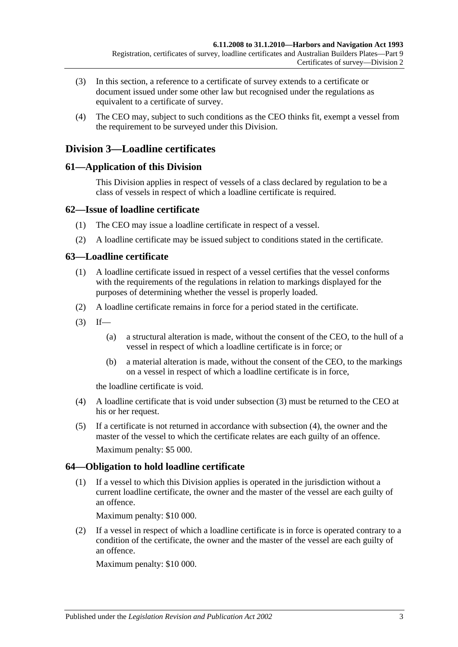- (3) In this section, a reference to a certificate of survey extends to a certificate or document issued under some other law but recognised under the regulations as equivalent to a certificate of survey.
- (4) The CEO may, subject to such conditions as the CEO thinks fit, exempt a vessel from the requirement to be surveyed under this Division.

# **Division 3—Loadline certificates**

# **61—Application of this Division**

This Division applies in respect of vessels of a class declared by regulation to be a class of vessels in respect of which a loadline certificate is required.

# **62—Issue of loadline certificate**

- (1) The CEO may issue a loadline certificate in respect of a vessel.
- (2) A loadline certificate may be issued subject to conditions stated in the certificate.

# **63—Loadline certificate**

- (1) A loadline certificate issued in respect of a vessel certifies that the vessel conforms with the requirements of the regulations in relation to markings displayed for the purposes of determining whether the vessel is properly loaded.
- (2) A loadline certificate remains in force for a period stated in the certificate.
- <span id="page-44-0"></span> $(3)$  If—
	- (a) a structural alteration is made, without the consent of the CEO, to the hull of a vessel in respect of which a loadline certificate is in force; or
	- (b) a material alteration is made, without the consent of the CEO, to the markings on a vessel in respect of which a loadline certificate is in force,

the loadline certificate is void.

- <span id="page-44-1"></span>(4) A loadline certificate that is void under [subsection](#page-44-0) (3) must be returned to the CEO at his or her request.
- (5) If a certificate is not returned in accordance with [subsection](#page-44-1) (4), the owner and the master of the vessel to which the certificate relates are each guilty of an offence. Maximum penalty: \$5 000.

# **64—Obligation to hold loadline certificate**

(1) If a vessel to which this Division applies is operated in the jurisdiction without a current loadline certificate, the owner and the master of the vessel are each guilty of an offence.

Maximum penalty: \$10 000.

(2) If a vessel in respect of which a loadline certificate is in force is operated contrary to a condition of the certificate, the owner and the master of the vessel are each guilty of an offence.

Maximum penalty: \$10 000.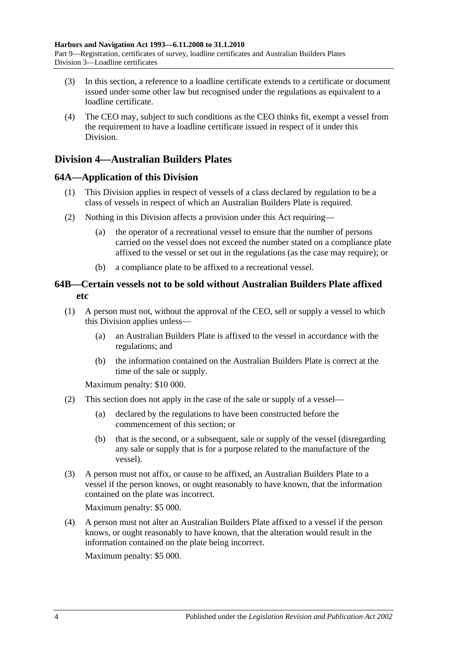- (3) In this section, a reference to a loadline certificate extends to a certificate or document issued under some other law but recognised under the regulations as equivalent to a loadline certificate.
- (4) The CEO may, subject to such conditions as the CEO thinks fit, exempt a vessel from the requirement to have a loadline certificate issued in respect of it under this Division.

# **Division 4—Australian Builders Plates**

# **64A—Application of this Division**

- (1) This Division applies in respect of vessels of a class declared by regulation to be a class of vessels in respect of which an Australian Builders Plate is required.
- (2) Nothing in this Division affects a provision under this Act requiring—
	- (a) the operator of a recreational vessel to ensure that the number of persons carried on the vessel does not exceed the number stated on a compliance plate affixed to the vessel or set out in the regulations (as the case may require); or
	- (b) a compliance plate to be affixed to a recreational vessel.

# **64B—Certain vessels not to be sold without Australian Builders Plate affixed etc**

- <span id="page-45-0"></span>(1) A person must not, without the approval of the CEO, sell or supply a vessel to which this Division applies unless—
	- (a) an Australian Builders Plate is affixed to the vessel in accordance with the regulations; and
	- (b) the information contained on the Australian Builders Plate is correct at the time of the sale or supply.

Maximum penalty: \$10 000.

- (2) This section does not apply in the case of the sale or supply of a vessel—
	- (a) declared by the regulations to have been constructed before the commencement of this section; or
	- (b) that is the second, or a subsequent, sale or supply of the vessel (disregarding any sale or supply that is for a purpose related to the manufacture of the vessel).
- (3) A person must not affix, or cause to be affixed, an Australian Builders Plate to a vessel if the person knows, or ought reasonably to have known, that the information contained on the plate was incorrect.

Maximum penalty: \$5 000.

(4) A person must not alter an Australian Builders Plate affixed to a vessel if the person knows, or ought reasonably to have known, that the alteration would result in the information contained on the plate being incorrect.

Maximum penalty: \$5 000.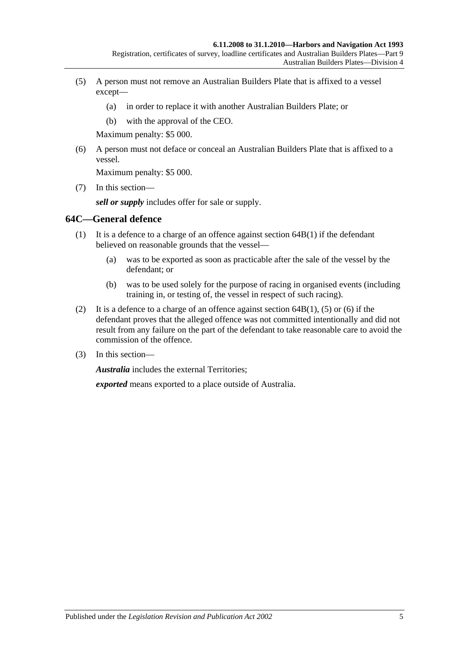- <span id="page-46-0"></span>(5) A person must not remove an Australian Builders Plate that is affixed to a vessel except—
	- (a) in order to replace it with another Australian Builders Plate; or
	- (b) with the approval of the CEO.

Maximum penalty: \$5 000.

<span id="page-46-1"></span>(6) A person must not deface or conceal an Australian Builders Plate that is affixed to a vessel.

Maximum penalty: \$5 000.

(7) In this section—

*sell or supply* includes offer for sale or supply.

#### **64C—General defence**

- (1) It is a defence to a charge of an offence against [section](#page-45-0) 64B(1) if the defendant believed on reasonable grounds that the vessel—
	- (a) was to be exported as soon as practicable after the sale of the vessel by the defendant; or
	- (b) was to be used solely for the purpose of racing in organised events (including training in, or testing of, the vessel in respect of such racing).
- (2) It is a defence to a charge of an offence against [section](#page-45-0)  $64B(1)$ , [\(5\)](#page-46-0) or [\(6\)](#page-46-1) if the defendant proves that the alleged offence was not committed intentionally and did not result from any failure on the part of the defendant to take reasonable care to avoid the commission of the offence.
- (3) In this section—

*Australia* includes the external Territories;

*exported* means exported to a place outside of Australia.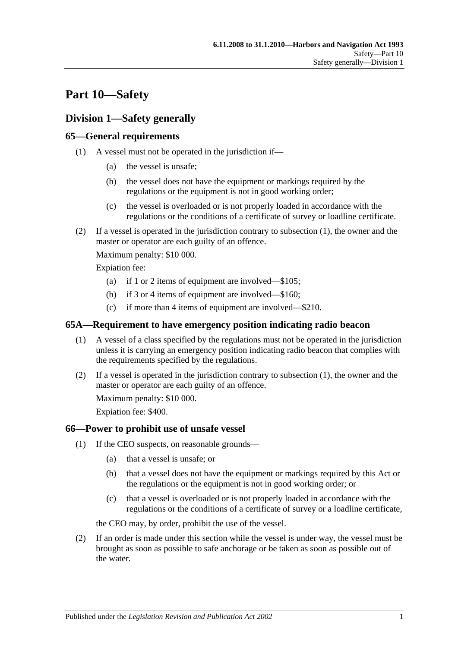# **Part 10—Safety**

# **Division 1—Safety generally**

# <span id="page-48-0"></span>**65—General requirements**

- (1) A vessel must not be operated in the jurisdiction if—
	- (a) the vessel is unsafe;
	- (b) the vessel does not have the equipment or markings required by the regulations or the equipment is not in good working order;
	- (c) the vessel is overloaded or is not properly loaded in accordance with the regulations or the conditions of a certificate of survey or loadline certificate.
- (2) If a vessel is operated in the jurisdiction contrary to [subsection](#page-48-0) (1), the owner and the master or operator are each guilty of an offence.

Maximum penalty: \$10 000.

Expiation fee:

- (a) if 1 or 2 items of equipment are involved—\$105;
- (b) if 3 or 4 items of equipment are involved—\$160;
- (c) if more than 4 items of equipment are involved—\$210.

## <span id="page-48-1"></span>**65A—Requirement to have emergency position indicating radio beacon**

- (1) A vessel of a class specified by the regulations must not be operated in the jurisdiction unless it is carrying an emergency position indicating radio beacon that complies with the requirements specified by the regulations.
- (2) If a vessel is operated in the jurisdiction contrary to [subsection](#page-48-1) (1), the owner and the master or operator are each guilty of an offence.

Maximum penalty: \$10 000.

Expiation fee: \$400.

## <span id="page-48-3"></span>**66—Power to prohibit use of unsafe vessel**

- (1) If the CEO suspects, on reasonable grounds—
	- (a) that a vessel is unsafe; or
	- (b) that a vessel does not have the equipment or markings required by this Act or the regulations or the equipment is not in good working order; or
	- (c) that a vessel is overloaded or is not properly loaded in accordance with the regulations or the conditions of a certificate of survey or a loadline certificate,

the CEO may, by order, prohibit the use of the vessel.

<span id="page-48-2"></span>(2) If an order is made under this section while the vessel is under way, the vessel must be brought as soon as possible to safe anchorage or be taken as soon as possible out of the water.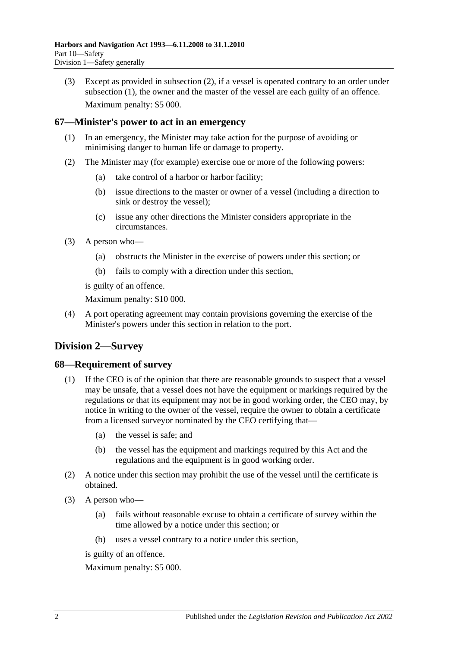(3) Except as provided in [subsection](#page-48-2) (2), if a vessel is operated contrary to an order under [subsection](#page-48-3) (1), the owner and the master of the vessel are each guilty of an offence. Maximum penalty: \$5 000.

## **67—Minister's power to act in an emergency**

- (1) In an emergency, the Minister may take action for the purpose of avoiding or minimising danger to human life or damage to property.
- (2) The Minister may (for example) exercise one or more of the following powers:
	- (a) take control of a harbor or harbor facility;
	- (b) issue directions to the master or owner of a vessel (including a direction to sink or destroy the vessel);
	- (c) issue any other directions the Minister considers appropriate in the circumstances.
- (3) A person who—
	- (a) obstructs the Minister in the exercise of powers under this section; or
	- (b) fails to comply with a direction under this section,

is guilty of an offence.

Maximum penalty: \$10 000.

(4) A port operating agreement may contain provisions governing the exercise of the Minister's powers under this section in relation to the port.

# **Division 2—Survey**

## **68—Requirement of survey**

- (1) If the CEO is of the opinion that there are reasonable grounds to suspect that a vessel may be unsafe, that a vessel does not have the equipment or markings required by the regulations or that its equipment may not be in good working order, the CEO may, by notice in writing to the owner of the vessel, require the owner to obtain a certificate from a licensed surveyor nominated by the CEO certifying that—
	- (a) the vessel is safe; and
	- (b) the vessel has the equipment and markings required by this Act and the regulations and the equipment is in good working order.
- (2) A notice under this section may prohibit the use of the vessel until the certificate is obtained.
- (3) A person who—
	- (a) fails without reasonable excuse to obtain a certificate of survey within the time allowed by a notice under this section; or
	- (b) uses a vessel contrary to a notice under this section,

is guilty of an offence.

Maximum penalty: \$5 000.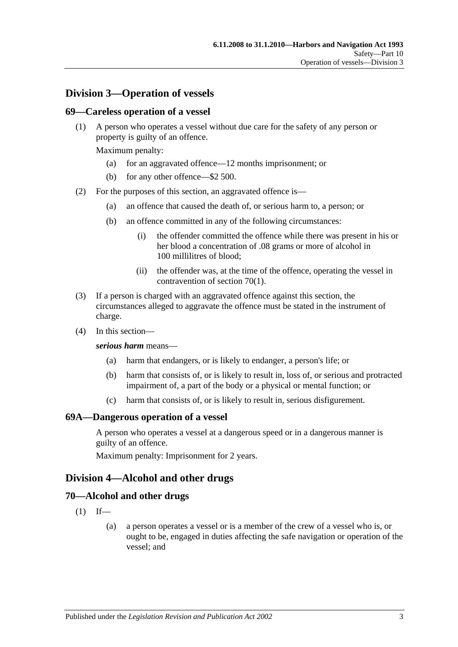# **Division 3—Operation of vessels**

#### **69—Careless operation of a vessel**

(1) A person who operates a vessel without due care for the safety of any person or property is guilty of an offence.

Maximum penalty:

- (a) for an aggravated offence—12 months imprisonment; or
- (b) for any other offence—\$2 500.
- (2) For the purposes of this section, an aggravated offence is—
	- (a) an offence that caused the death of, or serious harm to, a person; or
	- (b) an offence committed in any of the following circumstances:
		- (i) the offender committed the offence while there was present in his or her blood a concentration of .08 grams or more of alcohol in 100 millilitres of blood;
		- (ii) the offender was, at the time of the offence, operating the vessel in contravention of [section](#page-50-0) 70(1).
- (3) If a person is charged with an aggravated offence against this section, the circumstances alleged to aggravate the offence must be stated in the instrument of charge.
- (4) In this section—

#### *serious harm* means—

- (a) harm that endangers, or is likely to endanger, a person's life; or
- (b) harm that consists of, or is likely to result in, loss of, or serious and protracted impairment of, a part of the body or a physical or mental function; or
- (c) harm that consists of, or is likely to result in, serious disfigurement.

#### **69A—Dangerous operation of a vessel**

A person who operates a vessel at a dangerous speed or in a dangerous manner is guilty of an offence.

Maximum penalty: Imprisonment for 2 years.

## **Division 4—Alcohol and other drugs**

#### <span id="page-50-0"></span>**70—Alcohol and other drugs**

- $(1)$  If—
	- (a) a person operates a vessel or is a member of the crew of a vessel who is, or ought to be, engaged in duties affecting the safe navigation or operation of the vessel; and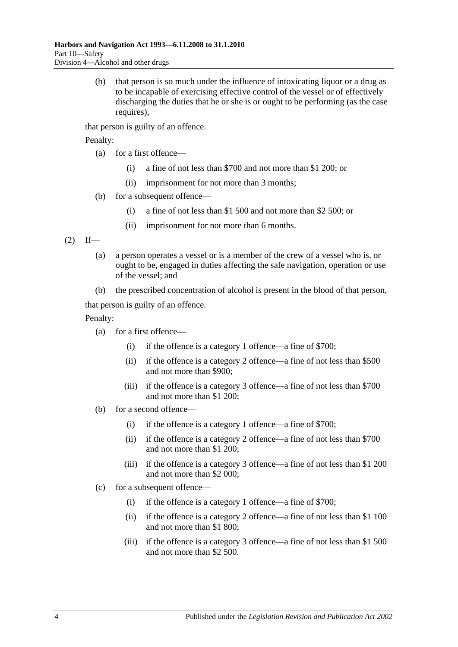(b) that person is so much under the influence of intoxicating liquor or a drug as to be incapable of exercising effective control of the vessel or of effectively discharging the duties that he or she is or ought to be performing (as the case requires).

that person is guilty of an offence.

Penalty:

- (a) for a first offence—
	- (i) a fine of not less than \$700 and not more than \$1 200; or
	- (ii) imprisonment for not more than 3 months;
- (b) for a subsequent offence—
	- (i) a fine of not less than \$1 500 and not more than \$2 500; or
	- (ii) imprisonment for not more than 6 months.

<span id="page-51-0"></span> $(2)$  If—

- (a) a person operates a vessel or is a member of the crew of a vessel who is, or ought to be, engaged in duties affecting the safe navigation, operation or use of the vessel; and
- (b) the prescribed concentration of alcohol is present in the blood of that person,

that person is guilty of an offence.

Penalty:

- (a) for a first offence—
	- (i) if the offence is a category 1 offence—a fine of \$700;
	- (ii) if the offence is a category 2 offence—a fine of not less than \$500 and not more than \$900;
	- (iii) if the offence is a category 3 offence—a fine of not less than \$700 and not more than \$1 200;
- (b) for a second offence—
	- (i) if the offence is a category 1 offence—a fine of \$700;
	- (ii) if the offence is a category 2 offence—a fine of not less than \$700 and not more than \$1 200;
	- (iii) if the offence is a category 3 offence—a fine of not less than \$1 200 and not more than \$2 000;
- (c) for a subsequent offence—
	- (i) if the offence is a category 1 offence—a fine of \$700;
	- (ii) if the offence is a category 2 offence—a fine of not less than \$1 100 and not more than \$1 800;
	- (iii) if the offence is a category 3 offence—a fine of not less than \$1 500 and not more than \$2 500.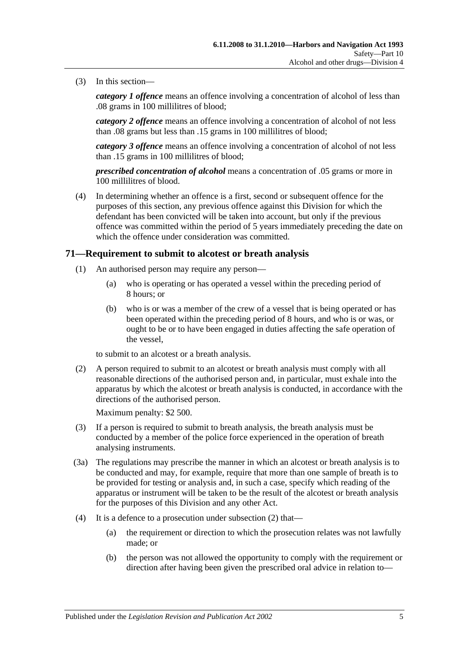(3) In this section—

*category 1 offence* means an offence involving a concentration of alcohol of less than .08 grams in 100 millilitres of blood;

*category 2 offence* means an offence involving a concentration of alcohol of not less than .08 grams but less than .15 grams in 100 millilitres of blood;

*category 3 offence* means an offence involving a concentration of alcohol of not less than .15 grams in 100 millilitres of blood;

*prescribed concentration of alcohol* means a concentration of .05 grams or more in 100 millilitres of blood.

(4) In determining whether an offence is a first, second or subsequent offence for the purposes of this section, any previous offence against this Division for which the defendant has been convicted will be taken into account, but only if the previous offence was committed within the period of 5 years immediately preceding the date on which the offence under consideration was committed.

#### <span id="page-52-1"></span>**71—Requirement to submit to alcotest or breath analysis**

- (1) An authorised person may require any person—
	- (a) who is operating or has operated a vessel within the preceding period of 8 hours; or
	- (b) who is or was a member of the crew of a vessel that is being operated or has been operated within the preceding period of 8 hours, and who is or was, or ought to be or to have been engaged in duties affecting the safe operation of the vessel,

to submit to an alcotest or a breath analysis.

<span id="page-52-0"></span>(2) A person required to submit to an alcotest or breath analysis must comply with all reasonable directions of the authorised person and, in particular, must exhale into the apparatus by which the alcotest or breath analysis is conducted, in accordance with the directions of the authorised person.

Maximum penalty: \$2 500.

- (3) If a person is required to submit to breath analysis, the breath analysis must be conducted by a member of the police force experienced in the operation of breath analysing instruments.
- (3a) The regulations may prescribe the manner in which an alcotest or breath analysis is to be conducted and may, for example, require that more than one sample of breath is to be provided for testing or analysis and, in such a case, specify which reading of the apparatus or instrument will be taken to be the result of the alcotest or breath analysis for the purposes of this Division and any other Act.
- (4) It is a defence to a prosecution under [subsection](#page-52-0) (2) that—
	- (a) the requirement or direction to which the prosecution relates was not lawfully made; or
	- (b) the person was not allowed the opportunity to comply with the requirement or direction after having been given the prescribed oral advice in relation to—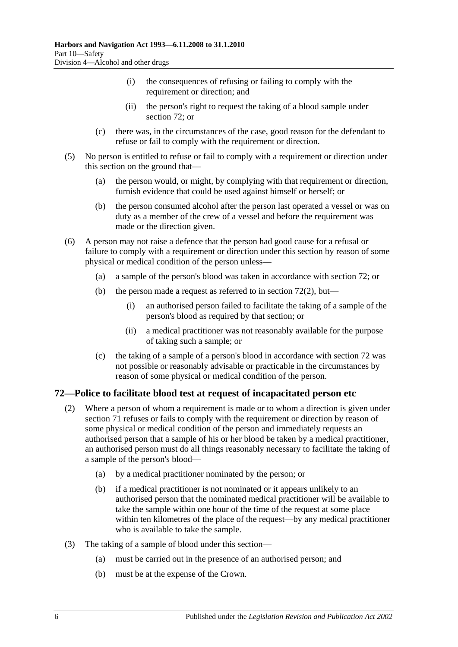- (i) the consequences of refusing or failing to comply with the requirement or direction; and
- (ii) the person's right to request the taking of a blood sample under [section](#page-53-0) 72; or
- (c) there was, in the circumstances of the case, good reason for the defendant to refuse or fail to comply with the requirement or direction.
- (5) No person is entitled to refuse or fail to comply with a requirement or direction under this section on the ground that—
	- (a) the person would, or might, by complying with that requirement or direction, furnish evidence that could be used against himself or herself; or
	- (b) the person consumed alcohol after the person last operated a vessel or was on duty as a member of the crew of a vessel and before the requirement was made or the direction given.
- (6) A person may not raise a defence that the person had good cause for a refusal or failure to comply with a requirement or direction under this section by reason of some physical or medical condition of the person unless—
	- (a) a sample of the person's blood was taken in accordance with [section](#page-53-0) 72; or
	- (b) the person made a request as referred to in [section](#page-53-1)  $72(2)$ , but—
		- (i) an authorised person failed to facilitate the taking of a sample of the person's blood as required by that section; or
		- (ii) a medical practitioner was not reasonably available for the purpose of taking such a sample; or
	- (c) the taking of a sample of a person's blood in accordance with [section](#page-53-0) 72 was not possible or reasonably advisable or practicable in the circumstances by reason of some physical or medical condition of the person.

## <span id="page-53-1"></span><span id="page-53-0"></span>**72—Police to facilitate blood test at request of incapacitated person etc**

- (2) Where a person of whom a requirement is made or to whom a direction is given under [section](#page-52-1) 71 refuses or fails to comply with the requirement or direction by reason of some physical or medical condition of the person and immediately requests an authorised person that a sample of his or her blood be taken by a medical practitioner, an authorised person must do all things reasonably necessary to facilitate the taking of a sample of the person's blood—
	- (a) by a medical practitioner nominated by the person; or
	- (b) if a medical practitioner is not nominated or it appears unlikely to an authorised person that the nominated medical practitioner will be available to take the sample within one hour of the time of the request at some place within ten kilometres of the place of the request—by any medical practitioner who is available to take the sample.
- (3) The taking of a sample of blood under this section—
	- (a) must be carried out in the presence of an authorised person; and
	- (b) must be at the expense of the Crown.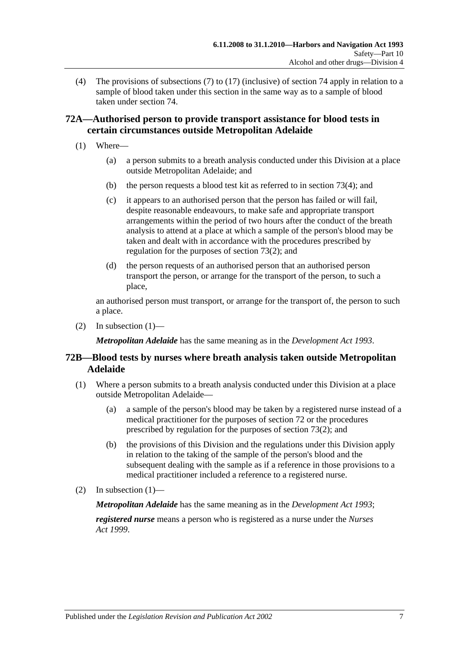(4) The provisions of [subsections](#page-58-0) (7) to [\(17\)](#page-60-0) (inclusive) of [section](#page-58-1) 74 apply in relation to a sample of blood taken under this section in the same way as to a sample of blood taken under [section](#page-58-1) 74.

# **72A—Authorised person to provide transport assistance for blood tests in certain circumstances outside Metropolitan Adelaide**

- <span id="page-54-0"></span>(1) Where—
	- (a) a person submits to a breath analysis conducted under this Division at a place outside Metropolitan Adelaide; and
	- (b) the person requests a blood test kit as referred to in [section](#page-56-0) 73(4); and
	- (c) it appears to an authorised person that the person has failed or will fail, despite reasonable endeavours, to make safe and appropriate transport arrangements within the period of two hours after the conduct of the breath analysis to attend at a place at which a sample of the person's blood may be taken and dealt with in accordance with the procedures prescribed by regulation for the purposes of [section](#page-55-0) 73(2); and
	- (d) the person requests of an authorised person that an authorised person transport the person, or arrange for the transport of the person, to such a place,

an authorised person must transport, or arrange for the transport of, the person to such a place.

(2) In [subsection](#page-54-0)  $(1)$ —

*Metropolitan Adelaide* has the same meaning as in the *[Development Act](http://www.legislation.sa.gov.au/index.aspx?action=legref&type=act&legtitle=Development%20Act%201993) 1993*.

# **72B—Blood tests by nurses where breath analysis taken outside Metropolitan Adelaide**

- <span id="page-54-1"></span>(1) Where a person submits to a breath analysis conducted under this Division at a place outside Metropolitan Adelaide—
	- (a) a sample of the person's blood may be taken by a registered nurse instead of a medical practitioner for the purposes of [section](#page-53-0) 72 or the procedures prescribed by regulation for the purposes of [section](#page-55-0) 73(2); and
	- (b) the provisions of this Division and the regulations under this Division apply in relation to the taking of the sample of the person's blood and the subsequent dealing with the sample as if a reference in those provisions to a medical practitioner included a reference to a registered nurse.
- (2) In [subsection](#page-54-1)  $(1)$ —

*Metropolitan Adelaide* has the same meaning as in the *[Development Act](http://www.legislation.sa.gov.au/index.aspx?action=legref&type=act&legtitle=Development%20Act%201993) 1993*;

*registered nurse* means a person who is registered as a nurse under the *[Nurses](http://www.legislation.sa.gov.au/index.aspx?action=legref&type=act&legtitle=Nurses%20Act%201999)  Act [1999](http://www.legislation.sa.gov.au/index.aspx?action=legref&type=act&legtitle=Nurses%20Act%201999)*.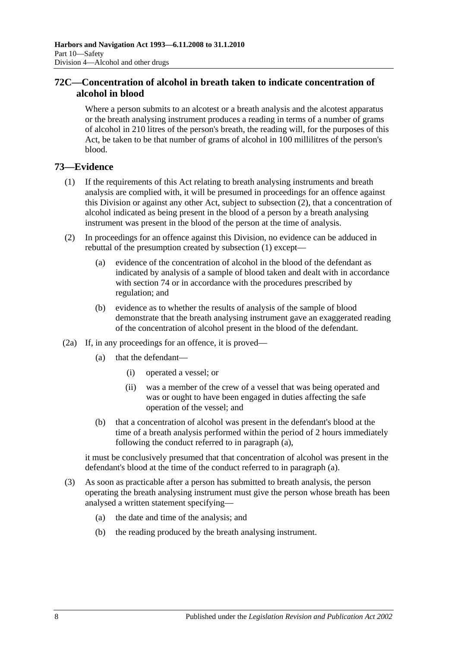# **72C—Concentration of alcohol in breath taken to indicate concentration of alcohol in blood**

Where a person submits to an alcotest or a breath analysis and the alcotest apparatus or the breath analysing instrument produces a reading in terms of a number of grams of alcohol in 210 litres of the person's breath, the reading will, for the purposes of this Act, be taken to be that number of grams of alcohol in 100 millilitres of the person's blood.

# <span id="page-55-1"></span>**73—Evidence**

- (1) If the requirements of this Act relating to breath analysing instruments and breath analysis are complied with, it will be presumed in proceedings for an offence against this Division or against any other Act, subject to [subsection](#page-55-0) (2), that a concentration of alcohol indicated as being present in the blood of a person by a breath analysing instrument was present in the blood of the person at the time of analysis.
- <span id="page-55-0"></span>(2) In proceedings for an offence against this Division, no evidence can be adduced in rebuttal of the presumption created by [subsection](#page-55-1) (1) except—
	- (a) evidence of the concentration of alcohol in the blood of the defendant as indicated by analysis of a sample of blood taken and dealt with in accordance with [section](#page-58-1) 74 or in accordance with the procedures prescribed by regulation; and
	- (b) evidence as to whether the results of analysis of the sample of blood demonstrate that the breath analysing instrument gave an exaggerated reading of the concentration of alcohol present in the blood of the defendant.
- <span id="page-55-2"></span>(2a) If, in any proceedings for an offence, it is proved—
	- (a) that the defendant—
		- (i) operated a vessel; or
		- (ii) was a member of the crew of a vessel that was being operated and was or ought to have been engaged in duties affecting the safe operation of the vessel; and
	- (b) that a concentration of alcohol was present in the defendant's blood at the time of a breath analysis performed within the period of 2 hours immediately following the conduct referred to in [paragraph](#page-55-2) (a),

it must be conclusively presumed that that concentration of alcohol was present in the defendant's blood at the time of the conduct referred to in [paragraph](#page-55-2) (a).

- <span id="page-55-3"></span>(3) As soon as practicable after a person has submitted to breath analysis, the person operating the breath analysing instrument must give the person whose breath has been analysed a written statement specifying—
	- (a) the date and time of the analysis; and
	- (b) the reading produced by the breath analysing instrument.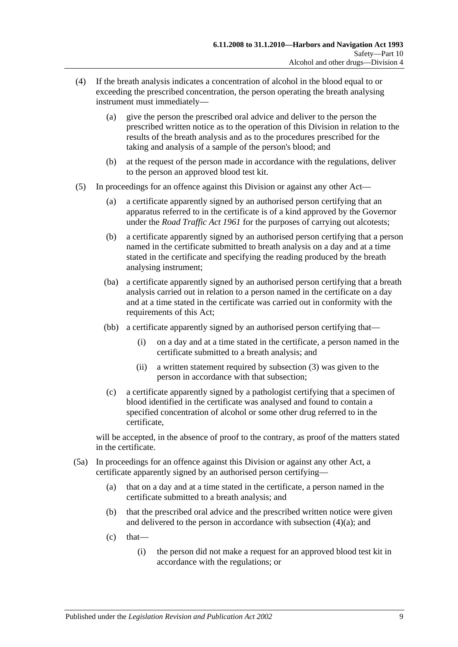- <span id="page-56-1"></span><span id="page-56-0"></span>(4) If the breath analysis indicates a concentration of alcohol in the blood equal to or exceeding the prescribed concentration, the person operating the breath analysing instrument must immediately—
	- (a) give the person the prescribed oral advice and deliver to the person the prescribed written notice as to the operation of this Division in relation to the results of the breath analysis and as to the procedures prescribed for the taking and analysis of a sample of the person's blood; and
	- (b) at the request of the person made in accordance with the regulations, deliver to the person an approved blood test kit.
- <span id="page-56-2"></span>(5) In proceedings for an offence against this Division or against any other Act—
	- (a) a certificate apparently signed by an authorised person certifying that an apparatus referred to in the certificate is of a kind approved by the Governor under the *[Road Traffic Act](http://www.legislation.sa.gov.au/index.aspx?action=legref&type=act&legtitle=Road%20Traffic%20Act%201961) 1961* for the purposes of carrying out alcotests;
	- (b) a certificate apparently signed by an authorised person certifying that a person named in the certificate submitted to breath analysis on a day and at a time stated in the certificate and specifying the reading produced by the breath analysing instrument;
	- (ba) a certificate apparently signed by an authorised person certifying that a breath analysis carried out in relation to a person named in the certificate on a day and at a time stated in the certificate was carried out in conformity with the requirements of this Act;
	- (bb) a certificate apparently signed by an authorised person certifying that—
		- (i) on a day and at a time stated in the certificate, a person named in the certificate submitted to a breath analysis; and
		- (ii) a written statement required by [subsection](#page-55-3) (3) was given to the person in accordance with that subsection;
	- (c) a certificate apparently signed by a pathologist certifying that a specimen of blood identified in the certificate was analysed and found to contain a specified concentration of alcohol or some other drug referred to in the certificate,

will be accepted, in the absence of proof to the contrary, as proof of the matters stated in the certificate.

- (5a) In proceedings for an offence against this Division or against any other Act, a certificate apparently signed by an authorised person certifying—
	- (a) that on a day and at a time stated in the certificate, a person named in the certificate submitted to a breath analysis; and
	- (b) that the prescribed oral advice and the prescribed written notice were given and delivered to the person in accordance with [subsection](#page-56-1) (4)(a); and
	- $(c)$  that—
		- (i) the person did not make a request for an approved blood test kit in accordance with the regulations; or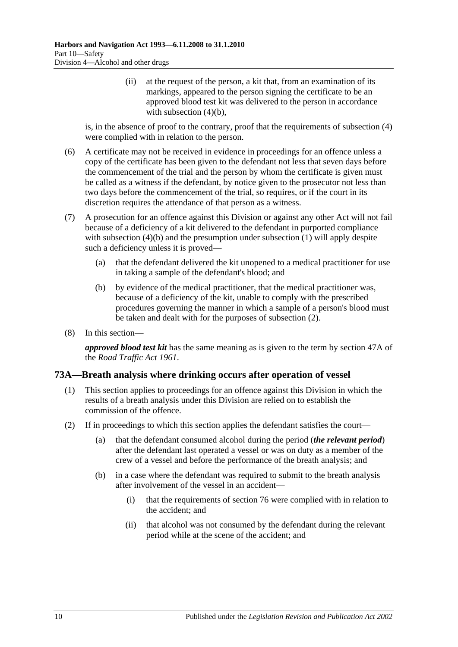(ii) at the request of the person, a kit that, from an examination of its markings, appeared to the person signing the certificate to be an approved blood test kit was delivered to the person in accordance with [subsection](#page-56-2)  $(4)(b)$ ,

is, in the absence of proof to the contrary, proof that the requirements of [subsection](#page-56-0) (4) were complied with in relation to the person.

- (6) A certificate may not be received in evidence in proceedings for an offence unless a copy of the certificate has been given to the defendant not less that seven days before the commencement of the trial and the person by whom the certificate is given must be called as a witness if the defendant, by notice given to the prosecutor not less than two days before the commencement of the trial, so requires, or if the court in its discretion requires the attendance of that person as a witness.
- (7) A prosecution for an offence against this Division or against any other Act will not fail because of a deficiency of a kit delivered to the defendant in purported compliance with [subsection](#page-55-1) (4)(b) and the presumption under subsection (1) will apply despite such a deficiency unless it is proved—
	- (a) that the defendant delivered the kit unopened to a medical practitioner for use in taking a sample of the defendant's blood; and
	- (b) by evidence of the medical practitioner, that the medical practitioner was, because of a deficiency of the kit, unable to comply with the prescribed procedures governing the manner in which a sample of a person's blood must be taken and dealt with for the purposes of [subsection](#page-55-0) (2).
- (8) In this section—

*approved blood test kit* has the same meaning as is given to the term by section 47A of the *[Road Traffic Act](http://www.legislation.sa.gov.au/index.aspx?action=legref&type=act&legtitle=Road%20Traffic%20Act%201961) 1961*.

## **73A—Breath analysis where drinking occurs after operation of vessel**

- (1) This section applies to proceedings for an offence against this Division in which the results of a breath analysis under this Division are relied on to establish the commission of the offence.
- (2) If in proceedings to which this section applies the defendant satisfies the court—
	- (a) that the defendant consumed alcohol during the period (*the relevant period*) after the defendant last operated a vessel or was on duty as a member of the crew of a vessel and before the performance of the breath analysis; and
	- (b) in a case where the defendant was required to submit to the breath analysis after involvement of the vessel in an accident—
		- (i) that the requirements of [section](#page-62-0) 76 were complied with in relation to the accident; and
		- (ii) that alcohol was not consumed by the defendant during the relevant period while at the scene of the accident; and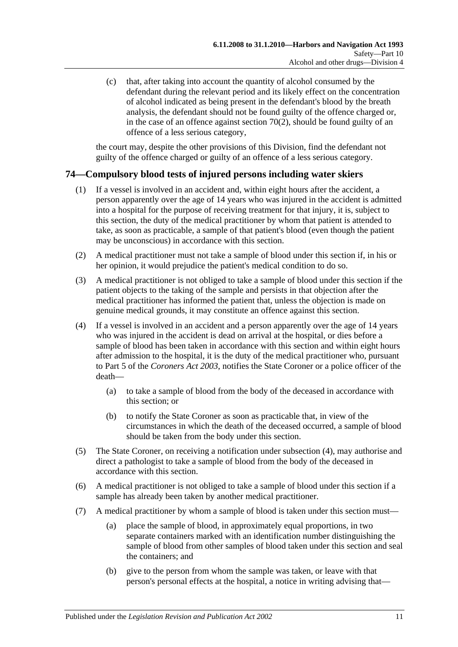(c) that, after taking into account the quantity of alcohol consumed by the defendant during the relevant period and its likely effect on the concentration of alcohol indicated as being present in the defendant's blood by the breath analysis, the defendant should not be found guilty of the offence charged or, in the case of an offence against [section](#page-51-0)  $70(2)$ , should be found guilty of an offence of a less serious category,

the court may, despite the other provisions of this Division, find the defendant not guilty of the offence charged or guilty of an offence of a less serious category.

# <span id="page-58-1"></span>**74—Compulsory blood tests of injured persons including water skiers**

- (1) If a vessel is involved in an accident and, within eight hours after the accident, a person apparently over the age of 14 years who was injured in the accident is admitted into a hospital for the purpose of receiving treatment for that injury, it is, subject to this section, the duty of the medical practitioner by whom that patient is attended to take, as soon as practicable, a sample of that patient's blood (even though the patient may be unconscious) in accordance with this section.
- (2) A medical practitioner must not take a sample of blood under this section if, in his or her opinion, it would prejudice the patient's medical condition to do so.
- (3) A medical practitioner is not obliged to take a sample of blood under this section if the patient objects to the taking of the sample and persists in that objection after the medical practitioner has informed the patient that, unless the objection is made on genuine medical grounds, it may constitute an offence against this section.
- (4) If a vessel is involved in an accident and a person apparently over the age of 14 years who was injured in the accident is dead on arrival at the hospital, or dies before a sample of blood has been taken in accordance with this section and within eight hours after admission to the hospital, it is the duty of the medical practitioner who, pursuant to Part 5 of the *[Coroners Act](http://www.legislation.sa.gov.au/index.aspx?action=legref&type=act&legtitle=Coroners%20Act%202003) 2003*, notifies the State Coroner or a police officer of the death—
	- (a) to take a sample of blood from the body of the deceased in accordance with this section; or
	- (b) to notify the State Coroner as soon as practicable that, in view of the circumstances in which the death of the deceased occurred, a sample of blood should be taken from the body under this section.
- (5) The State Coroner, on receiving a notification under subsection (4), may authorise and direct a pathologist to take a sample of blood from the body of the deceased in accordance with this section.
- (6) A medical practitioner is not obliged to take a sample of blood under this section if a sample has already been taken by another medical practitioner.
- <span id="page-58-0"></span>(7) A medical practitioner by whom a sample of blood is taken under this section must—
	- (a) place the sample of blood, in approximately equal proportions, in two separate containers marked with an identification number distinguishing the sample of blood from other samples of blood taken under this section and seal the containers; and
	- (b) give to the person from whom the sample was taken, or leave with that person's personal effects at the hospital, a notice in writing advising that—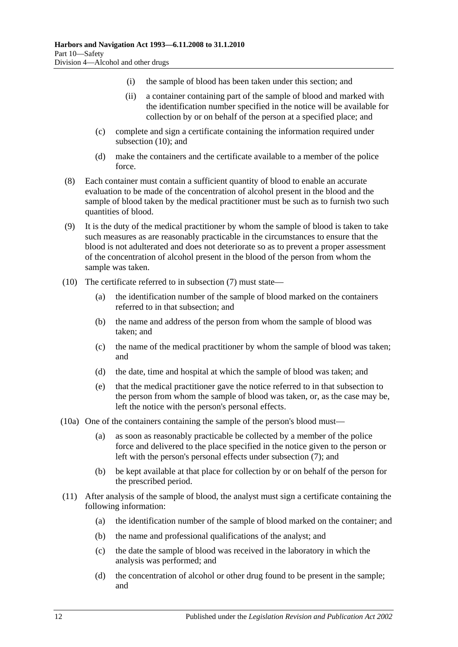- (i) the sample of blood has been taken under this section; and
- (ii) a container containing part of the sample of blood and marked with the identification number specified in the notice will be available for collection by or on behalf of the person at a specified place; and
- (c) complete and sign a certificate containing the information required under [subsection](#page-59-0) (10); and
- (d) make the containers and the certificate available to a member of the police force.
- (8) Each container must contain a sufficient quantity of blood to enable an accurate evaluation to be made of the concentration of alcohol present in the blood and the sample of blood taken by the medical practitioner must be such as to furnish two such quantities of blood.
- (9) It is the duty of the medical practitioner by whom the sample of blood is taken to take such measures as are reasonably practicable in the circumstances to ensure that the blood is not adulterated and does not deteriorate so as to prevent a proper assessment of the concentration of alcohol present in the blood of the person from whom the sample was taken.
- <span id="page-59-0"></span>(10) The certificate referred to in [subsection](#page-58-0) (7) must state—
	- (a) the identification number of the sample of blood marked on the containers referred to in that subsection; and
	- (b) the name and address of the person from whom the sample of blood was taken; and
	- (c) the name of the medical practitioner by whom the sample of blood was taken; and
	- (d) the date, time and hospital at which the sample of blood was taken; and
	- (e) that the medical practitioner gave the notice referred to in that subsection to the person from whom the sample of blood was taken, or, as the case may be, left the notice with the person's personal effects.
- (10a) One of the containers containing the sample of the person's blood must—
	- (a) as soon as reasonably practicable be collected by a member of the police force and delivered to the place specified in the notice given to the person or left with the person's personal effects under [subsection](#page-58-0) (7); and
	- (b) be kept available at that place for collection by or on behalf of the person for the prescribed period.
- (11) After analysis of the sample of blood, the analyst must sign a certificate containing the following information:
	- (a) the identification number of the sample of blood marked on the container; and
	- (b) the name and professional qualifications of the analyst; and
	- (c) the date the sample of blood was received in the laboratory in which the analysis was performed; and
	- (d) the concentration of alcohol or other drug found to be present in the sample; and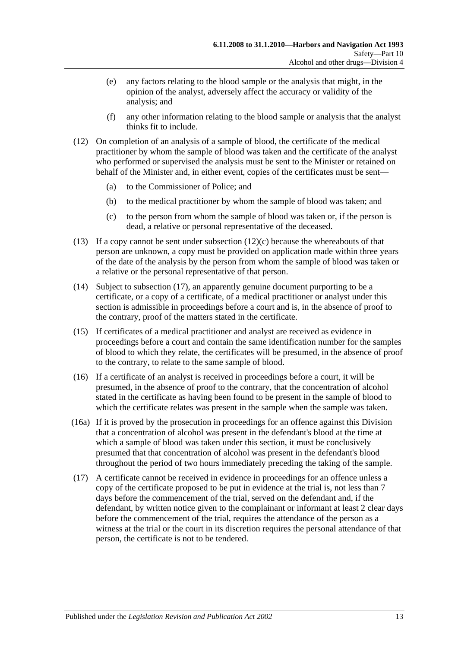- (e) any factors relating to the blood sample or the analysis that might, in the opinion of the analyst, adversely affect the accuracy or validity of the analysis; and
- (f) any other information relating to the blood sample or analysis that the analyst thinks fit to include.
- (12) On completion of an analysis of a sample of blood, the certificate of the medical practitioner by whom the sample of blood was taken and the certificate of the analyst who performed or supervised the analysis must be sent to the Minister or retained on behalf of the Minister and, in either event, copies of the certificates must be sent—
	- (a) to the Commissioner of Police; and
	- (b) to the medical practitioner by whom the sample of blood was taken; and
	- (c) to the person from whom the sample of blood was taken or, if the person is dead, a relative or personal representative of the deceased.
- <span id="page-60-1"></span>(13) If a copy cannot be sent under [subsection](#page-60-1)  $(12)(c)$  because the whereabouts of that person are unknown, a copy must be provided on application made within three years of the date of the analysis by the person from whom the sample of blood was taken or a relative or the personal representative of that person.
- (14) Subject to [subsection](#page-60-0) (17), an apparently genuine document purporting to be a certificate, or a copy of a certificate, of a medical practitioner or analyst under this section is admissible in proceedings before a court and is, in the absence of proof to the contrary, proof of the matters stated in the certificate.
- (15) If certificates of a medical practitioner and analyst are received as evidence in proceedings before a court and contain the same identification number for the samples of blood to which they relate, the certificates will be presumed, in the absence of proof to the contrary, to relate to the same sample of blood.
- (16) If a certificate of an analyst is received in proceedings before a court, it will be presumed, in the absence of proof to the contrary, that the concentration of alcohol stated in the certificate as having been found to be present in the sample of blood to which the certificate relates was present in the sample when the sample was taken.
- (16a) If it is proved by the prosecution in proceedings for an offence against this Division that a concentration of alcohol was present in the defendant's blood at the time at which a sample of blood was taken under this section, it must be conclusively presumed that that concentration of alcohol was present in the defendant's blood throughout the period of two hours immediately preceding the taking of the sample.
- <span id="page-60-0"></span>(17) A certificate cannot be received in evidence in proceedings for an offence unless a copy of the certificate proposed to be put in evidence at the trial is, not less than 7 days before the commencement of the trial, served on the defendant and, if the defendant, by written notice given to the complainant or informant at least 2 clear days before the commencement of the trial, requires the attendance of the person as a witness at the trial or the court in its discretion requires the personal attendance of that person, the certificate is not to be tendered.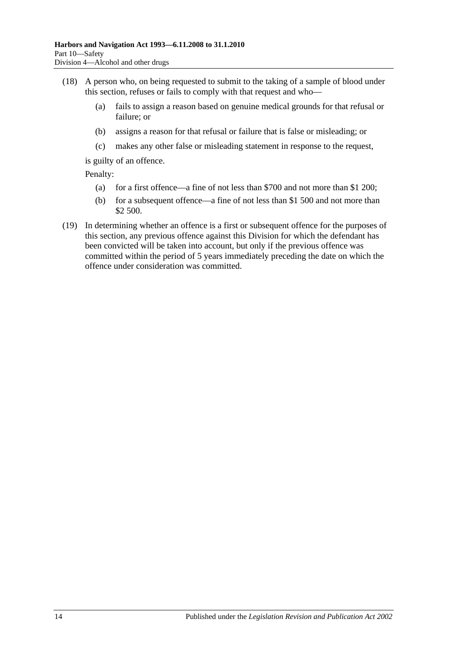- (18) A person who, on being requested to submit to the taking of a sample of blood under this section, refuses or fails to comply with that request and who—
	- (a) fails to assign a reason based on genuine medical grounds for that refusal or failure; or
	- (b) assigns a reason for that refusal or failure that is false or misleading; or
	- (c) makes any other false or misleading statement in response to the request,

is guilty of an offence.

Penalty:

- (a) for a first offence—a fine of not less than \$700 and not more than \$1 200;
- (b) for a subsequent offence—a fine of not less than \$1 500 and not more than \$2 500.
- (19) In determining whether an offence is a first or subsequent offence for the purposes of this section, any previous offence against this Division for which the defendant has been convicted will be taken into account, but only if the previous offence was committed within the period of 5 years immediately preceding the date on which the offence under consideration was committed.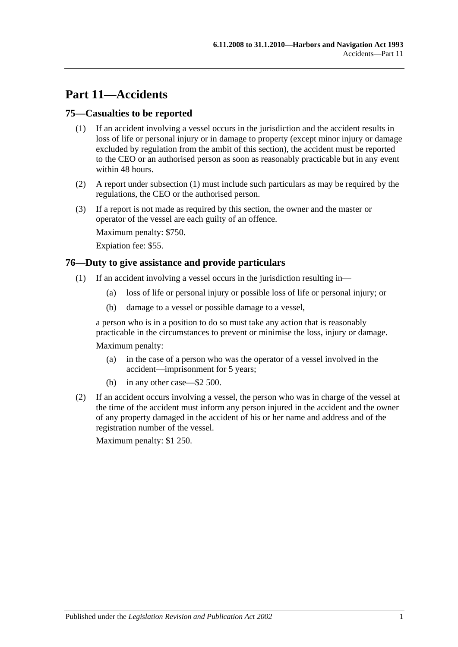# **Part 11—Accidents**

## <span id="page-62-1"></span>**75—Casualties to be reported**

- (1) If an accident involving a vessel occurs in the jurisdiction and the accident results in loss of life or personal injury or in damage to property (except minor injury or damage excluded by regulation from the ambit of this section), the accident must be reported to the CEO or an authorised person as soon as reasonably practicable but in any event within 48 hours.
- (2) A report under [subsection](#page-62-1) (1) must include such particulars as may be required by the regulations, the CEO or the authorised person.
- (3) If a report is not made as required by this section, the owner and the master or operator of the vessel are each guilty of an offence.

Maximum penalty: \$750.

Expiation fee: \$55.

#### <span id="page-62-0"></span>**76—Duty to give assistance and provide particulars**

- (1) If an accident involving a vessel occurs in the jurisdiction resulting in—
	- (a) loss of life or personal injury or possible loss of life or personal injury; or
	- (b) damage to a vessel or possible damage to a vessel,

a person who is in a position to do so must take any action that is reasonably practicable in the circumstances to prevent or minimise the loss, injury or damage.

Maximum penalty:

- (a) in the case of a person who was the operator of a vessel involved in the accident—imprisonment for 5 years;
- (b) in any other case—\$2 500.
- (2) If an accident occurs involving a vessel, the person who was in charge of the vessel at the time of the accident must inform any person injured in the accident and the owner of any property damaged in the accident of his or her name and address and of the registration number of the vessel.

Maximum penalty: \$1 250.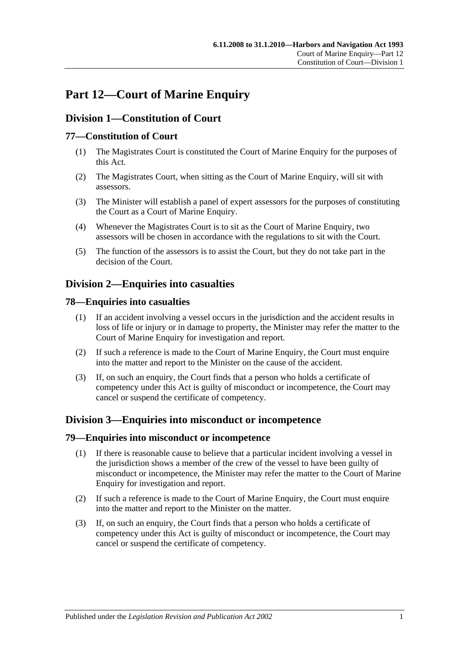# **Part 12—Court of Marine Enquiry**

# **Division 1—Constitution of Court**

# **77—Constitution of Court**

- (1) The Magistrates Court is constituted the Court of Marine Enquiry for the purposes of this Act.
- (2) The Magistrates Court, when sitting as the Court of Marine Enquiry, will sit with assessors.
- (3) The Minister will establish a panel of expert assessors for the purposes of constituting the Court as a Court of Marine Enquiry.
- (4) Whenever the Magistrates Court is to sit as the Court of Marine Enquiry, two assessors will be chosen in accordance with the regulations to sit with the Court.
- (5) The function of the assessors is to assist the Court, but they do not take part in the decision of the Court.

# **Division 2—Enquiries into casualties**

#### **78—Enquiries into casualties**

- (1) If an accident involving a vessel occurs in the jurisdiction and the accident results in loss of life or injury or in damage to property, the Minister may refer the matter to the Court of Marine Enquiry for investigation and report.
- (2) If such a reference is made to the Court of Marine Enquiry, the Court must enquire into the matter and report to the Minister on the cause of the accident.
- (3) If, on such an enquiry, the Court finds that a person who holds a certificate of competency under this Act is guilty of misconduct or incompetence, the Court may cancel or suspend the certificate of competency.

# **Division 3—Enquiries into misconduct or incompetence**

#### **79—Enquiries into misconduct or incompetence**

- (1) If there is reasonable cause to believe that a particular incident involving a vessel in the jurisdiction shows a member of the crew of the vessel to have been guilty of misconduct or incompetence, the Minister may refer the matter to the Court of Marine Enquiry for investigation and report.
- (2) If such a reference is made to the Court of Marine Enquiry, the Court must enquire into the matter and report to the Minister on the matter.
- (3) If, on such an enquiry, the Court finds that a person who holds a certificate of competency under this Act is guilty of misconduct or incompetence, the Court may cancel or suspend the certificate of competency.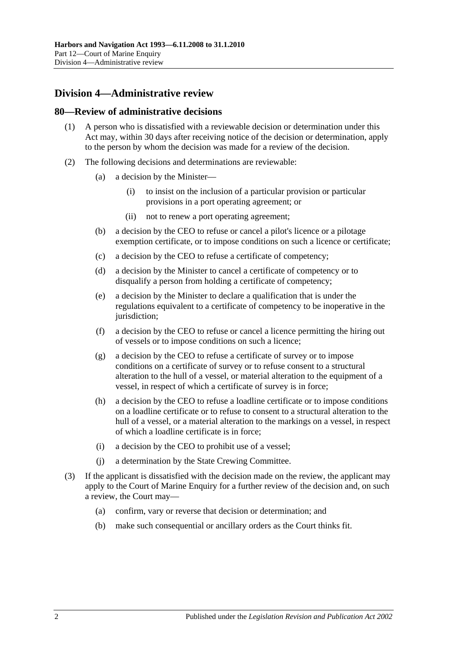# **Division 4—Administrative review**

#### **80—Review of administrative decisions**

- (1) A person who is dissatisfied with a reviewable decision or determination under this Act may, within 30 days after receiving notice of the decision or determination, apply to the person by whom the decision was made for a review of the decision.
- (2) The following decisions and determinations are reviewable:
	- (a) a decision by the Minister—
		- (i) to insist on the inclusion of a particular provision or particular provisions in a port operating agreement; or
		- (ii) not to renew a port operating agreement;
	- (b) a decision by the CEO to refuse or cancel a pilot's licence or a pilotage exemption certificate, or to impose conditions on such a licence or certificate;
	- (c) a decision by the CEO to refuse a certificate of competency;
	- (d) a decision by the Minister to cancel a certificate of competency or to disqualify a person from holding a certificate of competency;
	- (e) a decision by the Minister to declare a qualification that is under the regulations equivalent to a certificate of competency to be inoperative in the jurisdiction:
	- (f) a decision by the CEO to refuse or cancel a licence permitting the hiring out of vessels or to impose conditions on such a licence;
	- (g) a decision by the CEO to refuse a certificate of survey or to impose conditions on a certificate of survey or to refuse consent to a structural alteration to the hull of a vessel, or material alteration to the equipment of a vessel, in respect of which a certificate of survey is in force;
	- (h) a decision by the CEO to refuse a loadline certificate or to impose conditions on a loadline certificate or to refuse to consent to a structural alteration to the hull of a vessel, or a material alteration to the markings on a vessel, in respect of which a loadline certificate is in force;
	- (i) a decision by the CEO to prohibit use of a vessel;
	- (j) a determination by the State Crewing Committee.
- (3) If the applicant is dissatisfied with the decision made on the review, the applicant may apply to the Court of Marine Enquiry for a further review of the decision and, on such a review, the Court may—
	- (a) confirm, vary or reverse that decision or determination; and
	- (b) make such consequential or ancillary orders as the Court thinks fit.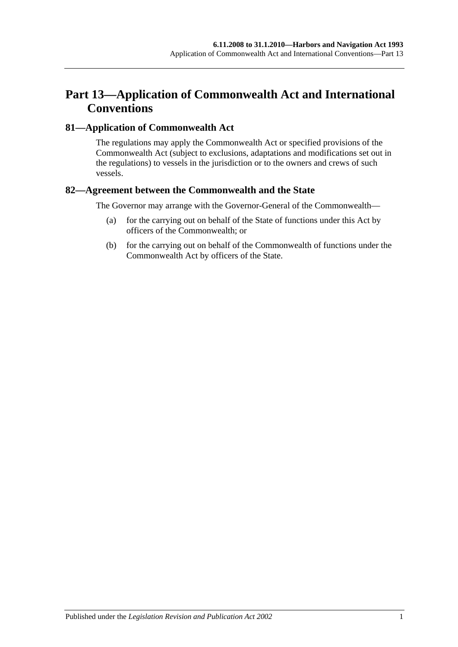# **Part 13—Application of Commonwealth Act and International Conventions**

## **81—Application of Commonwealth Act**

The regulations may apply the Commonwealth Act or specified provisions of the Commonwealth Act (subject to exclusions, adaptations and modifications set out in the regulations) to vessels in the jurisdiction or to the owners and crews of such vessels.

## **82—Agreement between the Commonwealth and the State**

The Governor may arrange with the Governor-General of the Commonwealth—

- (a) for the carrying out on behalf of the State of functions under this Act by officers of the Commonwealth; or
- (b) for the carrying out on behalf of the Commonwealth of functions under the Commonwealth Act by officers of the State.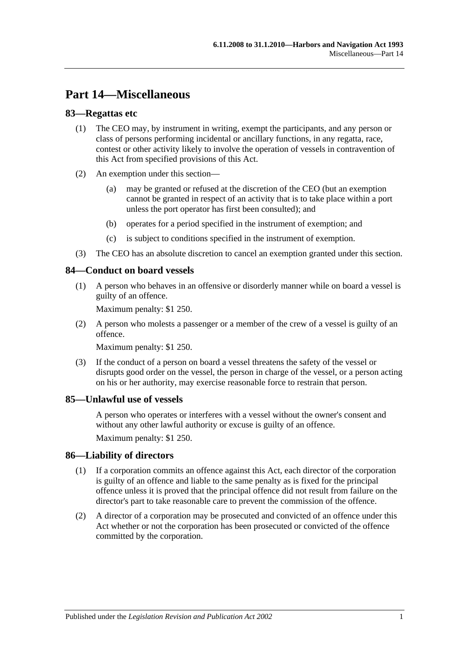# **Part 14—Miscellaneous**

## **83—Regattas etc**

- (1) The CEO may, by instrument in writing, exempt the participants, and any person or class of persons performing incidental or ancillary functions, in any regatta, race, contest or other activity likely to involve the operation of vessels in contravention of this Act from specified provisions of this Act.
- (2) An exemption under this section—
	- (a) may be granted or refused at the discretion of the CEO (but an exemption cannot be granted in respect of an activity that is to take place within a port unless the port operator has first been consulted); and
	- (b) operates for a period specified in the instrument of exemption; and
	- (c) is subject to conditions specified in the instrument of exemption.
- (3) The CEO has an absolute discretion to cancel an exemption granted under this section.

## **84—Conduct on board vessels**

(1) A person who behaves in an offensive or disorderly manner while on board a vessel is guilty of an offence.

Maximum penalty: \$1 250.

(2) A person who molests a passenger or a member of the crew of a vessel is guilty of an offence.

Maximum penalty: \$1 250.

(3) If the conduct of a person on board a vessel threatens the safety of the vessel or disrupts good order on the vessel, the person in charge of the vessel, or a person acting on his or her authority, may exercise reasonable force to restrain that person.

#### **85—Unlawful use of vessels**

A person who operates or interferes with a vessel without the owner's consent and without any other lawful authority or excuse is guilty of an offence.

Maximum penalty: \$1 250.

## **86—Liability of directors**

- (1) If a corporation commits an offence against this Act, each director of the corporation is guilty of an offence and liable to the same penalty as is fixed for the principal offence unless it is proved that the principal offence did not result from failure on the director's part to take reasonable care to prevent the commission of the offence.
- (2) A director of a corporation may be prosecuted and convicted of an offence under this Act whether or not the corporation has been prosecuted or convicted of the offence committed by the corporation.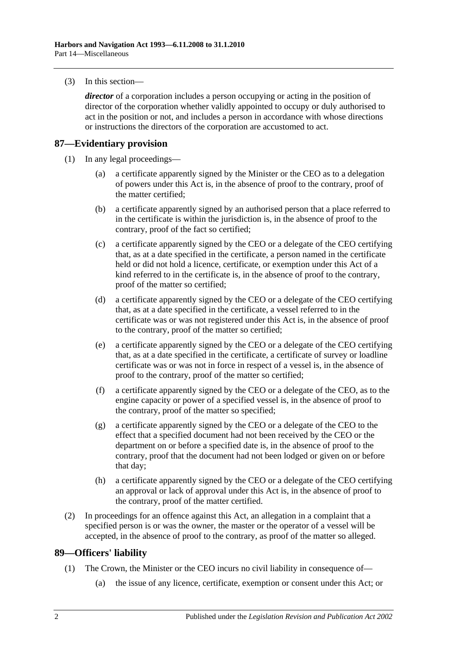(3) In this section—

*director* of a corporation includes a person occupying or acting in the position of director of the corporation whether validly appointed to occupy or duly authorised to act in the position or not, and includes a person in accordance with whose directions or instructions the directors of the corporation are accustomed to act.

## **87—Evidentiary provision**

- (1) In any legal proceedings—
	- (a) a certificate apparently signed by the Minister or the CEO as to a delegation of powers under this Act is, in the absence of proof to the contrary, proof of the matter certified;
	- (b) a certificate apparently signed by an authorised person that a place referred to in the certificate is within the jurisdiction is, in the absence of proof to the contrary, proof of the fact so certified;
	- (c) a certificate apparently signed by the CEO or a delegate of the CEO certifying that, as at a date specified in the certificate, a person named in the certificate held or did not hold a licence, certificate, or exemption under this Act of a kind referred to in the certificate is, in the absence of proof to the contrary, proof of the matter so certified;
	- (d) a certificate apparently signed by the CEO or a delegate of the CEO certifying that, as at a date specified in the certificate, a vessel referred to in the certificate was or was not registered under this Act is, in the absence of proof to the contrary, proof of the matter so certified;
	- (e) a certificate apparently signed by the CEO or a delegate of the CEO certifying that, as at a date specified in the certificate, a certificate of survey or loadline certificate was or was not in force in respect of a vessel is, in the absence of proof to the contrary, proof of the matter so certified;
	- (f) a certificate apparently signed by the CEO or a delegate of the CEO, as to the engine capacity or power of a specified vessel is, in the absence of proof to the contrary, proof of the matter so specified;
	- (g) a certificate apparently signed by the CEO or a delegate of the CEO to the effect that a specified document had not been received by the CEO or the department on or before a specified date is, in the absence of proof to the contrary, proof that the document had not been lodged or given on or before that day;
	- (h) a certificate apparently signed by the CEO or a delegate of the CEO certifying an approval or lack of approval under this Act is, in the absence of proof to the contrary, proof of the matter certified.
- (2) In proceedings for an offence against this Act, an allegation in a complaint that a specified person is or was the owner, the master or the operator of a vessel will be accepted, in the absence of proof to the contrary, as proof of the matter so alleged.

## **89—Officers' liability**

- (1) The Crown, the Minister or the CEO incurs no civil liability in consequence of—
	- (a) the issue of any licence, certificate, exemption or consent under this Act; or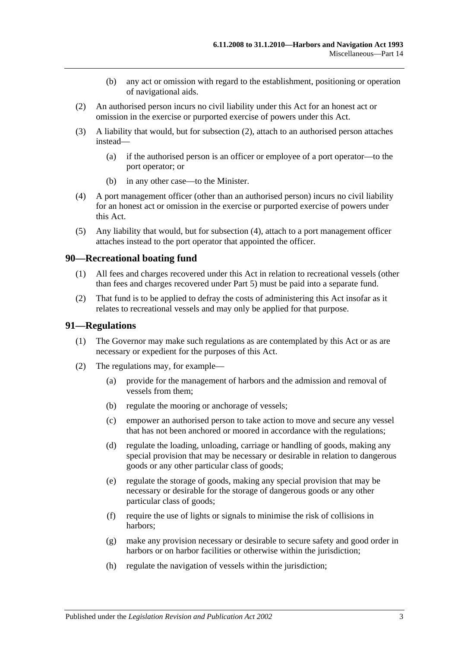- (b) any act or omission with regard to the establishment, positioning or operation of navigational aids.
- <span id="page-70-0"></span>(2) An authorised person incurs no civil liability under this Act for an honest act or omission in the exercise or purported exercise of powers under this Act.
- (3) A liability that would, but for [subsection](#page-70-0) (2), attach to an authorised person attaches instead—
	- (a) if the authorised person is an officer or employee of a port operator—to the port operator; or
	- (b) in any other case—to the Minister.
- <span id="page-70-1"></span>(4) A port management officer (other than an authorised person) incurs no civil liability for an honest act or omission in the exercise or purported exercise of powers under this Act.
- (5) Any liability that would, but for [subsection](#page-70-1) (4), attach to a port management officer attaches instead to the port operator that appointed the officer.

#### **90—Recreational boating fund**

- (1) All fees and charges recovered under this Act in relation to recreational vessels (other than fees and charges recovered under [Part 5\)](#page-22-0) must be paid into a separate fund.
- (2) That fund is to be applied to defray the costs of administering this Act insofar as it relates to recreational vessels and may only be applied for that purpose.

#### **91—Regulations**

- (1) The Governor may make such regulations as are contemplated by this Act or as are necessary or expedient for the purposes of this Act.
- (2) The regulations may, for example—
	- (a) provide for the management of harbors and the admission and removal of vessels from them;
	- (b) regulate the mooring or anchorage of vessels;
	- (c) empower an authorised person to take action to move and secure any vessel that has not been anchored or moored in accordance with the regulations;
	- (d) regulate the loading, unloading, carriage or handling of goods, making any special provision that may be necessary or desirable in relation to dangerous goods or any other particular class of goods;
	- (e) regulate the storage of goods, making any special provision that may be necessary or desirable for the storage of dangerous goods or any other particular class of goods;
	- (f) require the use of lights or signals to minimise the risk of collisions in harbors;
	- (g) make any provision necessary or desirable to secure safety and good order in harbors or on harbor facilities or otherwise within the jurisdiction;
	- (h) regulate the navigation of vessels within the jurisdiction;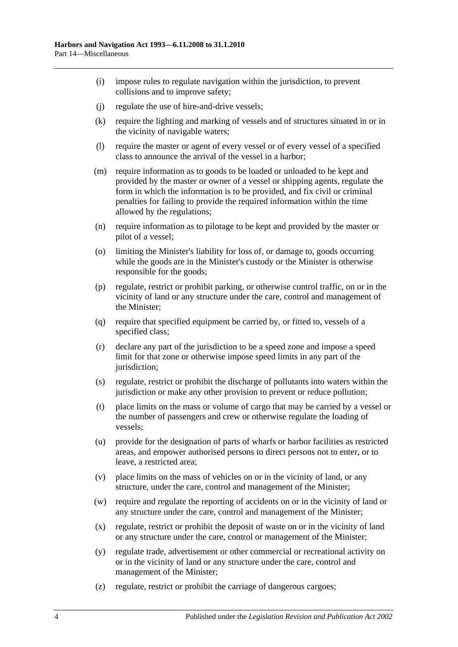- (i) impose rules to regulate navigation within the jurisdiction, to prevent collisions and to improve safety;
- (j) regulate the use of hire-and-drive vessels;
- (k) require the lighting and marking of vessels and of structures situated in or in the vicinity of navigable waters;
- (l) require the master or agent of every vessel or of every vessel of a specified class to announce the arrival of the vessel in a harbor;
- (m) require information as to goods to be loaded or unloaded to be kept and provided by the master or owner of a vessel or shipping agents, regulate the form in which the information is to be provided, and fix civil or criminal penalties for failing to provide the required information within the time allowed by the regulations;
- (n) require information as to pilotage to be kept and provided by the master or pilot of a vessel;
- (o) limiting the Minister's liability for loss of, or damage to, goods occurring while the goods are in the Minister's custody or the Minister is otherwise responsible for the goods;
- (p) regulate, restrict or prohibit parking, or otherwise control traffic, on or in the vicinity of land or any structure under the care, control and management of the Minister;
- (q) require that specified equipment be carried by, or fitted to, vessels of a specified class;
- (r) declare any part of the jurisdiction to be a speed zone and impose a speed limit for that zone or otherwise impose speed limits in any part of the jurisdiction:
- (s) regulate, restrict or prohibit the discharge of pollutants into waters within the jurisdiction or make any other provision to prevent or reduce pollution;
- (t) place limits on the mass or volume of cargo that may be carried by a vessel or the number of passengers and crew or otherwise regulate the loading of vessels;
- (u) provide for the designation of parts of wharfs or harbor facilities as restricted areas, and empower authorised persons to direct persons not to enter, or to leave, a restricted area;
- (v) place limits on the mass of vehicles on or in the vicinity of land, or any structure, under the care, control and management of the Minister;
- (w) require and regulate the reporting of accidents on or in the vicinity of land or any structure under the care, control and management of the Minister;
- (x) regulate, restrict or prohibit the deposit of waste on or in the vicinity of land or any structure under the care, control or management of the Minister;
- (y) regulate trade, advertisement or other commercial or recreational activity on or in the vicinity of land or any structure under the care, control and management of the Minister;
- (z) regulate, restrict or prohibit the carriage of dangerous cargoes;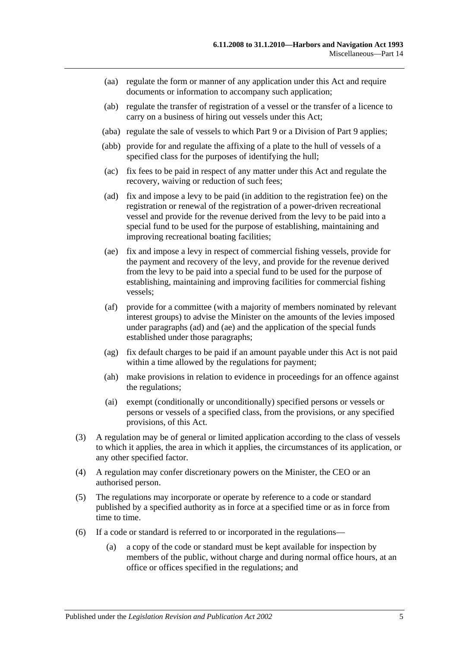- (aa) regulate the form or manner of any application under this Act and require documents or information to accompany such application;
- (ab) regulate the transfer of registration of a vessel or the transfer of a licence to carry on a business of hiring out vessels under this Act;
- (aba) regulate the sale of vessels to which [Part 9](#page-42-0) or a Division of [Part 9](#page-42-0) applies;
- (abb) provide for and regulate the affixing of a plate to the hull of vessels of a specified class for the purposes of identifying the hull;
- (ac) fix fees to be paid in respect of any matter under this Act and regulate the recovery, waiving or reduction of such fees;
- <span id="page-72-0"></span>(ad) fix and impose a levy to be paid (in addition to the registration fee) on the registration or renewal of the registration of a power-driven recreational vessel and provide for the revenue derived from the levy to be paid into a special fund to be used for the purpose of establishing, maintaining and improving recreational boating facilities;
- <span id="page-72-1"></span>(ae) fix and impose a levy in respect of commercial fishing vessels, provide for the payment and recovery of the levy, and provide for the revenue derived from the levy to be paid into a special fund to be used for the purpose of establishing, maintaining and improving facilities for commercial fishing vessels;
- (af) provide for a committee (with a majority of members nominated by relevant interest groups) to advise the Minister on the amounts of the levies imposed under [paragraphs](#page-72-0) (ad) and [\(ae\)](#page-72-1) and the application of the special funds established under those paragraphs;
- (ag) fix default charges to be paid if an amount payable under this Act is not paid within a time allowed by the regulations for payment;
- (ah) make provisions in relation to evidence in proceedings for an offence against the regulations;
- (ai) exempt (conditionally or unconditionally) specified persons or vessels or persons or vessels of a specified class, from the provisions, or any specified provisions, of this Act.
- (3) A regulation may be of general or limited application according to the class of vessels to which it applies, the area in which it applies, the circumstances of its application, or any other specified factor.
- (4) A regulation may confer discretionary powers on the Minister, the CEO or an authorised person.
- (5) The regulations may incorporate or operate by reference to a code or standard published by a specified authority as in force at a specified time or as in force from time to time.
- (6) If a code or standard is referred to or incorporated in the regulations—
	- (a) a copy of the code or standard must be kept available for inspection by members of the public, without charge and during normal office hours, at an office or offices specified in the regulations; and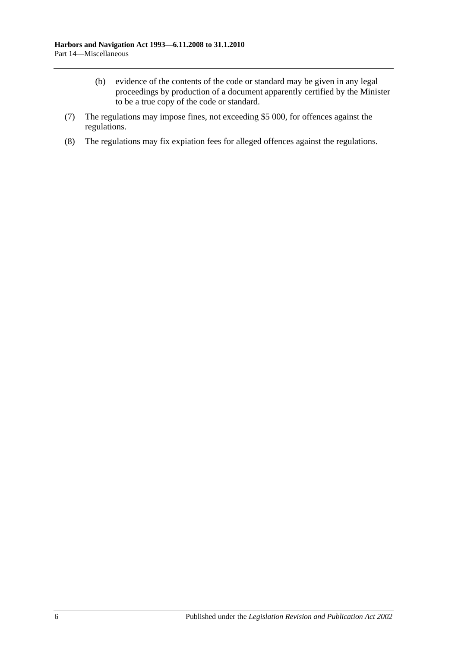- (b) evidence of the contents of the code or standard may be given in any legal proceedings by production of a document apparently certified by the Minister to be a true copy of the code or standard.
- (7) The regulations may impose fines, not exceeding \$5 000, for offences against the regulations.
- (8) The regulations may fix expiation fees for alleged offences against the regulations.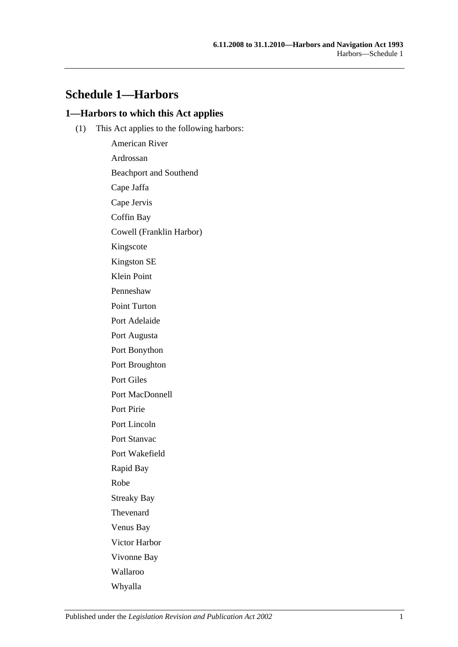# **Schedule 1—Harbors**

### **1—Harbors to which this Act applies**

(1) This Act applies to the following harbors:

American River Ardrossan Beachport and Southend Cape Jaffa Cape Jervis Coffin Bay Cowell (Franklin Harbor) Kingscote Kingston SE Klein Point Penneshaw Point Turton Port Adelaide Port Augusta Port Bonython Port Broughton Port Giles Port MacDonnell Port Pirie Port Lincoln Port Stanvac Port Wakefield Rapid Bay Robe Streaky Bay Thevenard Venus Bay Victor Harbor Vivonne Bay Wallaroo Whyalla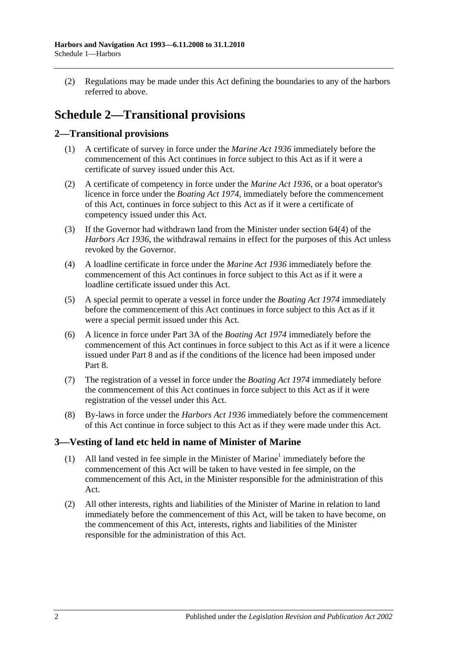(2) Regulations may be made under this Act defining the boundaries to any of the harbors referred to above.

# **Schedule 2—Transitional provisions**

## **2—Transitional provisions**

- (1) A certificate of survey in force under the *[Marine Act](http://www.legislation.sa.gov.au/index.aspx?action=legref&type=act&legtitle=Marine%20Act%201936) 1936* immediately before the commencement of this Act continues in force subject to this Act as if it were a certificate of survey issued under this Act.
- (2) A certificate of competency in force under the *[Marine Act](http://www.legislation.sa.gov.au/index.aspx?action=legref&type=act&legtitle=Marine%20Act%201936) 1936*, or a boat operator's licence in force under the *[Boating Act](http://www.legislation.sa.gov.au/index.aspx?action=legref&type=act&legtitle=Boating%20Act%201974) 1974*, immediately before the commencement of this Act, continues in force subject to this Act as if it were a certificate of competency issued under this Act.
- (3) If the Governor had withdrawn land from the Minister under section 64(4) of the *[Harbors Act](http://www.legislation.sa.gov.au/index.aspx?action=legref&type=act&legtitle=Harbors%20Act%201936) 1936*, the withdrawal remains in effect for the purposes of this Act unless revoked by the Governor.
- (4) A loadline certificate in force under the *[Marine Act](http://www.legislation.sa.gov.au/index.aspx?action=legref&type=act&legtitle=Marine%20Act%201936) 1936* immediately before the commencement of this Act continues in force subject to this Act as if it were a loadline certificate issued under this Act.
- (5) A special permit to operate a vessel in force under the *[Boating Act](http://www.legislation.sa.gov.au/index.aspx?action=legref&type=act&legtitle=Boating%20Act%201974) 1974* immediately before the commencement of this Act continues in force subject to this Act as if it were a special permit issued under this Act.
- (6) A licence in force under Part 3A of the *[Boating Act](http://www.legislation.sa.gov.au/index.aspx?action=legref&type=act&legtitle=Boating%20Act%201974) 1974* immediately before the commencement of this Act continues in force subject to this Act as if it were a licence issued under [Part 8](#page-40-0) and as if the conditions of the licence had been imposed under [Part](#page-40-0) 8.
- (7) The registration of a vessel in force under the *[Boating Act](http://www.legislation.sa.gov.au/index.aspx?action=legref&type=act&legtitle=Boating%20Act%201974) 1974* immediately before the commencement of this Act continues in force subject to this Act as if it were registration of the vessel under this Act.
- (8) By-laws in force under the *[Harbors Act](http://www.legislation.sa.gov.au/index.aspx?action=legref&type=act&legtitle=Harbors%20Act%201936) 1936* immediately before the commencement of this Act continue in force subject to this Act as if they were made under this Act.

## **3—Vesting of land etc held in name of Minister of Marine**

- (1) All land vested in fee simple in the Minister of Marine<sup>1</sup> immediately before the commencement of this Act will be taken to have vested in fee simple, on the commencement of this Act, in the Minister responsible for the administration of this Act.
- (2) All other interests, rights and liabilities of the Minister of Marine in relation to land immediately before the commencement of this Act, will be taken to have become, on the commencement of this Act, interests, rights and liabilities of the Minister responsible for the administration of this Act.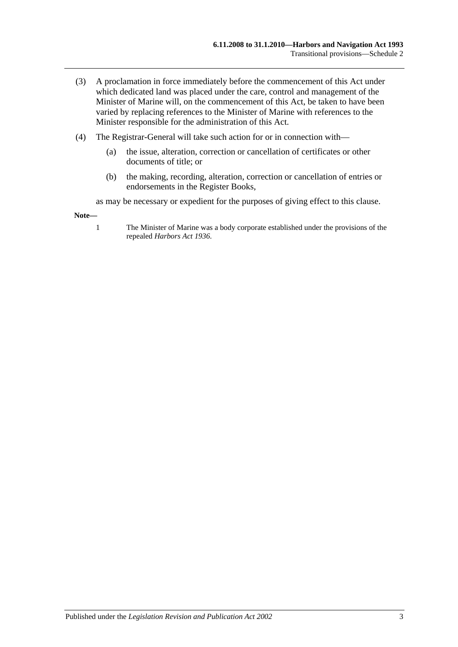- (3) A proclamation in force immediately before the commencement of this Act under which dedicated land was placed under the care, control and management of the Minister of Marine will, on the commencement of this Act, be taken to have been varied by replacing references to the Minister of Marine with references to the Minister responsible for the administration of this Act.
- (4) The Registrar-General will take such action for or in connection with—
	- (a) the issue, alteration, correction or cancellation of certificates or other documents of title; or
	- (b) the making, recording, alteration, correction or cancellation of entries or endorsements in the Register Books,

as may be necessary or expedient for the purposes of giving effect to this clause.

**Note—**

1 The Minister of Marine was a body corporate established under the provisions of the repealed *[Harbors Act](http://www.legislation.sa.gov.au/index.aspx?action=legref&type=act&legtitle=Harbors%20Act%201936) 1936*.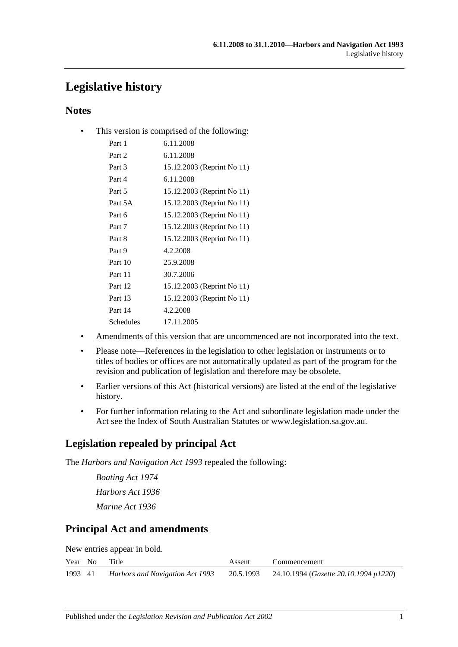# **Legislative history**

## **Notes**

• This version is comprised of the following:

| Part 1    | 6.11.2008                  |
|-----------|----------------------------|
| Part 2    | 6.11.2008                  |
| Part 3    | 15.12.2003 (Reprint No 11) |
| Part 4    | 6.11.2008                  |
| Part 5    | 15.12.2003 (Reprint No 11) |
| Part 5A   | 15.12.2003 (Reprint No 11) |
| Part 6    | 15.12.2003 (Reprint No 11) |
| Part 7    | 15.12.2003 (Reprint No 11) |
| Part 8    | 15.12.2003 (Reprint No 11) |
| Part 9    | 4.2.2008                   |
| Part 10   | 25.9.2008                  |
| Part 11   | 30.7.2006                  |
| Part 12   | 15.12.2003 (Reprint No 11) |
| Part 13   | 15.12.2003 (Reprint No 11) |
| Part 14   | 4.2.2008                   |
| Schedules | 17.11.2005                 |

- Amendments of this version that are uncommenced are not incorporated into the text.
- Please note—References in the legislation to other legislation or instruments or to titles of bodies or offices are not automatically updated as part of the program for the revision and publication of legislation and therefore may be obsolete.
- Earlier versions of this Act (historical versions) are listed at the end of the legislative history.
- For further information relating to the Act and subordinate legislation made under the Act see the Index of South Australian Statutes or www.legislation.sa.gov.au.

# **Legislation repealed by principal Act**

The *Harbors and Navigation Act 1993* repealed the following:

*Boating Act 1974 Harbors Act 1936 Marine Act 1936*

# **Principal Act and amendments**

New entries appear in bold.

|         | Year No | Title                           | Assent | Commencement                                    |
|---------|---------|---------------------------------|--------|-------------------------------------------------|
| 1993 41 |         | Harbors and Navigation Act 1993 |        | 20.5.1993 24.10.1994 (Gazette 20.10.1994 p1220) |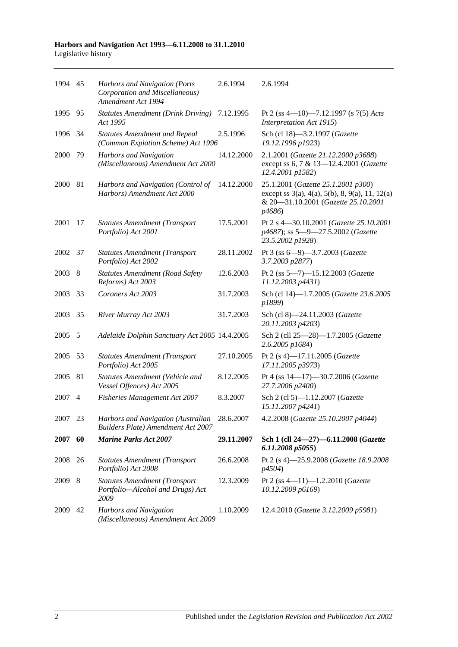#### **Harbors and Navigation Act 1993—6.11.2008 to 31.1.2010** Legislative history

| 1994 45 |                | Harbors and Navigation (Ports<br>Corporation and Miscellaneous)<br>Amendment Act 1994 | 2.6.1994   | 2.6.1994                                                                                                                                                          |
|---------|----------------|---------------------------------------------------------------------------------------|------------|-------------------------------------------------------------------------------------------------------------------------------------------------------------------|
| 1995    | 95             | <b>Statutes Amendment (Drink Driving)</b><br>Act 1995                                 | 7.12.1995  | Pt 2 (ss 4-10)-7.12.1997 (s 7(5) Acts<br>Interpretation Act 1915)                                                                                                 |
| 1996    | 34             | <b>Statutes Amendment and Repeal</b><br>(Common Expiation Scheme) Act 1996            | 2.5.1996   | Sch (cl 18)-3.2.1997 (Gazette<br>19.12.1996 p1923)                                                                                                                |
| 2000    | 79             | <b>Harbors and Navigation</b><br>(Miscellaneous) Amendment Act 2000                   | 14.12.2000 | 2.1.2001 (Gazette 21.12.2000 p3688)<br>except ss 6, 7 & 13-12.4.2001 (Gazette<br>12.4.2001 p1582)                                                                 |
| 2000    | 81             | Harbors and Navigation (Control of<br>Harbors) Amendment Act 2000                     | 14.12.2000 | 25.1.2001 (Gazette 25.1.2001 p300)<br>except ss $3(a)$ , $4(a)$ , $5(b)$ , $8$ , $9(a)$ , $11$ , $12(a)$<br>& 20-31.10.2001 (Gazette 25.10.2001<br><i>p</i> 4686) |
| 2001    | 17             | <b>Statutes Amendment (Transport</b><br>Portfolio) Act 2001                           | 17.5.2001  | Pt 2 s 4-30.10.2001 (Gazette 25.10.2001<br>p4687); ss 5-9-27.5.2002 (Gazette<br>23.5.2002 p1928)                                                                  |
| 2002    | 37             | <b>Statutes Amendment (Transport</b><br>Portfolio) Act 2002                           | 28.11.2002 | Pt 3 (ss 6-9)-3.7.2003 (Gazette<br>3.7.2003 p2877)                                                                                                                |
| 2003    | 8              | <b>Statutes Amendment (Road Safety</b><br>Reforms) Act 2003                           | 12.6.2003  | Pt 2 (ss 5-7)-15.12.2003 (Gazette<br>11.12.2003 p4431)                                                                                                            |
| 2003    | 33             | Coroners Act 2003                                                                     | 31.7.2003  | Sch (cl 14)-1.7.2005 (Gazette 23.6.2005<br>p1899)                                                                                                                 |
| 2003    | 35             | River Murray Act 2003                                                                 | 31.7.2003  | Sch (cl 8)-24.11.2003 (Gazette<br>20.11.2003 p4203)                                                                                                               |
| 2005    | 5              | Adelaide Dolphin Sanctuary Act 2005 14.4.2005                                         |            | Sch 2 (cll 25-28)-1.7.2005 (Gazette<br>2.6.2005 p1684)                                                                                                            |
| 2005    | 53             | <b>Statutes Amendment (Transport</b><br>Portfolio) Act 2005                           | 27.10.2005 | Pt 2 (s 4)-17.11.2005 (Gazette<br>17.11.2005 p3973)                                                                                                               |
| 2005    | 81             | Statutes Amendment (Vehicle and<br>Vessel Offences) Act 2005                          | 8.12.2005  | Pt 4 (ss 14-17)-30.7.2006 (Gazette<br>27.7.2006 p2400)                                                                                                            |
| 2007    | $\overline{4}$ | <b>Fisheries Management Act 2007</b>                                                  | 8.3.2007   | Sch 2 (cl 5)-1.12.2007 (Gazette<br>15.11.2007 p4241)                                                                                                              |
| 2007    | 23             | Harbors and Navigation (Australian<br><b>Builders Plate) Amendment Act 2007</b>       | 28.6.2007  | 4.2.2008 (Gazette 25.10.2007 p4044)                                                                                                                               |
| 2007    | 60             | <b>Marine Parks Act 2007</b>                                                          | 29.11.2007 | Sch 1 (cll 24-27)-6.11.2008 (Gazette<br>6.11.2008 p5055                                                                                                           |
| 2008    | 26             | <b>Statutes Amendment (Transport</b><br>Portfolio) Act 2008                           | 26.6.2008  | Pt 2 (s 4)-25.9.2008 (Gazette 18.9.2008<br><i>p4504</i> )                                                                                                         |
| 2009    | 8              | <b>Statutes Amendment (Transport</b><br>Portfolio-Alcohol and Drugs) Act<br>2009      | 12.3.2009  | Pt 2 (ss $4-11$ )-1.2.2010 (Gazette<br>10.12.2009 p6169)                                                                                                          |
| 2009    | 42             | Harbors and Navigation<br>(Miscellaneous) Amendment Act 2009                          | 1.10.2009  | 12.4.2010 (Gazette 3.12.2009 p5981)                                                                                                                               |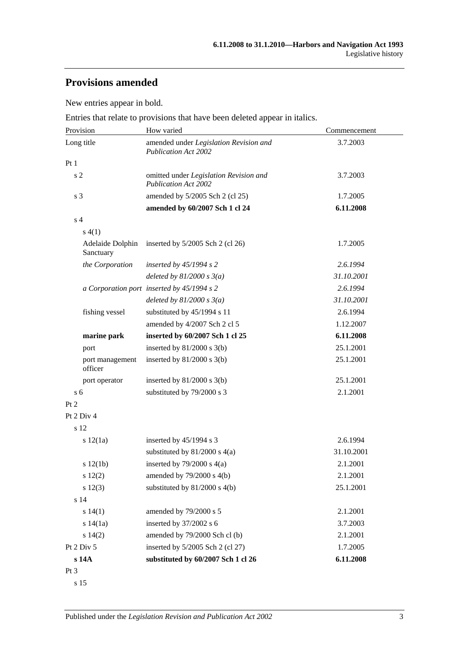# **Provisions amended**

New entries appear in bold.

Entries that relate to provisions that have been deleted appear in italics.

| Provision                     | How varied                                                            | Commencement |  |
|-------------------------------|-----------------------------------------------------------------------|--------------|--|
| Long title                    | amended under Legislation Revision and<br><b>Publication Act 2002</b> | 3.7.2003     |  |
| Pt1                           |                                                                       |              |  |
| s <sub>2</sub>                | omitted under Legislation Revision and<br><b>Publication Act 2002</b> | 3.7.2003     |  |
| s 3                           | amended by 5/2005 Sch 2 (cl 25)                                       | 1.7.2005     |  |
|                               | amended by 60/2007 Sch 1 cl 24                                        | 6.11.2008    |  |
| s <sub>4</sub>                |                                                                       |              |  |
| s(4(1))                       |                                                                       |              |  |
| Adelaide Dolphin<br>Sanctuary | inserted by $5/2005$ Sch 2 (cl 26)                                    | 1.7.2005     |  |
| the Corporation               | inserted by $45/1994$ s 2                                             | 2.6.1994     |  |
|                               | deleted by $81/2000 s 3(a)$                                           | 31.10.2001   |  |
|                               | a Corporation port inserted by 45/1994 s 2                            | 2.6.1994     |  |
|                               | deleted by $81/2000 s 3(a)$                                           | 31.10.2001   |  |
| fishing vessel                | substituted by 45/1994 s 11                                           | 2.6.1994     |  |
|                               | amended by 4/2007 Sch 2 cl 5                                          | 1.12.2007    |  |
| marine park                   | inserted by 60/2007 Sch 1 cl 25                                       | 6.11.2008    |  |
| port                          | inserted by $81/2000$ s $3(b)$                                        | 25.1.2001    |  |
| port management<br>officer    | inserted by $81/2000$ s $3(b)$                                        | 25.1.2001    |  |
| port operator                 | inserted by $81/2000$ s $3(b)$                                        | 25.1.2001    |  |
| s <sub>6</sub>                | substituted by 79/2000 s 3                                            | 2.1.2001     |  |
| Pt 2                          |                                                                       |              |  |
| Pt 2 Div 4                    |                                                                       |              |  |
| s 12                          |                                                                       |              |  |
| s 12(1a)                      | inserted by 45/1994 s 3                                               | 2.6.1994     |  |
|                               | substituted by $81/2000$ s $4(a)$                                     | 31.10.2001   |  |
| s 12(1b)                      | inserted by $79/2000$ s $4(a)$                                        | 2.1.2001     |  |
| s 12(2)                       | amended by 79/2000 s 4(b)                                             | 2.1.2001     |  |
| s 12(3)                       | substituted by $81/2000$ s $4(b)$                                     | 25.1.2001    |  |
| s 14                          |                                                                       |              |  |
| s 14(1)                       | amended by 79/2000 s 5                                                | 2.1.2001     |  |
| s 14(1a)                      | inserted by 37/2002 s 6                                               | 3.7.2003     |  |
| s 14(2)                       | amended by 79/2000 Sch cl (b)                                         | 2.1.2001     |  |
| Pt 2 Div 5                    | inserted by 5/2005 Sch 2 (cl 27)                                      | 1.7.2005     |  |
| s 14A                         | substituted by 60/2007 Sch 1 cl 26                                    | 6.11.2008    |  |
| Pt <sub>3</sub>               |                                                                       |              |  |

s 15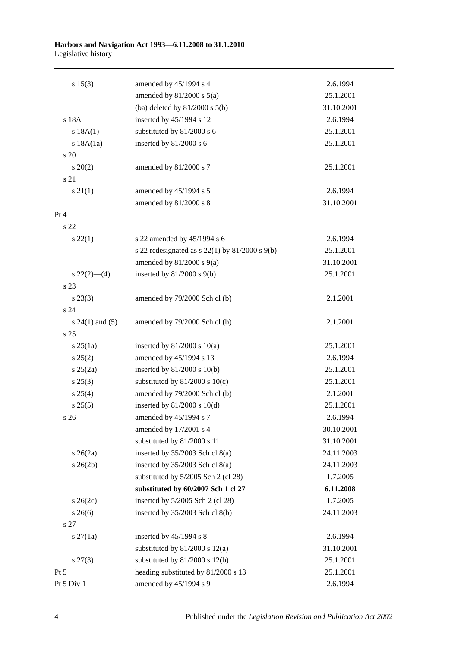#### **Harbors and Navigation Act 1993—6.11.2008 to 31.1.2010** Legislative history

| s 15(3)             | amended by 45/1994 s 4                               | 2.6.1994   |
|---------------------|------------------------------------------------------|------------|
|                     | amended by $81/2000$ s $5(a)$                        | 25.1.2001  |
|                     | (ba) deleted by $81/2000$ s $5(b)$                   | 31.10.2001 |
| s 18A               | inserted by 45/1994 s 12                             | 2.6.1994   |
| s 18A(1)            | substituted by 81/2000 s 6                           | 25.1.2001  |
| s 18A(1a)           | inserted by 81/2000 s 6                              | 25.1.2001  |
| s 20                |                                                      |            |
| $\frac{20(2)}{2}$   | amended by 81/2000 s 7                               | 25.1.2001  |
| s 21                |                                                      |            |
| $s \, 21(1)$        | amended by 45/1994 s 5                               | 2.6.1994   |
|                     | amended by 81/2000 s 8                               | 31.10.2001 |
| Pt 4                |                                                      |            |
| s 22                |                                                      |            |
| $s\,22(1)$          | s 22 amended by 45/1994 s 6                          | 2.6.1994   |
|                     | s 22 redesignated as s $22(1)$ by $81/2000$ s $9(b)$ | 25.1.2001  |
|                     | amended by $81/2000$ s $9(a)$                        | 31.10.2001 |
| $s\ 22(2)$ (4)      | inserted by $81/2000$ s $9(b)$                       | 25.1.2001  |
| s 23                |                                                      |            |
| $s\,23(3)$          | amended by 79/2000 Sch cl (b)                        | 2.1.2001   |
| s 24                |                                                      |            |
| s $24(1)$ and $(5)$ | amended by 79/2000 Sch cl (b)                        | 2.1.2001   |
| s <sub>25</sub>     |                                                      |            |
| $s \, 25(1a)$       | inserted by $81/2000$ s $10(a)$                      | 25.1.2001  |
| s 25(2)             | amended by 45/1994 s 13                              | 2.6.1994   |
| $s \; 25(2a)$       | inserted by $81/2000$ s $10(b)$                      | 25.1.2001  |
| $s\,25(3)$          | substituted by $81/2000$ s $10(c)$                   | 25.1.2001  |
| $s \; 25(4)$        | amended by 79/2000 Sch cl (b)                        | 2.1.2001   |
| s 25(5)             | inserted by $81/2000$ s $10(d)$                      | 25.1.2001  |
| s 26                | amended by 45/1994 s 7                               | 2.6.1994   |
|                     | amended by 17/2001 s 4                               | 30.10.2001 |
|                     | substituted by 81/2000 s 11                          | 31.10.2001 |
| $s \; 26(2a)$       | inserted by $35/2003$ Sch cl $8(a)$                  | 24.11.2003 |
| $s \; 26(2b)$       | inserted by 35/2003 Sch cl 8(a)                      | 24.11.2003 |
|                     | substituted by 5/2005 Sch 2 (cl 28)                  | 1.7.2005   |
|                     | substituted by 60/2007 Sch 1 cl 27                   | 6.11.2008  |
| $s \; 26(2c)$       | inserted by 5/2005 Sch 2 (cl 28)                     | 1.7.2005   |
| $s \; 26(6)$        | inserted by $35/2003$ Sch cl $8(b)$                  | 24.11.2003 |
| s 27                |                                                      |            |
| $s \, 27(1a)$       | inserted by $45/1994$ s 8                            | 2.6.1994   |
|                     | substituted by $81/2000$ s $12(a)$                   | 31.10.2001 |
| $s\,27(3)$          | substituted by $81/2000$ s $12(b)$                   | 25.1.2001  |
| $Pt\,5$             | heading substituted by 81/2000 s 13                  | 25.1.2001  |
| Pt 5 Div 1          | amended by 45/1994 s 9                               | 2.6.1994   |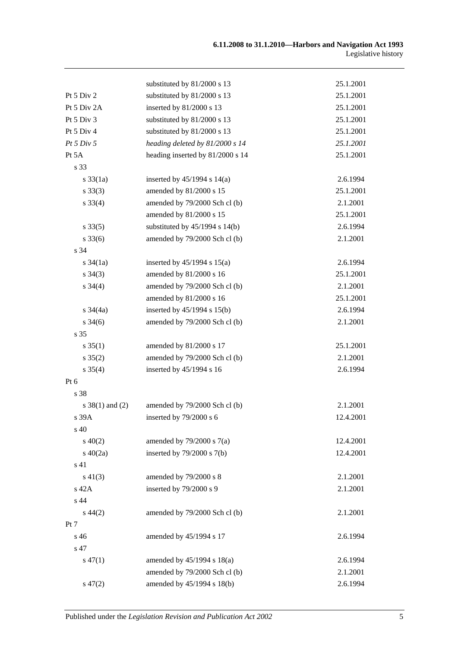|                     | substituted by 81/2000 s 13        | 25.1.2001 |
|---------------------|------------------------------------|-----------|
| Pt 5 Div 2          | substituted by 81/2000 s 13        | 25.1.2001 |
| Pt 5 Div 2A         | inserted by 81/2000 s 13           | 25.1.2001 |
| Pt 5 Div 3          | substituted by 81/2000 s 13        | 25.1.2001 |
| Pt 5 Div 4          | substituted by 81/2000 s 13        | 25.1.2001 |
| Pt 5 Div 5          | heading deleted by 81/2000 s 14    | 25.1.2001 |
| Pt 5A               | heading inserted by 81/2000 s 14   | 25.1.2001 |
| s 33                |                                    |           |
| $s \frac{33}{1a}$   | inserted by $45/1994$ s $14(a)$    | 2.6.1994  |
| $s \, 33(3)$        | amended by 81/2000 s 15            | 25.1.2001 |
| $s \, 33(4)$        | amended by 79/2000 Sch cl (b)      | 2.1.2001  |
|                     | amended by 81/2000 s 15            | 25.1.2001 |
| $s \, 33(5)$        | substituted by $45/1994$ s $14(b)$ | 2.6.1994  |
| $s \, 33(6)$        | amended by 79/2000 Sch cl (b)      | 2.1.2001  |
| s 34                |                                    |           |
| s $34(1a)$          | inserted by $45/1994$ s $15(a)$    | 2.6.1994  |
| $s \; 34(3)$        | amended by 81/2000 s 16            | 25.1.2001 |
| $s \; 34(4)$        | amended by 79/2000 Sch cl (b)      | 2.1.2001  |
|                     | amended by 81/2000 s 16            | 25.1.2001 |
| $s \frac{34}{4a}$   | inserted by 45/1994 s 15(b)        | 2.6.1994  |
| $s \; 34(6)$        | amended by 79/2000 Sch cl (b)      | 2.1.2001  |
| s 35                |                                    |           |
| $s \, 35(1)$        | amended by 81/2000 s 17            | 25.1.2001 |
| $s \, 35(2)$        | amended by 79/2000 Sch cl (b)      | 2.1.2001  |
| $s \; 35(4)$        | inserted by 45/1994 s 16           | 2.6.1994  |
| Pt 6                |                                    |           |
| s 38                |                                    |           |
| $s \ 38(1)$ and (2) | amended by 79/2000 Sch cl (b)      | 2.1.2001  |
| s 39A               | inserted by $79/2000$ s 6          | 12.4.2001 |
| s 40                |                                    |           |
| $s\ 40(2)$          | amended by $79/2000$ s $7(a)$      | 12.4.2001 |
| $s\ 40(2a)$         | inserted by $79/2000$ s $7(b)$     | 12.4.2001 |
| s 41                |                                    |           |
| $s\ 41(3)$          | amended by 79/2000 s 8             | 2.1.2001  |
| s 42A               | inserted by 79/2000 s 9            | 2.1.2001  |
| s 44                |                                    |           |
| $s\,44(2)$          | amended by 79/2000 Sch cl (b)      | 2.1.2001  |
| Pt 7                |                                    |           |
| s 46                | amended by 45/1994 s 17            | 2.6.1994  |
| s 47                |                                    |           |
| $s\,47(1)$          | amended by 45/1994 s 18(a)         | 2.6.1994  |
|                     | amended by 79/2000 Sch cl (b)      | 2.1.2001  |
| $s\,47(2)$          | amended by 45/1994 s 18(b)         | 2.6.1994  |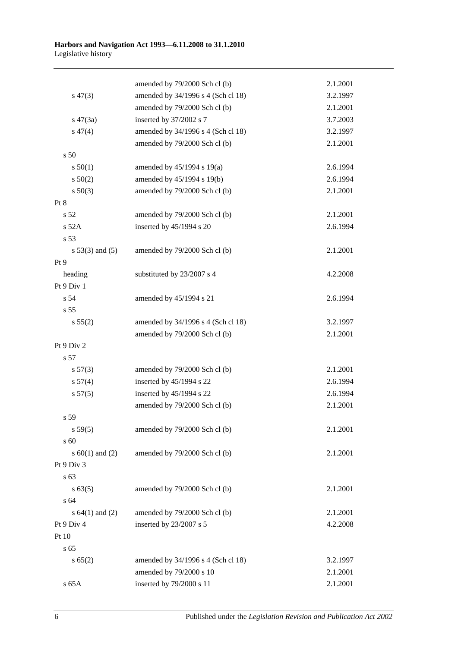|                     | amended by 79/2000 Sch cl (b)      | 2.1.2001 |
|---------------------|------------------------------------|----------|
| $s\,47(3)$          | amended by 34/1996 s 4 (Sch cl 18) | 3.2.1997 |
|                     | amended by 79/2000 Sch cl (b)      | 2.1.2001 |
| $s\ 47(3a)$         | inserted by 37/2002 s 7            | 3.7.2003 |
| $s\,47(4)$          | amended by 34/1996 s 4 (Sch cl 18) | 3.2.1997 |
|                     | amended by 79/2000 Sch cl (b)      | 2.1.2001 |
| s 50                |                                    |          |
| s 50(1)             | amended by 45/1994 s 19(a)         | 2.6.1994 |
| s 50(2)             | amended by 45/1994 s 19(b)         | 2.6.1994 |
| $s\ 50(3)$          | amended by 79/2000 Sch cl (b)      | 2.1.2001 |
| Pt 8                |                                    |          |
| s <sub>52</sub>     | amended by 79/2000 Sch cl (b)      | 2.1.2001 |
| $s$ 52A             | inserted by 45/1994 s 20           | 2.6.1994 |
| s 53                |                                    |          |
| $s 53(3)$ and $(5)$ | amended by 79/2000 Sch cl (b)      | 2.1.2001 |
| Pt 9                |                                    |          |
| heading             | substituted by 23/2007 s 4         | 4.2.2008 |
| Pt 9 Div 1          |                                    |          |
| s 54                | amended by 45/1994 s 21            | 2.6.1994 |
| s 55                |                                    |          |
| s 55(2)             | amended by 34/1996 s 4 (Sch cl 18) | 3.2.1997 |
|                     | amended by 79/2000 Sch cl (b)      | 2.1.2001 |
| Pt 9 Div 2          |                                    |          |
| s 57                |                                    |          |
| $s\,57(3)$          | amended by 79/2000 Sch cl (b)      | 2.1.2001 |
| s 57(4)             | inserted by 45/1994 s 22           | 2.6.1994 |
| s 57(5)             | inserted by 45/1994 s 22           | 2.6.1994 |
|                     | amended by 79/2000 Sch cl (b)      | 2.1.2001 |
| s 59                |                                    |          |
| s 59(5)             | amended by 79/2000 Sch cl (b)      | 2.1.2001 |
| s 60                |                                    |          |
| s $60(1)$ and $(2)$ | amended by 79/2000 Sch cl (b)      | 2.1.2001 |
| Pt 9 Div 3          |                                    |          |
| s 63                |                                    |          |
| s 63(5)             | amended by 79/2000 Sch cl (b)      | 2.1.2001 |
| s 64                |                                    |          |
| s $64(1)$ and $(2)$ | amended by 79/2000 Sch cl (b)      | 2.1.2001 |
| Pt 9 Div 4          | inserted by 23/2007 s 5            | 4.2.2008 |
| Pt 10               |                                    |          |
| s 65                |                                    |          |
| s 65(2)             | amended by 34/1996 s 4 (Sch cl 18) | 3.2.1997 |
|                     | amended by 79/2000 s 10            | 2.1.2001 |
| s 65A               | inserted by 79/2000 s 11           | 2.1.2001 |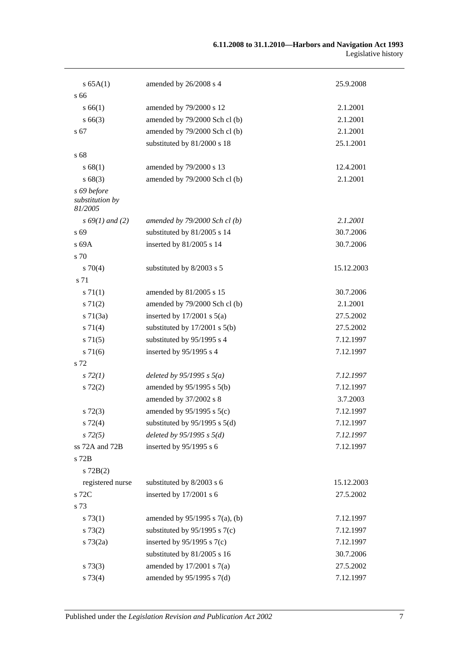#### **6.11.2008 to 31.1.2010—Harbors and Navigation Act 1993** Legislative history

| s 65A(1)                                  | amended by 26/2008 s 4              | 25.9.2008  |
|-------------------------------------------|-------------------------------------|------------|
| s 66                                      |                                     |            |
| s 66(1)                                   | amended by 79/2000 s 12             | 2.1.2001   |
| $s\,66(3)$                                | amended by 79/2000 Sch cl (b)       | 2.1.2001   |
| s 67                                      | amended by 79/2000 Sch cl (b)       | 2.1.2001   |
|                                           | substituted by 81/2000 s 18         | 25.1.2001  |
| s 68                                      |                                     |            |
| s 68(1)                                   | amended by 79/2000 s 13             | 12.4.2001  |
| s68(3)                                    | amended by 79/2000 Sch cl (b)       | 2.1.2001   |
| s 69 before<br>substitution by<br>81/2005 |                                     |            |
| $s\,69(1)$ and (2)                        | amended by $79/2000$ Sch cl(b)      | 2.1.2001   |
| s 69                                      | substituted by 81/2005 s 14         | 30.7.2006  |
| s 69A                                     | inserted by 81/2005 s 14            | 30.7.2006  |
| s 70                                      |                                     |            |
| $s \, 70(4)$                              | substituted by 8/2003 s 5           | 15.12.2003 |
| s 71                                      |                                     |            |
| s 71(1)                                   | amended by 81/2005 s 15             | 30.7.2006  |
| $s \, 71(2)$                              | amended by 79/2000 Sch cl (b)       | 2.1.2001   |
| $s \, 71(3a)$                             | inserted by $17/2001$ s $5(a)$      | 27.5.2002  |
| s 71(4)                                   | substituted by $17/2001$ s $5(b)$   | 27.5.2002  |
| $s \, 71(5)$                              | substituted by 95/1995 s 4          | 7.12.1997  |
| $s \, 71(6)$                              | inserted by 95/1995 s 4             | 7.12.1997  |
| s 72                                      |                                     |            |
| $s\,72(1)$                                | deleted by $95/1995 s 5(a)$         | 7.12.1997  |
| $s\ 72(2)$                                | amended by 95/1995 s 5(b)           | 7.12.1997  |
|                                           | amended by 37/2002 s 8              | 3.7.2003   |
| $s\,72(3)$                                | amended by 95/1995 s 5(c)           | 7.12.1997  |
| $s\ 72(4)$                                | substituted by $95/1995$ s $5(d)$   | 7.12.1997  |
| $s\,72(5)$                                | deleted by $95/1995 s 5(d)$         | 7.12.1997  |
| ss 72A and 72B                            | inserted by $95/1995$ s 6           | 7.12.1997  |
| s 72B                                     |                                     |            |
| $s$ 72 $B(2)$                             |                                     |            |
| registered nurse                          | substituted by 8/2003 s 6           | 15.12.2003 |
| s 72C                                     | inserted by 17/2001 s 6             | 27.5.2002  |
| s 73                                      |                                     |            |
| $s \, 73(1)$                              | amended by $95/1995$ s $7(a)$ , (b) | 7.12.1997  |
| s 73(2)                                   | substituted by $95/1995$ s $7(c)$   | 7.12.1997  |
| $s \, 73(2a)$                             | inserted by $95/1995$ s $7(c)$      | 7.12.1997  |
|                                           | substituted by 81/2005 s 16         | 30.7.2006  |
| $s \, 73(3)$                              | amended by $17/2001$ s $7(a)$       | 27.5.2002  |
| s 73(4)                                   | amended by 95/1995 s 7(d)           | 7.12.1997  |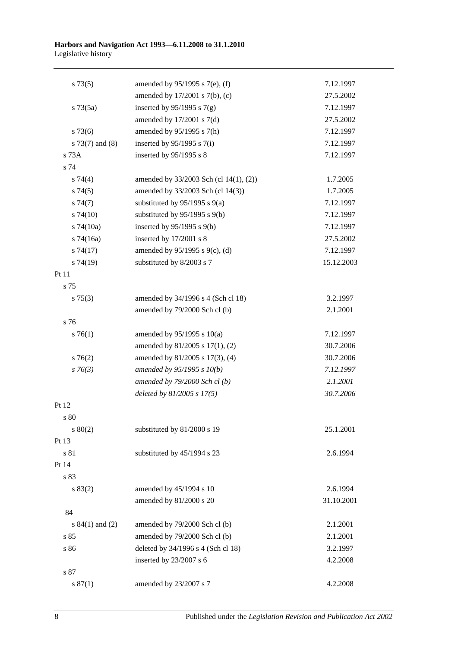#### **Harbors and Navigation Act 1993—6.11.2008 to 31.1.2010** Legislative history

| amended by $95/1995$ s 7(e), (f)       | 7.12.1997                                                                           |
|----------------------------------------|-------------------------------------------------------------------------------------|
| amended by $17/2001$ s $7(b)$ , (c)    | 27.5.2002                                                                           |
| inserted by $95/1995$ s $7(g)$         | 7.12.1997                                                                           |
| amended by $17/2001$ s $7(d)$          | 27.5.2002                                                                           |
| amended by 95/1995 s 7(h)              | 7.12.1997                                                                           |
| inserted by $95/1995$ s $7(i)$         | 7.12.1997                                                                           |
| inserted by 95/1995 s 8                | 7.12.1997                                                                           |
|                                        |                                                                                     |
| amended by 33/2003 Sch (cl 14(1), (2)) | 1.7.2005                                                                            |
| amended by 33/2003 Sch (cl 14(3))      | 1.7.2005                                                                            |
| substituted by $95/1995$ s $9(a)$      | 7.12.1997                                                                           |
| substituted by $95/1995$ s $9(b)$      | 7.12.1997                                                                           |
| inserted by $95/1995$ s $9(b)$         | 7.12.1997                                                                           |
|                                        | 27.5.2002                                                                           |
| amended by 95/1995 s 9(c), (d)         | 7.12.1997                                                                           |
| substituted by 8/2003 s 7              | 15.12.2003                                                                          |
|                                        |                                                                                     |
|                                        |                                                                                     |
| amended by 34/1996 s 4 (Sch cl 18)     | 3.2.1997                                                                            |
| amended by 79/2000 Sch cl (b)          | 2.1.2001                                                                            |
|                                        |                                                                                     |
| amended by $95/1995$ s $10(a)$         | 7.12.1997                                                                           |
| amended by 81/2005 s 17(1), (2)        | 30.7.2006                                                                           |
| amended by 81/2005 s 17(3), (4)        | 30.7.2006                                                                           |
| amended by 95/1995 s 10(b)             | 7.12.1997                                                                           |
| amended by 79/2000 Sch cl (b)          | 2.1.2001                                                                            |
| deleted by $81/2005 s 17(5)$           | 30.7.2006                                                                           |
|                                        |                                                                                     |
|                                        |                                                                                     |
| substituted by 81/2000 s 19            | 25.1.2001                                                                           |
|                                        |                                                                                     |
| substituted by 45/1994 s 23            | 2.6.1994                                                                            |
|                                        |                                                                                     |
|                                        |                                                                                     |
| amended by 45/1994 s 10                | 2.6.1994                                                                            |
|                                        | 31.10.2001                                                                          |
|                                        |                                                                                     |
|                                        | 2.1.2001                                                                            |
| amended by 79/2000 Sch cl (b)          | 2.1.2001                                                                            |
| deleted by 34/1996 s 4 (Sch cl 18)     | 3.2.1997                                                                            |
| inserted by $23/2007$ s 6              | 4.2.2008                                                                            |
|                                        |                                                                                     |
| amended by 23/2007 s 7                 | 4.2.2008                                                                            |
|                                        | inserted by 17/2001 s 8<br>amended by 81/2000 s 20<br>amended by 79/2000 Sch cl (b) |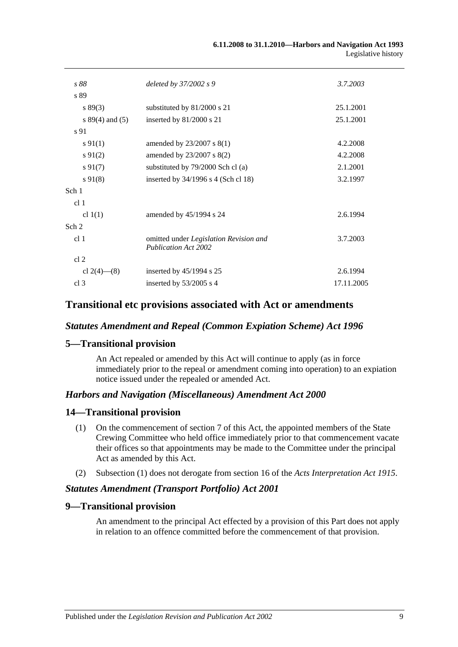| s 88                | deleted by 37/2002 s 9                                                | 3.7.2003   |
|---------------------|-----------------------------------------------------------------------|------------|
| s 89                |                                                                       |            |
| s 89(3)             | substituted by 81/2000 s 21                                           | 25.1.2001  |
| s $89(4)$ and $(5)$ | inserted by $81/2000$ s 21                                            | 25.1.2001  |
| s 91                |                                                                       |            |
| $s\,91(1)$          | amended by $23/2007$ s $8(1)$                                         | 4.2.2008   |
| $s\,91(2)$          | amended by 23/2007 s 8(2)                                             | 4.2.2008   |
| $s\,91(7)$          | substituted by 79/2000 Sch cl (a)                                     | 2.1.2001   |
| $s\,91(8)$          | inserted by 34/1996 s 4 (Sch cl 18)                                   | 3.2.1997   |
| Sch 1               |                                                                       |            |
| cl <sub>1</sub>     |                                                                       |            |
| cl $1(1)$           | amended by 45/1994 s 24                                               | 2.6.1994   |
| Sch 2               |                                                                       |            |
| cl <sub>1</sub>     | omitted under Legislation Revision and<br><b>Publication Act 2002</b> | 3.7.2003   |
| cl <sub>2</sub>     |                                                                       |            |
| cl 2(4)–(8)         | inserted by $45/1994$ s 25                                            | 2.6.1994   |
| cl <sub>3</sub>     | inserted by $53/2005$ s 4                                             | 17.11.2005 |
|                     |                                                                       |            |

### **Transitional etc provisions associated with Act or amendments**

### *Statutes Amendment and Repeal (Common Expiation Scheme) Act 1996*

### **5—Transitional provision**

An Act repealed or amended by this Act will continue to apply (as in force immediately prior to the repeal or amendment coming into operation) to an expiation notice issued under the repealed or amended Act.

### *Harbors and Navigation (Miscellaneous) Amendment Act 2000*

#### **14—Transitional provision**

- (1) On the commencement of section 7 of this Act, the appointed members of the State Crewing Committee who held office immediately prior to that commencement vacate their offices so that appointments may be made to the Committee under the principal Act as amended by this Act.
- (2) Subsection (1) does not derogate from section 16 of the *[Acts Interpretation Act](http://www.legislation.sa.gov.au/index.aspx?action=legref&type=act&legtitle=Acts%20Interpretation%20Act%201915) 1915*.

### *Statutes Amendment (Transport Portfolio) Act 2001*

### **9—Transitional provision**

An amendment to the principal Act effected by a provision of this Part does not apply in relation to an offence committed before the commencement of that provision.